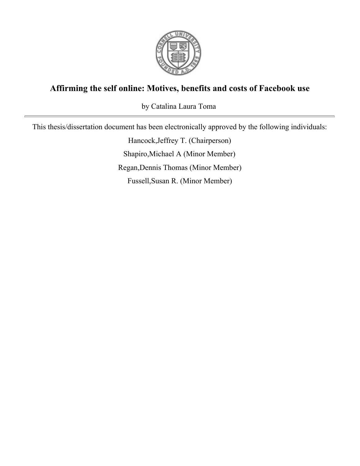

## **Affirming the self online: Motives, benefits and costs of Facebook use**

by Catalina Laura Toma

This thesis/dissertation document has been electronically approved by the following individuals:

Hancock,Jeffrey T. (Chairperson) Shapiro,Michael A (Minor Member) Regan,Dennis Thomas (Minor Member) Fussell,Susan R. (Minor Member)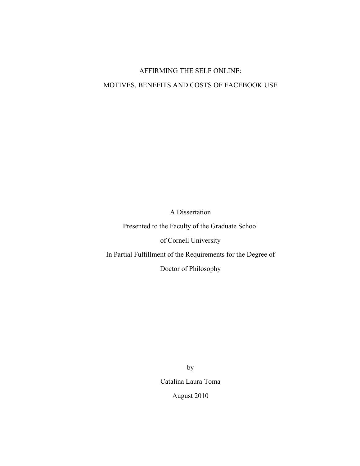# AFFIRMING THE SELF ONLINE: MOTIVES, BENEFITS AND COSTS OF FACEBOOK USE

A Dissertation

Presented to the Faculty of the Graduate School

of Cornell University

In Partial Fulfillment of the Requirements for the Degree of

Doctor of Philosophy

by Catalina Laura Toma August 2010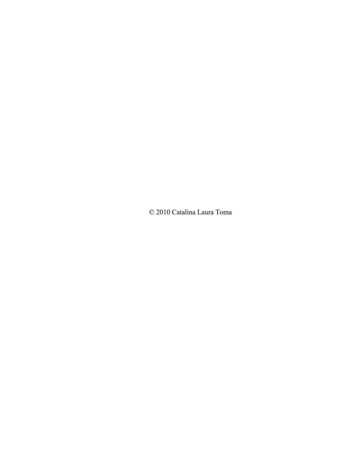© 2010 Catalina Laura Toma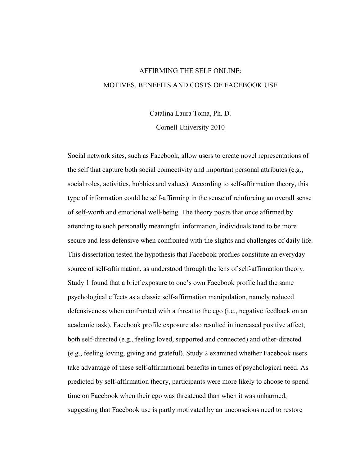## AFFIRMING THE SELF ONLINE: MOTIVES, BENEFITS AND COSTS OF FACEBOOK USE

Catalina Laura Toma, Ph. D. Cornell University 2010

Social network sites, such as Facebook, allow users to create novel representations of the self that capture both social connectivity and important personal attributes (e.g., social roles, activities, hobbies and values). According to self-affirmation theory, this type of information could be self-affirming in the sense of reinforcing an overall sense of self-worth and emotional well-being. The theory posits that once affirmed by attending to such personally meaningful information, individuals tend to be more secure and less defensive when confronted with the slights and challenges of daily life. This dissertation tested the hypothesis that Facebook profiles constitute an everyday source of self-affirmation, as understood through the lens of self-affirmation theory. Study 1 found that a brief exposure to one's own Facebook profile had the same psychological effects as a classic self-affirmation manipulation, namely reduced defensiveness when confronted with a threat to the ego (i.e., negative feedback on an academic task). Facebook profile exposure also resulted in increased positive affect, both self-directed (e.g., feeling loved, supported and connected) and other-directed (e.g., feeling loving, giving and grateful). Study 2 examined whether Facebook users take advantage of these self-affirmational benefits in times of psychological need. As predicted by self-affirmation theory, participants were more likely to choose to spend time on Facebook when their ego was threatened than when it was unharmed, suggesting that Facebook use is partly motivated by an unconscious need to restore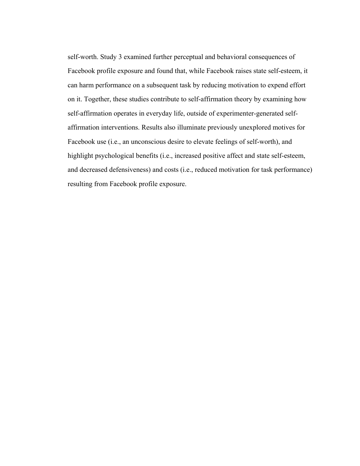self-worth. Study 3 examined further perceptual and behavioral consequences of Facebook profile exposure and found that, while Facebook raises state self-esteem, it can harm performance on a subsequent task by reducing motivation to expend effort on it. Together, these studies contribute to self-affirmation theory by examining how self-affirmation operates in everyday life, outside of experimenter-generated selfaffirmation interventions. Results also illuminate previously unexplored motives for Facebook use (i.e., an unconscious desire to elevate feelings of self-worth), and highlight psychological benefits (i.e., increased positive affect and state self-esteem, and decreased defensiveness) and costs (i.e., reduced motivation for task performance) resulting from Facebook profile exposure.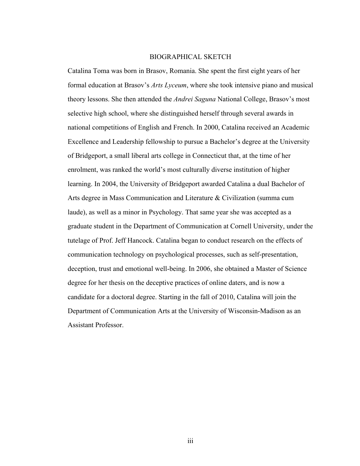#### BIOGRAPHICAL SKETCH

Catalina Toma was born in Brasov, Romania. She spent the first eight years of her formal education at Brasov's *Arts Lyceum*, where she took intensive piano and musical theory lessons. She then attended the *Andrei Saguna* National College, Brasov's most selective high school, where she distinguished herself through several awards in national competitions of English and French. In 2000, Catalina received an Academic Excellence and Leadership fellowship to pursue a Bachelor's degree at the University of Bridgeport, a small liberal arts college in Connecticut that, at the time of her enrolment, was ranked the world's most culturally diverse institution of higher learning. In 2004, the University of Bridgeport awarded Catalina a dual Bachelor of Arts degree in Mass Communication and Literature & Civilization (summa cum laude), as well as a minor in Psychology. That same year she was accepted as a graduate student in the Department of Communication at Cornell University, under the tutelage of Prof. Jeff Hancock. Catalina began to conduct research on the effects of communication technology on psychological processes, such as self-presentation, deception, trust and emotional well-being. In 2006, she obtained a Master of Science degree for her thesis on the deceptive practices of online daters, and is now a candidate for a doctoral degree. Starting in the fall of 2010, Catalina will join the Department of Communication Arts at the University of Wisconsin-Madison as an Assistant Professor.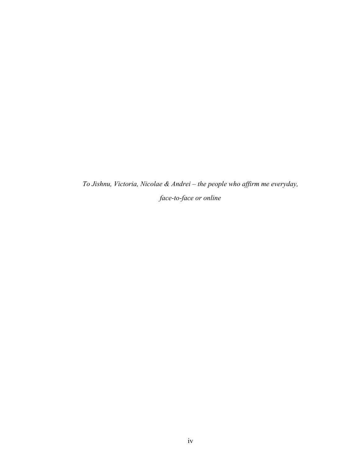*To Jishnu, Victoria, Nicolae & Andrei – the people who affirm me everyday, face-to-face or online*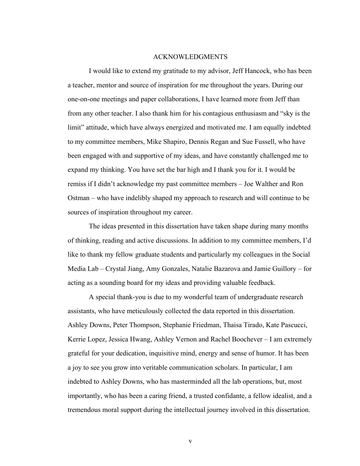#### ACKNOWLEDGMENTS

I would like to extend my gratitude to my advisor, Jeff Hancock, who has been a teacher, mentor and source of inspiration for me throughout the years. During our one-on-one meetings and paper collaborations, I have learned more from Jeff than from any other teacher. I also thank him for his contagious enthusiasm and "sky is the limit" attitude, which have always energized and motivated me. I am equally indebted to my committee members, Mike Shapiro, Dennis Regan and Sue Fussell, who have been engaged with and supportive of my ideas, and have constantly challenged me to expand my thinking. You have set the bar high and I thank you for it. I would be remiss if I didn't acknowledge my past committee members – Joe Walther and Ron Ostman – who have indelibly shaped my approach to research and will continue to be sources of inspiration throughout my career.

The ideas presented in this dissertation have taken shape during many months of thinking, reading and active discussions. In addition to my committee members, I'd like to thank my fellow graduate students and particularly my colleagues in the Social Media Lab – Crystal Jiang, Amy Gonzales, Natalie Bazarova and Jamie Guillory – for acting as a sounding board for my ideas and providing valuable feedback.

A special thank-you is due to my wonderful team of undergraduate research assistants, who have meticulously collected the data reported in this dissertation. Ashley Downs, Peter Thompson, Stephanie Friedman, Thaisa Tirado, Kate Pascucci, Kerrie Lopez, Jessica Hwang, Ashley Vernon and Rachel Boochever – I am extremely grateful for your dedication, inquisitive mind, energy and sense of humor. It has been a joy to see you grow into veritable communication scholars. In particular, I am indebted to Ashley Downs, who has masterminded all the lab operations, but, most importantly, who has been a caring friend, a trusted confidante, a fellow idealist, and a tremendous moral support during the intellectual journey involved in this dissertation.

v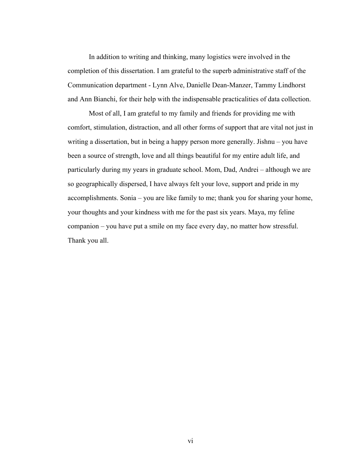In addition to writing and thinking, many logistics were involved in the completion of this dissertation. I am grateful to the superb administrative staff of the Communication department - Lynn Alve, Danielle Dean-Manzer, Tammy Lindhorst and Ann Bianchi, for their help with the indispensable practicalities of data collection.

Most of all, I am grateful to my family and friends for providing me with comfort, stimulation, distraction, and all other forms of support that are vital not just in writing a dissertation, but in being a happy person more generally. Jishnu – you have been a source of strength, love and all things beautiful for my entire adult life, and particularly during my years in graduate school. Mom, Dad, Andrei – although we are so geographically dispersed, I have always felt your love, support and pride in my accomplishments. Sonia – you are like family to me; thank you for sharing your home, your thoughts and your kindness with me for the past six years. Maya, my feline companion – you have put a smile on my face every day, no matter how stressful. Thank you all.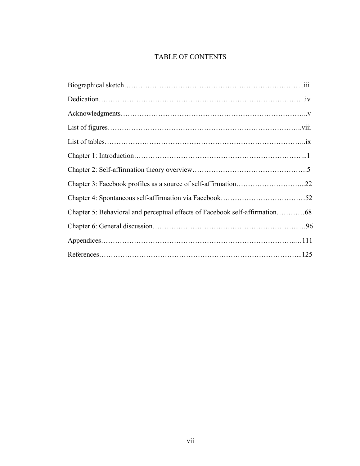## TABLE OF CONTENTS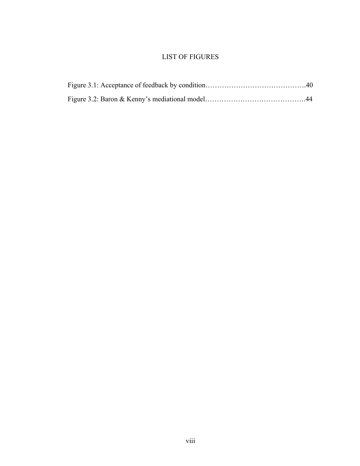### LIST OF FIGURES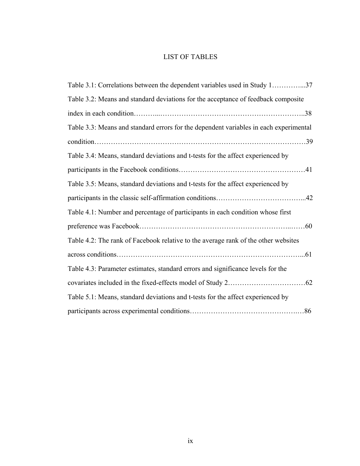## LIST OF TABLES

| Table 3.1: Correlations between the dependent variables used in Study 137             |  |
|---------------------------------------------------------------------------------------|--|
| Table 3.2: Means and standard deviations for the acceptance of feedback composite     |  |
|                                                                                       |  |
| Table 3.3: Means and standard errors for the dependent variables in each experimental |  |
|                                                                                       |  |
| Table 3.4: Means, standard deviations and t-tests for the affect experienced by       |  |
|                                                                                       |  |
| Table 3.5: Means, standard deviations and t-tests for the affect experienced by       |  |
|                                                                                       |  |
| Table 4.1: Number and percentage of participants in each condition whose first        |  |
|                                                                                       |  |
| Table 4.2: The rank of Facebook relative to the average rank of the other websites    |  |
|                                                                                       |  |
| Table 4.3: Parameter estimates, standard errors and significance levels for the       |  |
|                                                                                       |  |
| Table 5.1: Means, standard deviations and t-tests for the affect experienced by       |  |
|                                                                                       |  |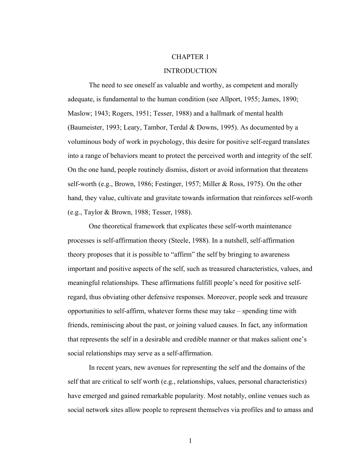#### CHAPTER 1

#### INTRODUCTION

The need to see oneself as valuable and worthy, as competent and morally adequate, is fundamental to the human condition (see Allport, 1955; James, 1890; Maslow; 1943; Rogers, 1951; Tesser, 1988) and a hallmark of mental health (Baumeister, 1993; Leary, Tambor, Terdal & Downs, 1995). As documented by a voluminous body of work in psychology, this desire for positive self-regard translates into a range of behaviors meant to protect the perceived worth and integrity of the self. On the one hand, people routinely dismiss, distort or avoid information that threatens self-worth (e.g., Brown, 1986; Festinger, 1957; Miller & Ross, 1975). On the other hand, they value, cultivate and gravitate towards information that reinforces self-worth (e.g., Taylor & Brown, 1988; Tesser, 1988).

One theoretical framework that explicates these self-worth maintenance processes is self-affirmation theory (Steele, 1988). In a nutshell, self-affirmation theory proposes that it is possible to "affirm" the self by bringing to awareness important and positive aspects of the self, such as treasured characteristics, values, and meaningful relationships. These affirmations fulfill people's need for positive selfregard, thus obviating other defensive responses. Moreover, people seek and treasure opportunities to self-affirm, whatever forms these may take – spending time with friends, reminiscing about the past, or joining valued causes. In fact, any information that represents the self in a desirable and credible manner or that makes salient one's social relationships may serve as a self-affirmation.

In recent years, new avenues for representing the self and the domains of the self that are critical to self worth (e.g., relationships, values, personal characteristics) have emerged and gained remarkable popularity. Most notably, online venues such as social network sites allow people to represent themselves via profiles and to amass and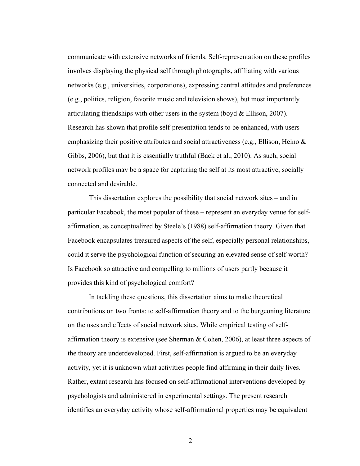communicate with extensive networks of friends. Self-representation on these profiles involves displaying the physical self through photographs, affiliating with various networks (e.g., universities, corporations), expressing central attitudes and preferences (e.g., politics, religion, favorite music and television shows), but most importantly articulating friendships with other users in the system (boyd & Ellison, 2007). Research has shown that profile self-presentation tends to be enhanced, with users emphasizing their positive attributes and social attractiveness (e.g., Ellison, Heino & Gibbs, 2006), but that it is essentially truthful (Back et al., 2010). As such, social network profiles may be a space for capturing the self at its most attractive, socially connected and desirable.

This dissertation explores the possibility that social network sites – and in particular Facebook, the most popular of these – represent an everyday venue for selfaffirmation, as conceptualized by Steele's (1988) self-affirmation theory. Given that Facebook encapsulates treasured aspects of the self, especially personal relationships, could it serve the psychological function of securing an elevated sense of self-worth? Is Facebook so attractive and compelling to millions of users partly because it provides this kind of psychological comfort?

In tackling these questions, this dissertation aims to make theoretical contributions on two fronts: to self-affirmation theory and to the burgeoning literature on the uses and effects of social network sites. While empirical testing of selfaffirmation theory is extensive (see Sherman & Cohen, 2006), at least three aspects of the theory are underdeveloped. First, self-affirmation is argued to be an everyday activity, yet it is unknown what activities people find affirming in their daily lives. Rather, extant research has focused on self-affirmational interventions developed by psychologists and administered in experimental settings. The present research identifies an everyday activity whose self-affirmational properties may be equivalent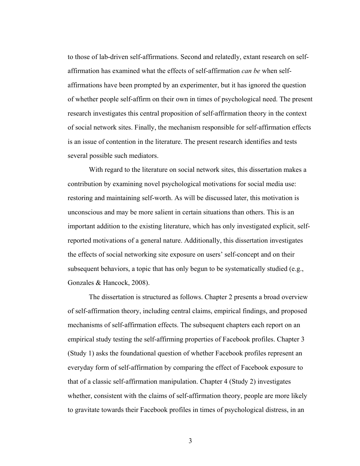to those of lab-driven self-affirmations. Second and relatedly, extant research on selfaffirmation has examined what the effects of self-affirmation *can be* when selfaffirmations have been prompted by an experimenter, but it has ignored the question of whether people self-affirm on their own in times of psychological need. The present research investigates this central proposition of self-affirmation theory in the context of social network sites. Finally, the mechanism responsible for self-affirmation effects is an issue of contention in the literature. The present research identifies and tests several possible such mediators.

With regard to the literature on social network sites, this dissertation makes a contribution by examining novel psychological motivations for social media use: restoring and maintaining self-worth. As will be discussed later, this motivation is unconscious and may be more salient in certain situations than others. This is an important addition to the existing literature, which has only investigated explicit, selfreported motivations of a general nature. Additionally, this dissertation investigates the effects of social networking site exposure on users' self-concept and on their subsequent behaviors, a topic that has only begun to be systematically studied (e.g., Gonzales & Hancock, 2008).

The dissertation is structured as follows. Chapter 2 presents a broad overview of self-affirmation theory, including central claims, empirical findings, and proposed mechanisms of self-affirmation effects. The subsequent chapters each report on an empirical study testing the self-affirming properties of Facebook profiles. Chapter 3 (Study 1) asks the foundational question of whether Facebook profiles represent an everyday form of self-affirmation by comparing the effect of Facebook exposure to that of a classic self-affirmation manipulation. Chapter 4 (Study 2) investigates whether, consistent with the claims of self-affirmation theory, people are more likely to gravitate towards their Facebook profiles in times of psychological distress, in an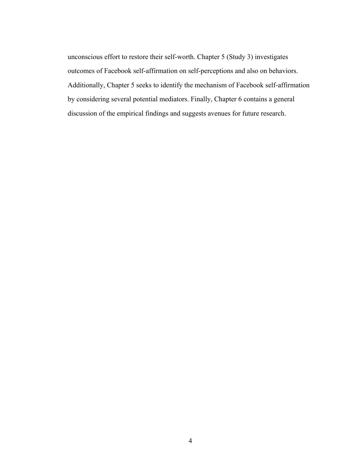unconscious effort to restore their self-worth. Chapter 5 (Study 3) investigates outcomes of Facebook self-affirmation on self-perceptions and also on behaviors. Additionally, Chapter 5 seeks to identify the mechanism of Facebook self-affirmation by considering several potential mediators. Finally, Chapter 6 contains a general discussion of the empirical findings and suggests avenues for future research.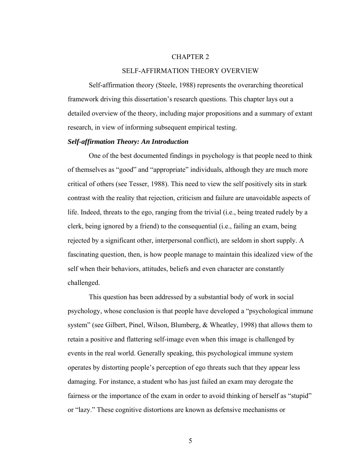#### CHAPTER 2

#### SELF-AFFIRMATION THEORY OVERVIEW

 Self-affirmation theory (Steele, 1988) represents the overarching theoretical framework driving this dissertation's research questions. This chapter lays out a detailed overview of the theory, including major propositions and a summary of extant research, in view of informing subsequent empirical testing.

#### *Self-affirmation Theory: An Introduction*

One of the best documented findings in psychology is that people need to think of themselves as "good" and "appropriate" individuals, although they are much more critical of others (see Tesser, 1988). This need to view the self positively sits in stark contrast with the reality that rejection, criticism and failure are unavoidable aspects of life. Indeed, threats to the ego, ranging from the trivial (i.e., being treated rudely by a clerk, being ignored by a friend) to the consequential (i.e., failing an exam, being rejected by a significant other, interpersonal conflict), are seldom in short supply. A fascinating question, then, is how people manage to maintain this idealized view of the self when their behaviors, attitudes, beliefs and even character are constantly challenged.

This question has been addressed by a substantial body of work in social psychology, whose conclusion is that people have developed a "psychological immune system" (see Gilbert, Pinel, Wilson, Blumberg, & Wheatley, 1998) that allows them to retain a positive and flattering self-image even when this image is challenged by events in the real world. Generally speaking, this psychological immune system operates by distorting people's perception of ego threats such that they appear less damaging. For instance, a student who has just failed an exam may derogate the fairness or the importance of the exam in order to avoid thinking of herself as "stupid" or "lazy." These cognitive distortions are known as defensive mechanisms or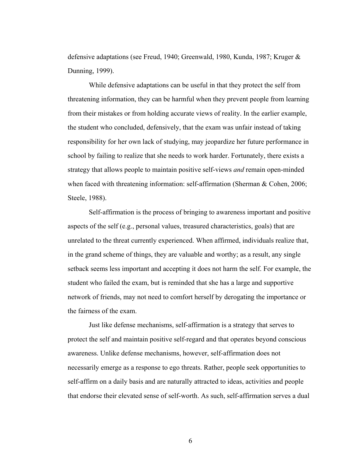defensive adaptations (see Freud, 1940; Greenwald, 1980, Kunda, 1987; Kruger & Dunning, 1999).

While defensive adaptations can be useful in that they protect the self from threatening information, they can be harmful when they prevent people from learning from their mistakes or from holding accurate views of reality. In the earlier example, the student who concluded, defensively, that the exam was unfair instead of taking responsibility for her own lack of studying, may jeopardize her future performance in school by failing to realize that she needs to work harder. Fortunately, there exists a strategy that allows people to maintain positive self-views *and* remain open-minded when faced with threatening information: self-affirmation (Sherman & Cohen, 2006; Steele, 1988).

Self-affirmation is the process of bringing to awareness important and positive aspects of the self (e.g., personal values, treasured characteristics, goals) that are unrelated to the threat currently experienced. When affirmed, individuals realize that, in the grand scheme of things, they are valuable and worthy; as a result, any single setback seems less important and accepting it does not harm the self. For example, the student who failed the exam, but is reminded that she has a large and supportive network of friends, may not need to comfort herself by derogating the importance or the fairness of the exam.

Just like defense mechanisms, self-affirmation is a strategy that serves to protect the self and maintain positive self-regard and that operates beyond conscious awareness. Unlike defense mechanisms, however, self-affirmation does not necessarily emerge as a response to ego threats. Rather, people seek opportunities to self-affirm on a daily basis and are naturally attracted to ideas, activities and people that endorse their elevated sense of self-worth. As such, self-affirmation serves a dual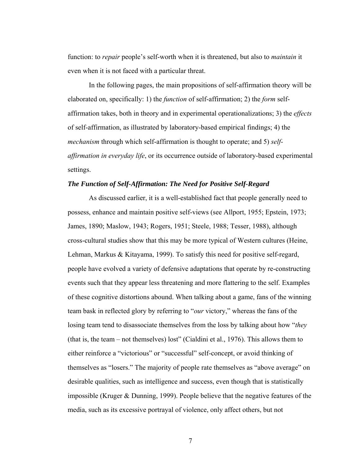function: to *repair* people's self-worth when it is threatened, but also to *maintain* it even when it is not faced with a particular threat.

In the following pages, the main propositions of self-affirmation theory will be elaborated on, specifically: 1) the *function* of self-affirmation; 2) the *form* selfaffirmation takes, both in theory and in experimental operationalizations; 3) the *effects* of self-affirmation, as illustrated by laboratory-based empirical findings; 4) the *mechanism* through which self-affirmation is thought to operate; and 5) *selfaffirmation in everyday life*, or its occurrence outside of laboratory-based experimental settings.

#### *The Function of Self-Affirmation: The Need for Positive Self-Regard*

 As discussed earlier, it is a well-established fact that people generally need to possess, enhance and maintain positive self-views (see Allport, 1955; Epstein, 1973; James, 1890; Maslow, 1943; Rogers, 1951; Steele, 1988; Tesser, 1988), although cross-cultural studies show that this may be more typical of Western cultures (Heine, Lehman, Markus & Kitayama, 1999). To satisfy this need for positive self-regard, people have evolved a variety of defensive adaptations that operate by re-constructing events such that they appear less threatening and more flattering to the self. Examples of these cognitive distortions abound. When talking about a game, fans of the winning team bask in reflected glory by referring to "*our* victory," whereas the fans of the losing team tend to disassociate themselves from the loss by talking about how "*they* (that is, the team – not themselves) lost" (Cialdini et al., 1976). This allows them to either reinforce a "victorious" or "successful" self-concept, or avoid thinking of themselves as "losers." The majority of people rate themselves as "above average" on desirable qualities, such as intelligence and success, even though that is statistically impossible (Kruger & Dunning, 1999). People believe that the negative features of the media, such as its excessive portrayal of violence, only affect others, but not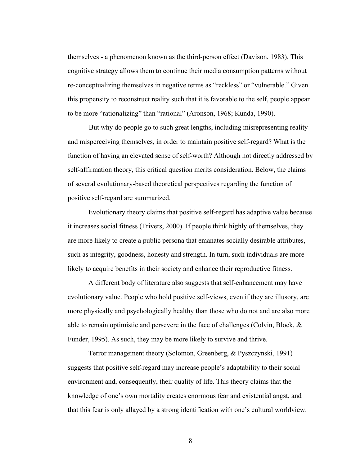themselves - a phenomenon known as the third-person effect (Davison, 1983). This cognitive strategy allows them to continue their media consumption patterns without re-conceptualizing themselves in negative terms as "reckless" or "vulnerable." Given this propensity to reconstruct reality such that it is favorable to the self, people appear to be more "rationalizing" than "rational" (Aronson, 1968; Kunda, 1990).

 But why do people go to such great lengths, including misrepresenting reality and misperceiving themselves, in order to maintain positive self-regard? What is the function of having an elevated sense of self-worth? Although not directly addressed by self-affirmation theory, this critical question merits consideration. Below, the claims of several evolutionary-based theoretical perspectives regarding the function of positive self-regard are summarized.

Evolutionary theory claims that positive self-regard has adaptive value because it increases social fitness (Trivers, 2000). If people think highly of themselves, they are more likely to create a public persona that emanates socially desirable attributes, such as integrity, goodness, honesty and strength. In turn, such individuals are more likely to acquire benefits in their society and enhance their reproductive fitness.

A different body of literature also suggests that self-enhancement may have evolutionary value. People who hold positive self-views, even if they are illusory, are more physically and psychologically healthy than those who do not and are also more able to remain optimistic and persevere in the face of challenges (Colvin, Block, & Funder, 1995). As such, they may be more likely to survive and thrive.

Terror management theory (Solomon, Greenberg, & Pyszczynski, 1991) suggests that positive self-regard may increase people's adaptability to their social environment and, consequently, their quality of life. This theory claims that the knowledge of one's own mortality creates enormous fear and existential angst, and that this fear is only allayed by a strong identification with one's cultural worldview.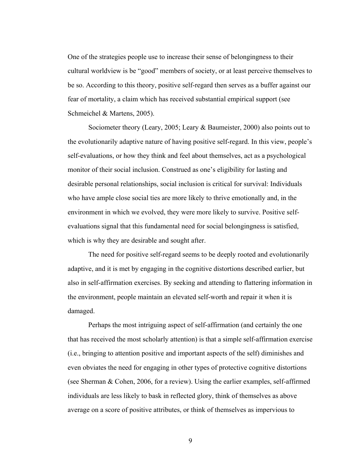One of the strategies people use to increase their sense of belongingness to their cultural worldview is be "good" members of society, or at least perceive themselves to be so. According to this theory, positive self-regard then serves as a buffer against our fear of mortality, a claim which has received substantial empirical support (see Schmeichel & Martens, 2005).

Sociometer theory (Leary, 2005; Leary & Baumeister, 2000) also points out to the evolutionarily adaptive nature of having positive self-regard. In this view, people's self-evaluations, or how they think and feel about themselves, act as a psychological monitor of their social inclusion. Construed as one's eligibility for lasting and desirable personal relationships, social inclusion is critical for survival: Individuals who have ample close social ties are more likely to thrive emotionally and, in the environment in which we evolved, they were more likely to survive. Positive selfevaluations signal that this fundamental need for social belongingness is satisfied, which is why they are desirable and sought after.

The need for positive self-regard seems to be deeply rooted and evolutionarily adaptive, and it is met by engaging in the cognitive distortions described earlier, but also in self-affirmation exercises. By seeking and attending to flattering information in the environment, people maintain an elevated self-worth and repair it when it is damaged.

Perhaps the most intriguing aspect of self-affirmation (and certainly the one that has received the most scholarly attention) is that a simple self-affirmation exercise (i.e., bringing to attention positive and important aspects of the self) diminishes and even obviates the need for engaging in other types of protective cognitive distortions (see Sherman & Cohen, 2006, for a review). Using the earlier examples, self-affirmed individuals are less likely to bask in reflected glory, think of themselves as above average on a score of positive attributes, or think of themselves as impervious to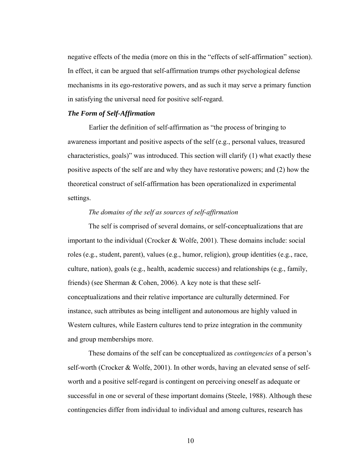negative effects of the media (more on this in the "effects of self-affirmation" section). In effect, it can be argued that self-affirmation trumps other psychological defense mechanisms in its ego-restorative powers, and as such it may serve a primary function in satisfying the universal need for positive self-regard.

#### *The Form of Self-Affirmation*

 Earlier the definition of self-affirmation as "the process of bringing to awareness important and positive aspects of the self (e.g., personal values, treasured characteristics, goals)" was introduced. This section will clarify (1) what exactly these positive aspects of the self are and why they have restorative powers; and (2) how the theoretical construct of self-affirmation has been operationalized in experimental settings.

#### *The domains of the self as sources of self-affirmation*

The self is comprised of several domains, or self-conceptualizations that are important to the individual (Crocker & Wolfe, 2001). These domains include: social roles (e.g., student, parent), values (e.g., humor, religion), group identities (e.g., race, culture, nation), goals (e.g., health, academic success) and relationships (e.g., family, friends) (see Sherman & Cohen, 2006). A key note is that these selfconceptualizations and their relative importance are culturally determined. For instance, such attributes as being intelligent and autonomous are highly valued in Western cultures, while Eastern cultures tend to prize integration in the community and group memberships more.

These domains of the self can be conceptualized as *contingencies* of a person's self-worth (Crocker & Wolfe, 2001). In other words, having an elevated sense of selfworth and a positive self-regard is contingent on perceiving oneself as adequate or successful in one or several of these important domains (Steele, 1988). Although these contingencies differ from individual to individual and among cultures, research has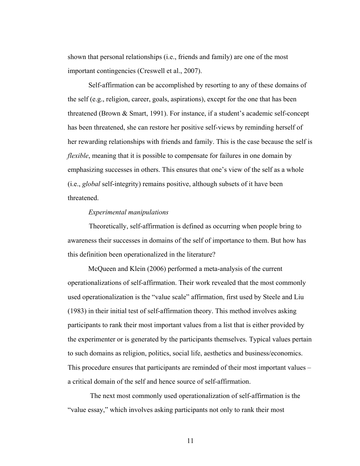shown that personal relationships (i.e., friends and family) are one of the most important contingencies (Creswell et al., 2007).

Self-affirmation can be accomplished by resorting to any of these domains of the self (e.g., religion, career, goals, aspirations), except for the one that has been threatened (Brown & Smart, 1991). For instance, if a student's academic self-concept has been threatened, she can restore her positive self-views by reminding herself of her rewarding relationships with friends and family. This is the case because the self is *flexible*, meaning that it is possible to compensate for failures in one domain by emphasizing successes in others. This ensures that one's view of the self as a whole (i.e., *global* self-integrity) remains positive, although subsets of it have been threatened.

#### *Experimental manipulations*

Theoretically, self-affirmation is defined as occurring when people bring to awareness their successes in domains of the self of importance to them. But how has this definition been operationalized in the literature?

McQueen and Klein (2006) performed a meta-analysis of the current operationalizations of self-affirmation. Their work revealed that the most commonly used operationalization is the "value scale" affirmation, first used by Steele and Liu (1983) in their initial test of self-affirmation theory. This method involves asking participants to rank their most important values from a list that is either provided by the experimenter or is generated by the participants themselves. Typical values pertain to such domains as religion, politics, social life, aesthetics and business/economics. This procedure ensures that participants are reminded of their most important values – a critical domain of the self and hence source of self-affirmation.

 The next most commonly used operationalization of self-affirmation is the "value essay," which involves asking participants not only to rank their most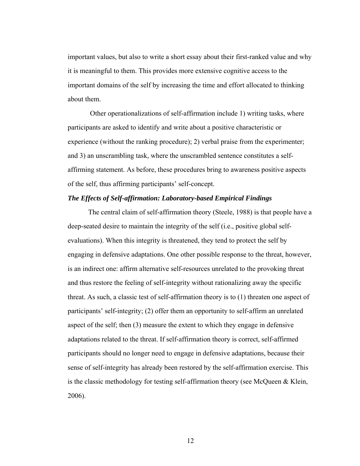important values, but also to write a short essay about their first-ranked value and why it is meaningful to them. This provides more extensive cognitive access to the important domains of the self by increasing the time and effort allocated to thinking about them.

 Other operationalizations of self-affirmation include 1) writing tasks, where participants are asked to identify and write about a positive characteristic or experience (without the ranking procedure); 2) verbal praise from the experimenter; and 3) an unscrambling task, where the unscrambled sentence constitutes a selfaffirming statement. As before, these procedures bring to awareness positive aspects of the self, thus affirming participants' self-concept.

#### *The Effects of Self-affirmation: Laboratory-based Empirical Findings*

The central claim of self-affirmation theory (Steele, 1988) is that people have a deep-seated desire to maintain the integrity of the self (i.e., positive global selfevaluations). When this integrity is threatened, they tend to protect the self by engaging in defensive adaptations. One other possible response to the threat, however, is an indirect one: affirm alternative self-resources unrelated to the provoking threat and thus restore the feeling of self-integrity without rationalizing away the specific threat. As such, a classic test of self-affirmation theory is to (1) threaten one aspect of participants' self-integrity; (2) offer them an opportunity to self-affirm an unrelated aspect of the self; then (3) measure the extent to which they engage in defensive adaptations related to the threat. If self-affirmation theory is correct, self-affirmed participants should no longer need to engage in defensive adaptations, because their sense of self-integrity has already been restored by the self-affirmation exercise. This is the classic methodology for testing self-affirmation theory (see McQueen & Klein, 2006).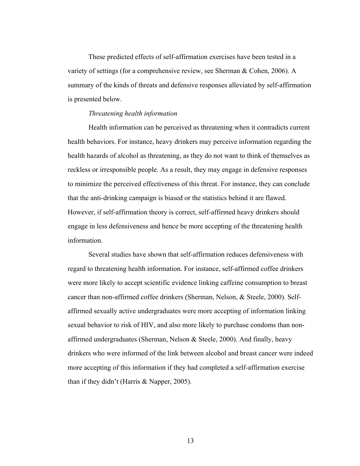These predicted effects of self-affirmation exercises have been tested in a variety of settings (for a comprehensive review, see Sherman & Cohen, 2006). A summary of the kinds of threats and defensive responses alleviated by self-affirmation is presented below.

#### *Threatening health information*

Health information can be perceived as threatening when it contradicts current health behaviors. For instance, heavy drinkers may perceive information regarding the health hazards of alcohol as threatening, as they do not want to think of themselves as reckless or irresponsible people. As a result, they may engage in defensive responses to minimize the perceived effectiveness of this threat. For instance, they can conclude that the anti-drinking campaign is biased or the statistics behind it are flawed. However, if self-affirmation theory is correct, self-affirmed heavy drinkers should engage in less defensiveness and hence be more accepting of the threatening health information.

Several studies have shown that self-affirmation reduces defensiveness with regard to threatening health information. For instance, self-affirmed coffee drinkers were more likely to accept scientific evidence linking caffeine consumption to breast cancer than non-affirmed coffee drinkers (Sherman, Nelson, & Steele, 2000). Selfaffirmed sexually active undergraduates were more accepting of information linking sexual behavior to risk of HIV, and also more likely to purchase condoms than nonaffirmed undergraduates (Sherman, Nelson & Steele, 2000). And finally, heavy drinkers who were informed of the link between alcohol and breast cancer were indeed more accepting of this information if they had completed a self-affirmation exercise than if they didn't (Harris & Napper, 2005).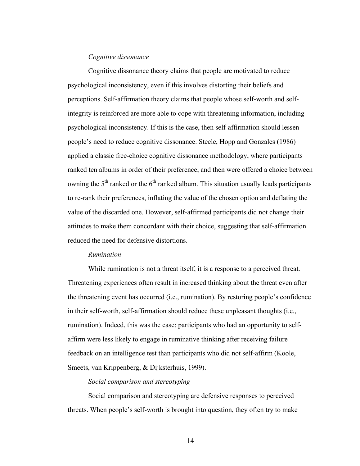#### *Cognitive dissonance*

Cognitive dissonance theory claims that people are motivated to reduce psychological inconsistency, even if this involves distorting their beliefs and perceptions. Self-affirmation theory claims that people whose self-worth and selfintegrity is reinforced are more able to cope with threatening information, including psychological inconsistency. If this is the case, then self-affirmation should lessen people's need to reduce cognitive dissonance. Steele, Hopp and Gonzales (1986) applied a classic free-choice cognitive dissonance methodology, where participants ranked ten albums in order of their preference, and then were offered a choice between owning the  $5<sup>th</sup>$  ranked or the  $6<sup>th</sup>$  ranked album. This situation usually leads participants to re-rank their preferences, inflating the value of the chosen option and deflating the value of the discarded one. However, self-affirmed participants did not change their attitudes to make them concordant with their choice, suggesting that self-affirmation reduced the need for defensive distortions.

#### *Rumination*

While rumination is not a threat itself, it is a response to a perceived threat. Threatening experiences often result in increased thinking about the threat even after the threatening event has occurred (i.e., rumination). By restoring people's confidence in their self-worth, self-affirmation should reduce these unpleasant thoughts (i.e., rumination). Indeed, this was the case: participants who had an opportunity to selfaffirm were less likely to engage in ruminative thinking after receiving failure feedback on an intelligence test than participants who did not self-affirm (Koole, Smeets, van Krippenberg, & Dijksterhuis, 1999).

#### *Social comparison and stereotyping*

Social comparison and stereotyping are defensive responses to perceived threats. When people's self-worth is brought into question, they often try to make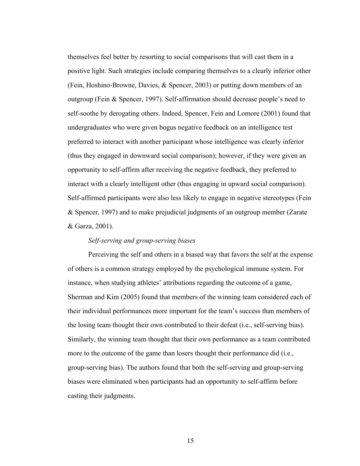themselves feel better by resorting to social comparisons that will cast them in a positive light. Such strategies include comparing themselves to a clearly inferior other (Fein, Hoshino-Browne, Davies, & Spencer, 2003) or putting down members of an outgroup (Fein & Spencer, 1997). Self-affirmation should decrease people's need to self-soothe by derogating others. Indeed, Spencer, Fein and Lomore (2001) found that undergraduates who were given bogus negative feedback on an intelligence test preferred to interact with another participant whose intelligence was clearly inferior (thus they engaged in downward social comparison); however, if they were given an opportunity to self-affirm after receiving the negative feedback, they preferred to interact with a clearly intelligent other (thus engaging in upward social comparison). Self-affirmed participants were also less likely to engage in negative stereotypes (Fein & Spencer, 1997) and to make prejudicial judgments of an outgroup member (Zarate & Garza, 2001).

#### *Self-serving and group-serving biases*

Perceiving the self and others in a biased way that favors the self at the expense of others is a common strategy employed by the psychological immune system. For instance, when studying athletes' attributions regarding the outcome of a game, Sherman and Kim (2005) found that members of the winning team considered each of their individual performances more important for the team's success than members of the losing team thought their own contributed to their defeat (i.e., self-serving bias). Similarly, the winning team thought that their own performance as a team contributed more to the outcome of the game than losers thought their performance did (i.e., group-serving bias). The authors found that both the self-serving and group-serving biases were eliminated when participants had an opportunity to self-affirm before casting their judgments.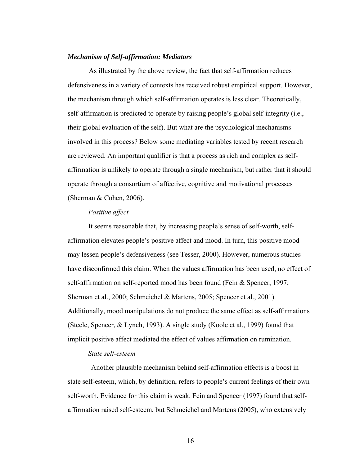#### *Mechanism of Self-affirmation: Mediators*

 As illustrated by the above review, the fact that self-affirmation reduces defensiveness in a variety of contexts has received robust empirical support. However, the mechanism through which self-affirmation operates is less clear. Theoretically, self-affirmation is predicted to operate by raising people's global self-integrity (i.e., their global evaluation of the self). But what are the psychological mechanisms involved in this process? Below some mediating variables tested by recent research are reviewed. An important qualifier is that a process as rich and complex as selfaffirmation is unlikely to operate through a single mechanism, but rather that it should operate through a consortium of affective, cognitive and motivational processes (Sherman & Cohen, 2006).

#### *Positive affect*

It seems reasonable that, by increasing people's sense of self-worth, selfaffirmation elevates people's positive affect and mood. In turn, this positive mood may lessen people's defensiveness (see Tesser, 2000). However, numerous studies have disconfirmed this claim. When the values affirmation has been used, no effect of self-affirmation on self-reported mood has been found (Fein & Spencer, 1997; Sherman et al., 2000; Schmeichel & Martens, 2005; Spencer et al., 2001). Additionally, mood manipulations do not produce the same effect as self-affirmations (Steele, Spencer, & Lynch, 1993). A single study (Koole et al., 1999) found that implicit positive affect mediated the effect of values affirmation on rumination.

#### *State self-esteem*

Another plausible mechanism behind self-affirmation effects is a boost in state self-esteem, which, by definition, refers to people's current feelings of their own self-worth. Evidence for this claim is weak. Fein and Spencer (1997) found that selfaffirmation raised self-esteem, but Schmeichel and Martens (2005), who extensively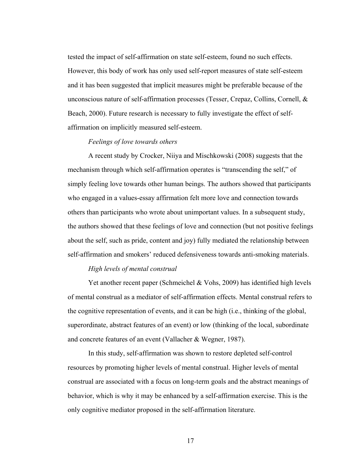tested the impact of self-affirmation on state self-esteem, found no such effects. However, this body of work has only used self-report measures of state self-esteem and it has been suggested that implicit measures might be preferable because of the unconscious nature of self-affirmation processes (Tesser, Crepaz, Collins, Cornell, & Beach, 2000). Future research is necessary to fully investigate the effect of selfaffirmation on implicitly measured self-esteem.

#### *Feelings of love towards others*

A recent study by Crocker, Niiya and Mischkowski (2008) suggests that the mechanism through which self-affirmation operates is "transcending the self," of simply feeling love towards other human beings. The authors showed that participants who engaged in a values-essay affirmation felt more love and connection towards others than participants who wrote about unimportant values. In a subsequent study, the authors showed that these feelings of love and connection (but not positive feelings about the self, such as pride, content and joy) fully mediated the relationship between self-affirmation and smokers' reduced defensiveness towards anti-smoking materials.

#### *High levels of mental construal*

Yet another recent paper (Schmeichel & Vohs, 2009) has identified high levels of mental construal as a mediator of self-affirmation effects. Mental construal refers to the cognitive representation of events, and it can be high (i.e., thinking of the global, superordinate, abstract features of an event) or low (thinking of the local, subordinate and concrete features of an event (Vallacher & Wegner, 1987).

In this study, self-affirmation was shown to restore depleted self-control resources by promoting higher levels of mental construal. Higher levels of mental construal are associated with a focus on long-term goals and the abstract meanings of behavior, which is why it may be enhanced by a self-affirmation exercise. This is the only cognitive mediator proposed in the self-affirmation literature.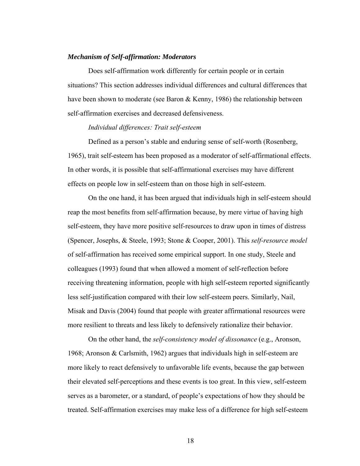#### *Mechanism of Self-affirmation: Moderators*

Does self-affirmation work differently for certain people or in certain situations? This section addresses individual differences and cultural differences that have been shown to moderate (see Baron & Kenny, 1986) the relationship between self-affirmation exercises and decreased defensiveness.

#### *Individual differences: Trait self-esteem*

Defined as a person's stable and enduring sense of self-worth (Rosenberg, 1965), trait self-esteem has been proposed as a moderator of self-affirmational effects. In other words, it is possible that self-affirmational exercises may have different effects on people low in self-esteem than on those high in self-esteem.

On the one hand, it has been argued that individuals high in self-esteem should reap the most benefits from self-affirmation because, by mere virtue of having high self-esteem, they have more positive self-resources to draw upon in times of distress (Spencer, Josephs, & Steele, 1993; Stone & Cooper, 2001). This *self-resource model* of self-affirmation has received some empirical support. In one study, Steele and colleagues (1993) found that when allowed a moment of self-reflection before receiving threatening information, people with high self-esteem reported significantly less self-justification compared with their low self-esteem peers. Similarly, Nail, Misak and Davis (2004) found that people with greater affirmational resources were more resilient to threats and less likely to defensively rationalize their behavior.

On the other hand, the *self-consistency model of dissonance* (e.g., Aronson, 1968; Aronson & Carlsmith, 1962) argues that individuals high in self-esteem are more likely to react defensively to unfavorable life events, because the gap between their elevated self-perceptions and these events is too great. In this view, self-esteem serves as a barometer, or a standard, of people's expectations of how they should be treated. Self-affirmation exercises may make less of a difference for high self-esteem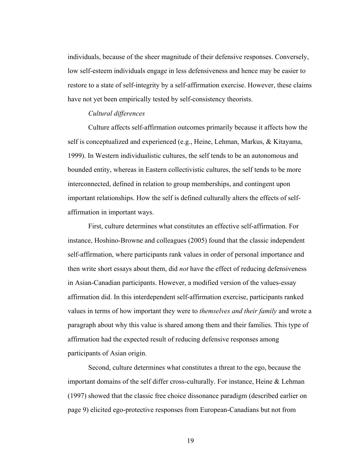individuals, because of the sheer magnitude of their defensive responses. Conversely, low self-esteem individuals engage in less defensiveness and hence may be easier to restore to a state of self-integrity by a self-affirmation exercise. However, these claims have not yet been empirically tested by self-consistency theorists.

#### *Cultural differences*

Culture affects self-affirmation outcomes primarily because it affects how the self is conceptualized and experienced (e.g., Heine, Lehman, Markus, & Kitayama, 1999). In Western individualistic cultures, the self tends to be an autonomous and bounded entity, whereas in Eastern collectivistic cultures, the self tends to be more interconnected, defined in relation to group memberships, and contingent upon important relationships. How the self is defined culturally alters the effects of selfaffirmation in important ways.

First, culture determines what constitutes an effective self-affirmation. For instance, Hoshino-Browne and colleagues (2005) found that the classic independent self-affirmation, where participants rank values in order of personal importance and then write short essays about them, did *not* have the effect of reducing defensiveness in Asian-Canadian participants. However, a modified version of the values-essay affirmation did. In this interdependent self-affirmation exercise, participants ranked values in terms of how important they were to *themselves and their family* and wrote a paragraph about why this value is shared among them and their families. This type of affirmation had the expected result of reducing defensive responses among participants of Asian origin.

Second, culture determines what constitutes a threat to the ego, because the important domains of the self differ cross-culturally. For instance, Heine & Lehman (1997) showed that the classic free choice dissonance paradigm (described earlier on page 9) elicited ego-protective responses from European-Canadians but not from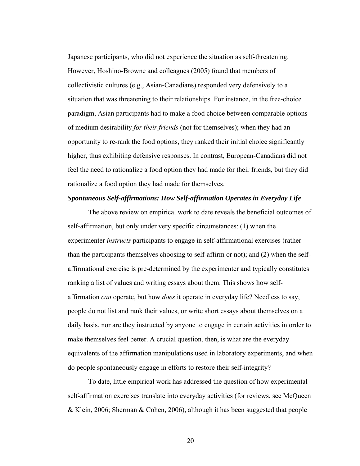Japanese participants, who did not experience the situation as self-threatening. However, Hoshino-Browne and colleagues (2005) found that members of collectivistic cultures (e.g., Asian-Canadians) responded very defensively to a situation that was threatening to their relationships. For instance, in the free-choice paradigm, Asian participants had to make a food choice between comparable options of medium desirability *for their friends* (not for themselves); when they had an opportunity to re-rank the food options, they ranked their initial choice significantly higher, thus exhibiting defensive responses. In contrast, European-Canadians did not feel the need to rationalize a food option they had made for their friends, but they did rationalize a food option they had made for themselves.

#### *Spontaneous Self-affirmations: How Self-affirmation Operates in Everyday Life*

The above review on empirical work to date reveals the beneficial outcomes of self-affirmation, but only under very specific circumstances: (1) when the experimenter *instructs* participants to engage in self-affirmational exercises (rather than the participants themselves choosing to self-affirm or not); and (2) when the selfaffirmational exercise is pre-determined by the experimenter and typically constitutes ranking a list of values and writing essays about them. This shows how selfaffirmation *can* operate, but how *does* it operate in everyday life? Needless to say, people do not list and rank their values, or write short essays about themselves on a daily basis, nor are they instructed by anyone to engage in certain activities in order to make themselves feel better. A crucial question, then, is what are the everyday equivalents of the affirmation manipulations used in laboratory experiments, and when do people spontaneously engage in efforts to restore their self-integrity?

To date, little empirical work has addressed the question of how experimental self-affirmation exercises translate into everyday activities (for reviews, see McQueen & Klein, 2006; Sherman & Cohen, 2006), although it has been suggested that people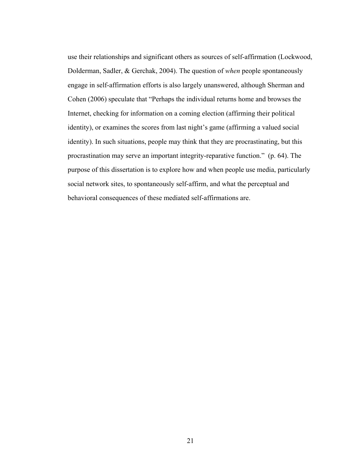use their relationships and significant others as sources of self-affirmation (Lockwood, Dolderman, Sadler, & Gerchak, 2004). The question of *when* people spontaneously engage in self-affirmation efforts is also largely unanswered, although Sherman and Cohen (2006) speculate that "Perhaps the individual returns home and browses the Internet, checking for information on a coming election (affirming their political identity), or examines the scores from last night's game (affirming a valued social identity). In such situations, people may think that they are procrastinating, but this procrastination may serve an important integrity-reparative function." (p. 64). The purpose of this dissertation is to explore how and when people use media, particularly social network sites, to spontaneously self-affirm, and what the perceptual and behavioral consequences of these mediated self-affirmations are.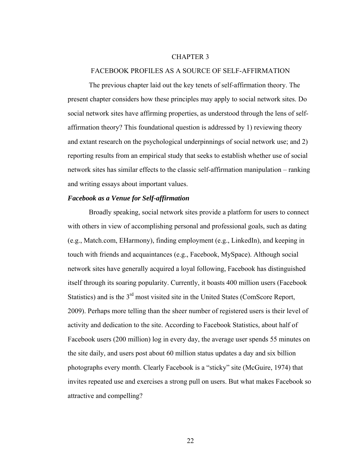#### CHAPTER 3

#### FACEBOOK PROFILES AS A SOURCE OF SELF-AFFIRMATION

The previous chapter laid out the key tenets of self-affirmation theory. The present chapter considers how these principles may apply to social network sites. Do social network sites have affirming properties, as understood through the lens of selfaffirmation theory? This foundational question is addressed by 1) reviewing theory and extant research on the psychological underpinnings of social network use; and 2) reporting results from an empirical study that seeks to establish whether use of social network sites has similar effects to the classic self-affirmation manipulation – ranking and writing essays about important values.

#### *Facebook as a Venue for Self-affirmation*

Broadly speaking, social network sites provide a platform for users to connect with others in view of accomplishing personal and professional goals, such as dating (e.g., Match.com, EHarmony), finding employment (e.g., LinkedIn), and keeping in touch with friends and acquaintances (e.g., Facebook, MySpace). Although social network sites have generally acquired a loyal following, Facebook has distinguished itself through its soaring popularity. Currently, it boasts 400 million users (Facebook Statistics) and is the 3rd most visited site in the United States (ComScore Report, 2009). Perhaps more telling than the sheer number of registered users is their level of activity and dedication to the site. According to Facebook Statistics, about half of Facebook users (200 million) log in every day, the average user spends 55 minutes on the site daily, and users post about 60 million status updates a day and six billion photographs every month. Clearly Facebook is a "sticky" site (McGuire, 1974) that invites repeated use and exercises a strong pull on users. But what makes Facebook so attractive and compelling?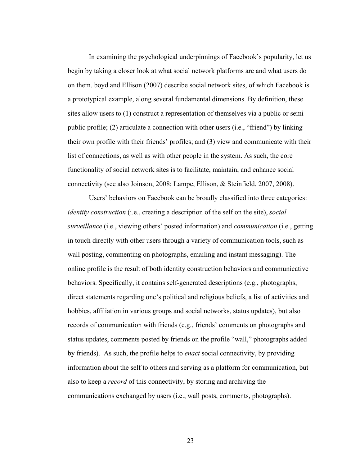In examining the psychological underpinnings of Facebook's popularity, let us begin by taking a closer look at what social network platforms are and what users do on them. boyd and Ellison (2007) describe social network sites, of which Facebook is a prototypical example, along several fundamental dimensions. By definition, these sites allow users to (1) construct a representation of themselves via a public or semipublic profile; (2) articulate a connection with other users (i.e., "friend") by linking their own profile with their friends' profiles; and (3) view and communicate with their list of connections, as well as with other people in the system. As such, the core functionality of social network sites is to facilitate, maintain, and enhance social connectivity (see also Joinson, 2008; Lampe, Ellison, & Steinfield, 2007, 2008).

Users' behaviors on Facebook can be broadly classified into three categories: *identity construction* (i.e., creating a description of the self on the site), *social surveillance* (i.e., viewing others' posted information) and *communication* (i.e., getting in touch directly with other users through a variety of communication tools, such as wall posting, commenting on photographs, emailing and instant messaging). The online profile is the result of both identity construction behaviors and communicative behaviors. Specifically, it contains self-generated descriptions (e.g., photographs, direct statements regarding one's political and religious beliefs, a list of activities and hobbies, affiliation in various groups and social networks, status updates), but also records of communication with friends (e.g., friends' comments on photographs and status updates, comments posted by friends on the profile "wall," photographs added by friends). As such, the profile helps to *enact* social connectivity, by providing information about the self to others and serving as a platform for communication, but also to keep a *record* of this connectivity, by storing and archiving the communications exchanged by users (i.e., wall posts, comments, photographs).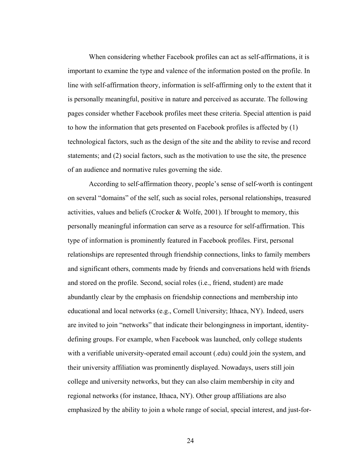When considering whether Facebook profiles can act as self-affirmations, it is important to examine the type and valence of the information posted on the profile. In line with self-affirmation theory, information is self-affirming only to the extent that it is personally meaningful, positive in nature and perceived as accurate. The following pages consider whether Facebook profiles meet these criteria. Special attention is paid to how the information that gets presented on Facebook profiles is affected by (1) technological factors, such as the design of the site and the ability to revise and record statements; and (2) social factors, such as the motivation to use the site, the presence of an audience and normative rules governing the side.

According to self-affirmation theory, people's sense of self-worth is contingent on several "domains" of the self, such as social roles, personal relationships, treasured activities, values and beliefs (Crocker & Wolfe, 2001). If brought to memory, this personally meaningful information can serve as a resource for self-affirmation. This type of information is prominently featured in Facebook profiles. First, personal relationships are represented through friendship connections, links to family members and significant others, comments made by friends and conversations held with friends and stored on the profile. Second, social roles (i.e., friend, student) are made abundantly clear by the emphasis on friendship connections and membership into educational and local networks (e.g., Cornell University; Ithaca, NY). Indeed, users are invited to join "networks" that indicate their belongingness in important, identitydefining groups. For example, when Facebook was launched, only college students with a verifiable university-operated email account (.edu) could join the system, and their university affiliation was prominently displayed. Nowadays, users still join college and university networks, but they can also claim membership in city and regional networks (for instance, Ithaca, NY). Other group affiliations are also emphasized by the ability to join a whole range of social, special interest, and just-for-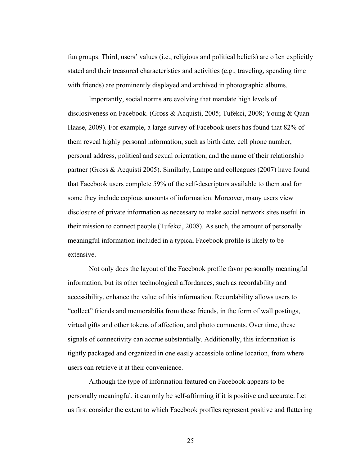fun groups. Third, users' values (i.e., religious and political beliefs) are often explicitly stated and their treasured characteristics and activities (e.g., traveling, spending time with friends) are prominently displayed and archived in photographic albums.

Importantly, social norms are evolving that mandate high levels of disclosiveness on Facebook. (Gross & Acquisti, 2005; Tufekci, 2008; Young & Quan-Haase, 2009). For example, a large survey of Facebook users has found that 82% of them reveal highly personal information, such as birth date, cell phone number, personal address, political and sexual orientation, and the name of their relationship partner (Gross & Acquisti 2005). Similarly, Lampe and colleagues (2007) have found that Facebook users complete 59% of the self-descriptors available to them and for some they include copious amounts of information. Moreover, many users view disclosure of private information as necessary to make social network sites useful in their mission to connect people (Tufekci, 2008). As such, the amount of personally meaningful information included in a typical Facebook profile is likely to be extensive.

Not only does the layout of the Facebook profile favor personally meaningful information, but its other technological affordances, such as recordability and accessibility, enhance the value of this information. Recordability allows users to "collect" friends and memorabilia from these friends, in the form of wall postings, virtual gifts and other tokens of affection, and photo comments. Over time, these signals of connectivity can accrue substantially. Additionally, this information is tightly packaged and organized in one easily accessible online location, from where users can retrieve it at their convenience.

Although the type of information featured on Facebook appears to be personally meaningful, it can only be self-affirming if it is positive and accurate. Let us first consider the extent to which Facebook profiles represent positive and flattering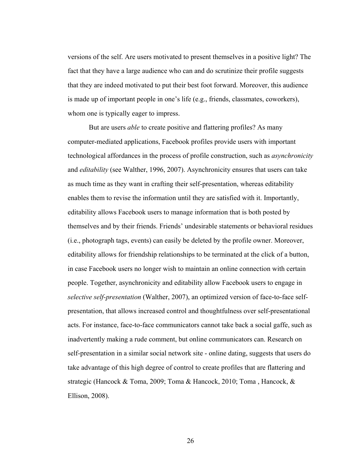versions of the self. Are users motivated to present themselves in a positive light? The fact that they have a large audience who can and do scrutinize their profile suggests that they are indeed motivated to put their best foot forward. Moreover, this audience is made up of important people in one's life (e.g., friends, classmates, coworkers), whom one is typically eager to impress.

But are users *able* to create positive and flattering profiles? As many computer-mediated applications, Facebook profiles provide users with important technological affordances in the process of profile construction, such as *asynchronicity* and *editability* (see Walther, 1996, 2007). Asynchronicity ensures that users can take as much time as they want in crafting their self-presentation, whereas editability enables them to revise the information until they are satisfied with it. Importantly, editability allows Facebook users to manage information that is both posted by themselves and by their friends. Friends' undesirable statements or behavioral residues (i.e., photograph tags, events) can easily be deleted by the profile owner. Moreover, editability allows for friendship relationships to be terminated at the click of a button, in case Facebook users no longer wish to maintain an online connection with certain people. Together, asynchronicity and editability allow Facebook users to engage in *selective self-presentation* (Walther, 2007), an optimized version of face-to-face selfpresentation, that allows increased control and thoughtfulness over self-presentational acts. For instance, face-to-face communicators cannot take back a social gaffe, such as inadvertently making a rude comment, but online communicators can. Research on self-presentation in a similar social network site - online dating, suggests that users do take advantage of this high degree of control to create profiles that are flattering and strategic (Hancock & Toma, 2009; Toma & Hancock, 2010; Toma , Hancock, & Ellison, 2008).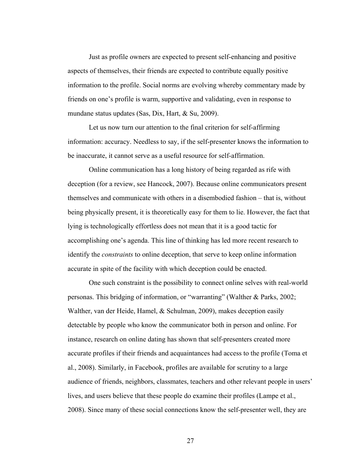Just as profile owners are expected to present self-enhancing and positive aspects of themselves, their friends are expected to contribute equally positive information to the profile. Social norms are evolving whereby commentary made by friends on one's profile is warm, supportive and validating, even in response to mundane status updates (Sas, Dix, Hart, & Su, 2009).

Let us now turn our attention to the final criterion for self-affirming information: accuracy. Needless to say, if the self-presenter knows the information to be inaccurate, it cannot serve as a useful resource for self-affirmation.

Online communication has a long history of being regarded as rife with deception (for a review, see Hancock, 2007). Because online communicators present themselves and communicate with others in a disembodied fashion – that is, without being physically present, it is theoretically easy for them to lie. However, the fact that lying is technologically effortless does not mean that it is a good tactic for accomplishing one's agenda. This line of thinking has led more recent research to identify the *constraints* to online deception, that serve to keep online information accurate in spite of the facility with which deception could be enacted.

One such constraint is the possibility to connect online selves with real-world personas. This bridging of information, or "warranting" (Walther & Parks, 2002; Walther, van der Heide, Hamel, & Schulman, 2009), makes deception easily detectable by people who know the communicator both in person and online. For instance, research on online dating has shown that self-presenters created more accurate profiles if their friends and acquaintances had access to the profile (Toma et al., 2008). Similarly, in Facebook, profiles are available for scrutiny to a large audience of friends, neighbors, classmates, teachers and other relevant people in users' lives, and users believe that these people do examine their profiles (Lampe et al., 2008). Since many of these social connections know the self-presenter well, they are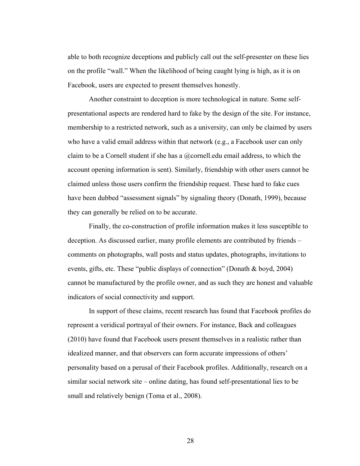able to both recognize deceptions and publicly call out the self-presenter on these lies on the profile "wall." When the likelihood of being caught lying is high, as it is on Facebook, users are expected to present themselves honestly.

Another constraint to deception is more technological in nature. Some selfpresentational aspects are rendered hard to fake by the design of the site. For instance, membership to a restricted network, such as a university, can only be claimed by users who have a valid email address within that network (e.g., a Facebook user can only claim to be a Cornell student if she has a  $@$  cornell.edu email address, to which the account opening information is sent). Similarly, friendship with other users cannot be claimed unless those users confirm the friendship request. These hard to fake cues have been dubbed "assessment signals" by signaling theory (Donath, 1999), because they can generally be relied on to be accurate.

Finally, the co-construction of profile information makes it less susceptible to deception. As discussed earlier, many profile elements are contributed by friends – comments on photographs, wall posts and status updates, photographs, invitations to events, gifts, etc. These "public displays of connection" (Donath & boyd, 2004) cannot be manufactured by the profile owner, and as such they are honest and valuable indicators of social connectivity and support.

In support of these claims, recent research has found that Facebook profiles do represent a veridical portrayal of their owners. For instance, Back and colleagues (2010) have found that Facebook users present themselves in a realistic rather than idealized manner, and that observers can form accurate impressions of others' personality based on a perusal of their Facebook profiles. Additionally, research on a similar social network site – online dating, has found self-presentational lies to be small and relatively benign (Toma et al., 2008).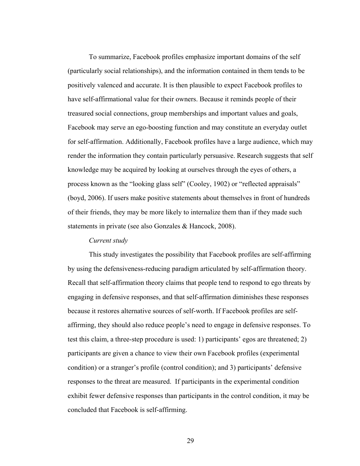To summarize, Facebook profiles emphasize important domains of the self (particularly social relationships), and the information contained in them tends to be positively valenced and accurate. It is then plausible to expect Facebook profiles to have self-affirmational value for their owners. Because it reminds people of their treasured social connections, group memberships and important values and goals, Facebook may serve an ego-boosting function and may constitute an everyday outlet for self-affirmation. Additionally, Facebook profiles have a large audience, which may render the information they contain particularly persuasive. Research suggests that self knowledge may be acquired by looking at ourselves through the eyes of others, a process known as the "looking glass self" (Cooley, 1902) or "reflected appraisals" (boyd, 2006). If users make positive statements about themselves in front of hundreds of their friends, they may be more likely to internalize them than if they made such statements in private (see also Gonzales & Hancock, 2008).

## *Current study*

 This study investigates the possibility that Facebook profiles are self-affirming by using the defensiveness-reducing paradigm articulated by self-affirmation theory. Recall that self-affirmation theory claims that people tend to respond to ego threats by engaging in defensive responses, and that self-affirmation diminishes these responses because it restores alternative sources of self-worth. If Facebook profiles are selfaffirming, they should also reduce people's need to engage in defensive responses. To test this claim, a three-step procedure is used: 1) participants' egos are threatened; 2) participants are given a chance to view their own Facebook profiles (experimental condition) or a stranger's profile (control condition); and 3) participants' defensive responses to the threat are measured. If participants in the experimental condition exhibit fewer defensive responses than participants in the control condition, it may be concluded that Facebook is self-affirming.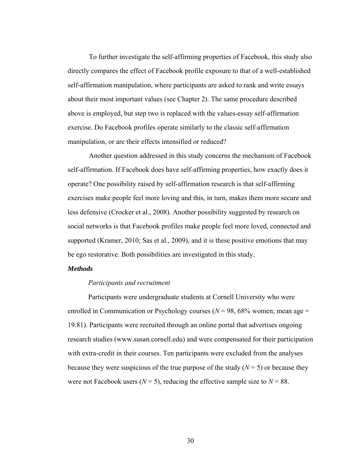To further investigate the self-affirming properties of Facebook, this study also directly compares the effect of Facebook profile exposure to that of a well-established self-affirmation manipulation, where participants are asked to rank and write essays about their most important values (see Chapter 2). The same procedure described above is employed, but step two is replaced with the values-essay self-affirmation exercise. Do Facebook profiles operate similarly to the classic self-affirmation manipulation, or are their effects intensified or reduced?

 Another question addressed in this study concerns the mechanism of Facebook self-affirmation. If Facebook does have self-affirming properties, how exactly does it operate? One possibility raised by self-affirmation research is that self-affirming exercises make people feel more loving and this, in turn, makes them more secure and less defensive (Crocker et al., 2008). Another possibility suggested by research on social networks is that Facebook profiles make people feel more loved, connected and supported (Kramer, 2010; Sas et al., 2009), and it is these positive emotions that may be ego restorative. Both possibilities are investigated in this study.

# *Methods*

#### *Participants and recruitment*

Participants were undergraduate students at Cornell University who were enrolled in Communication or Psychology courses  $(N = 98, 68\%$  women; mean age  $=$ 19.81). Participants were recruited through an online portal that advertises ongoing research studies (www.susan.cornell.edu) and were compensated for their participation with extra-credit in their courses. Ten participants were excluded from the analyses because they were suspicious of the true purpose of the study  $(N = 5)$  or because they were not Facebook users ( $N = 5$ ), reducing the effective sample size to  $N = 88$ .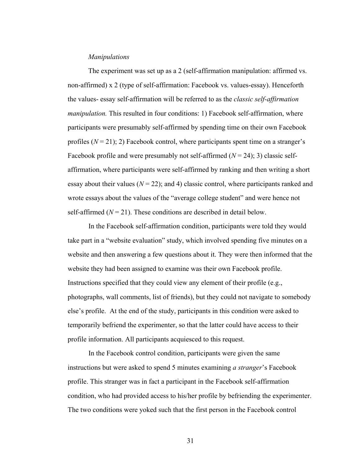#### *Manipulations*

The experiment was set up as a 2 (self-affirmation manipulation: affirmed vs. non-affirmed) x 2 (type of self-affirmation: Facebook vs. values-essay). Henceforth the values- essay self-affirmation will be referred to as the *classic self-affirmation manipulation*. This resulted in four conditions: 1) Facebook self-affirmation, where participants were presumably self-affirmed by spending time on their own Facebook profiles  $(N = 21)$ ; 2) Facebook control, where participants spent time on a stranger's Facebook profile and were presumably not self-affirmed  $(N = 24)$ ; 3) classic selfaffirmation, where participants were self-affirmed by ranking and then writing a short essay about their values  $(N = 22)$ ; and 4) classic control, where participants ranked and wrote essays about the values of the "average college student" and were hence not self-affirmed  $(N = 21)$ . These conditions are described in detail below.

In the Facebook self-affirmation condition, participants were told they would take part in a "website evaluation" study, which involved spending five minutes on a website and then answering a few questions about it. They were then informed that the website they had been assigned to examine was their own Facebook profile. Instructions specified that they could view any element of their profile (e.g., photographs, wall comments, list of friends), but they could not navigate to somebody else's profile. At the end of the study, participants in this condition were asked to temporarily befriend the experimenter, so that the latter could have access to their profile information. All participants acquiesced to this request.

In the Facebook control condition, participants were given the same instructions but were asked to spend 5 minutes examining *a stranger*'s Facebook profile. This stranger was in fact a participant in the Facebook self-affirmation condition, who had provided access to his/her profile by befriending the experimenter. The two conditions were yoked such that the first person in the Facebook control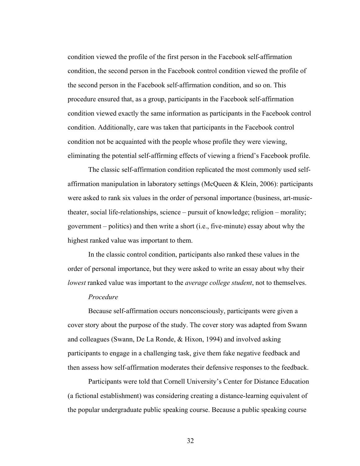condition viewed the profile of the first person in the Facebook self-affirmation condition, the second person in the Facebook control condition viewed the profile of the second person in the Facebook self-affirmation condition, and so on. This procedure ensured that, as a group, participants in the Facebook self-affirmation condition viewed exactly the same information as participants in the Facebook control condition. Additionally, care was taken that participants in the Facebook control condition not be acquainted with the people whose profile they were viewing, eliminating the potential self-affirming effects of viewing a friend's Facebook profile.

The classic self-affirmation condition replicated the most commonly used selfaffirmation manipulation in laboratory settings (McQueen & Klein, 2006): participants were asked to rank six values in the order of personal importance (business, art-musictheater, social life-relationships, science – pursuit of knowledge; religion – morality; government – politics) and then write a short (i.e., five-minute) essay about why the highest ranked value was important to them.

In the classic control condition, participants also ranked these values in the order of personal importance, but they were asked to write an essay about why their *lowest* ranked value was important to the *average college student*, not to themselves.

#### *Procedure*

Because self-affirmation occurs nonconsciously, participants were given a cover story about the purpose of the study. The cover story was adapted from Swann and colleagues (Swann, De La Ronde, & Hixon, 1994) and involved asking participants to engage in a challenging task, give them fake negative feedback and then assess how self-affirmation moderates their defensive responses to the feedback.

Participants were told that Cornell University's Center for Distance Education (a fictional establishment) was considering creating a distance-learning equivalent of the popular undergraduate public speaking course. Because a public speaking course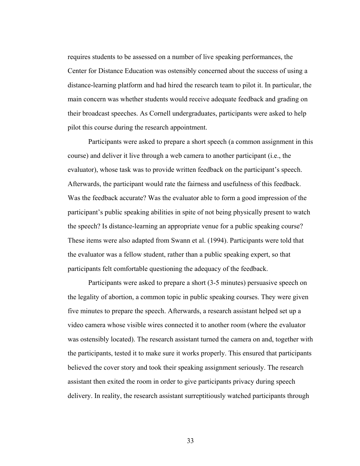requires students to be assessed on a number of live speaking performances, the Center for Distance Education was ostensibly concerned about the success of using a distance-learning platform and had hired the research team to pilot it. In particular, the main concern was whether students would receive adequate feedback and grading on their broadcast speeches. As Cornell undergraduates, participants were asked to help pilot this course during the research appointment.

Participants were asked to prepare a short speech (a common assignment in this course) and deliver it live through a web camera to another participant (i.e., the evaluator), whose task was to provide written feedback on the participant's speech. Afterwards, the participant would rate the fairness and usefulness of this feedback. Was the feedback accurate? Was the evaluator able to form a good impression of the participant's public speaking abilities in spite of not being physically present to watch the speech? Is distance-learning an appropriate venue for a public speaking course? These items were also adapted from Swann et al. (1994). Participants were told that the evaluator was a fellow student, rather than a public speaking expert, so that participants felt comfortable questioning the adequacy of the feedback.

Participants were asked to prepare a short (3-5 minutes) persuasive speech on the legality of abortion, a common topic in public speaking courses. They were given five minutes to prepare the speech. Afterwards, a research assistant helped set up a video camera whose visible wires connected it to another room (where the evaluator was ostensibly located). The research assistant turned the camera on and, together with the participants, tested it to make sure it works properly. This ensured that participants believed the cover story and took their speaking assignment seriously. The research assistant then exited the room in order to give participants privacy during speech delivery. In reality, the research assistant surreptitiously watched participants through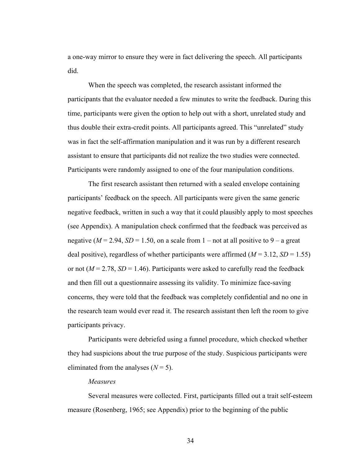a one-way mirror to ensure they were in fact delivering the speech. All participants did.

When the speech was completed, the research assistant informed the participants that the evaluator needed a few minutes to write the feedback. During this time, participants were given the option to help out with a short, unrelated study and thus double their extra-credit points. All participants agreed. This "unrelated" study was in fact the self-affirmation manipulation and it was run by a different research assistant to ensure that participants did not realize the two studies were connected. Participants were randomly assigned to one of the four manipulation conditions.

The first research assistant then returned with a sealed envelope containing participants' feedback on the speech. All participants were given the same generic negative feedback, written in such a way that it could plausibly apply to most speeches (see Appendix). A manipulation check confirmed that the feedback was perceived as negative ( $M = 2.94$ ,  $SD = 1.50$ , on a scale from 1 – not at all positive to 9 – a great deal positive), regardless of whether participants were affirmed  $(M = 3.12, SD = 1.55)$ or not  $(M = 2.78, SD = 1.46)$ . Participants were asked to carefully read the feedback and then fill out a questionnaire assessing its validity. To minimize face-saving concerns, they were told that the feedback was completely confidential and no one in the research team would ever read it. The research assistant then left the room to give participants privacy.

Participants were debriefed using a funnel procedure, which checked whether they had suspicions about the true purpose of the study. Suspicious participants were eliminated from the analyses  $(N = 5)$ .

### *Measures*

Several measures were collected. First, participants filled out a trait self-esteem measure (Rosenberg, 1965; see Appendix) prior to the beginning of the public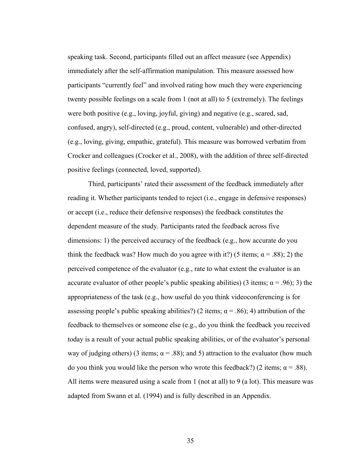speaking task. Second, participants filled out an affect measure (see Appendix) immediately after the self-affirmation manipulation. This measure assessed how participants "currently feel" and involved rating how much they were experiencing twenty possible feelings on a scale from 1 (not at all) to 5 (extremely). The feelings were both positive (e.g., loving, joyful, giving) and negative (e.g., scared, sad, confused, angry), self-directed (e.g., proud, content, vulnerable) and other-directed (e.g., loving, giving, empathic, grateful). This measure was borrowed verbatim from Crocker and colleagues (Crocker et al., 2008), with the addition of three self-directed positive feelings (connected, loved, supported).

Third, participants' rated their assessment of the feedback immediately after reading it. Whether participants tended to reject (i.e., engage in defensive responses) or accept (i.e., reduce their defensive responses) the feedback constitutes the dependent measure of the study. Participants rated the feedback across five dimensions: 1) the perceived accuracy of the feedback (e.g., how accurate do you think the feedback was? How much do you agree with it?) (5 items;  $\alpha = .88$ ); 2) the perceived competence of the evaluator (e.g., rate to what extent the evaluator is an accurate evaluator of other people's public speaking abilities) (3 items;  $\alpha$  = .96); 3) the appropriateness of the task (e.g., how useful do you think videoconferencing is for assessing people's public speaking abilities?) (2 items;  $\alpha$  = .86); 4) attribution of the feedback to themselves or someone else (e.g., do you think the feedback you received today is a result of your actual public speaking abilities, or of the evaluator's personal way of judging others) (3 items;  $\alpha$  = .88); and 5) attraction to the evaluator (how much do you think you would like the person who wrote this feedback?) (2 items;  $\alpha = .88$ ). All items were measured using a scale from 1 (not at all) to 9 (a lot). This measure was adapted from Swann et al. (1994) and is fully described in an Appendix.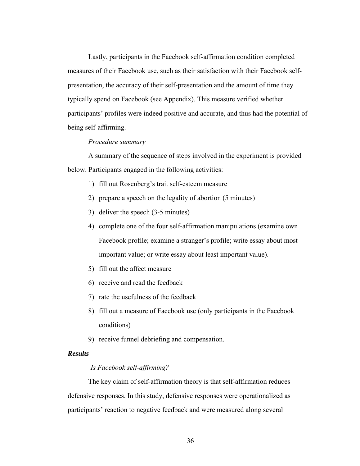Lastly, participants in the Facebook self-affirmation condition completed measures of their Facebook use, such as their satisfaction with their Facebook selfpresentation, the accuracy of their self-presentation and the amount of time they typically spend on Facebook (see Appendix). This measure verified whether participants' profiles were indeed positive and accurate, and thus had the potential of being self-affirming.

#### *Procedure summary*

A summary of the sequence of steps involved in the experiment is provided below. Participants engaged in the following activities:

- 1) fill out Rosenberg's trait self-esteem measure
- 2) prepare a speech on the legality of abortion (5 minutes)
- 3) deliver the speech (3-5 minutes)
- 4) complete one of the four self-affirmation manipulations (examine own Facebook profile; examine a stranger's profile; write essay about most important value; or write essay about least important value).
- 5) fill out the affect measure
- 6) receive and read the feedback
- 7) rate the usefulness of the feedback
- 8) fill out a measure of Facebook use (only participants in the Facebook conditions)
- 9) receive funnel debriefing and compensation.

# *Results*

### *Is Facebook self-affirming?*

The key claim of self-affirmation theory is that self-affirmation reduces defensive responses. In this study, defensive responses were operationalized as participants' reaction to negative feedback and were measured along several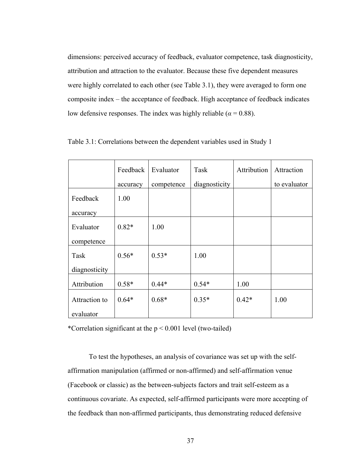dimensions: perceived accuracy of feedback, evaluator competence, task diagnosticity, attribution and attraction to the evaluator. Because these five dependent measures were highly correlated to each other (see Table 3.1), they were averaged to form one composite index – the acceptance of feedback. High acceptance of feedback indicates low defensive responses. The index was highly reliable ( $\alpha$  = 0.88).

|               | Feedback | Evaluator  | Task          | Attribution | Attraction   |
|---------------|----------|------------|---------------|-------------|--------------|
|               | accuracy | competence | diagnosticity |             | to evaluator |
| Feedback      | 1.00     |            |               |             |              |
| accuracy      |          |            |               |             |              |
| Evaluator     | $0.82*$  | 1.00       |               |             |              |
| competence    |          |            |               |             |              |
| Task          | $0.56*$  | $0.53*$    | 1.00          |             |              |
| diagnosticity |          |            |               |             |              |
| Attribution   | $0.58*$  | $0.44*$    | $0.54*$       | 1.00        |              |
| Attraction to | $0.64*$  | $0.68*$    | $0.35*$       | $0.42*$     | 1.00         |
| evaluator     |          |            |               |             |              |

Table 3.1: Correlations between the dependent variables used in Study 1

\*Correlation significant at the  $p < 0.001$  level (two-tailed)

To test the hypotheses, an analysis of covariance was set up with the selfaffirmation manipulation (affirmed or non-affirmed) and self-affirmation venue (Facebook or classic) as the between-subjects factors and trait self-esteem as a continuous covariate. As expected, self-affirmed participants were more accepting of the feedback than non-affirmed participants, thus demonstrating reduced defensive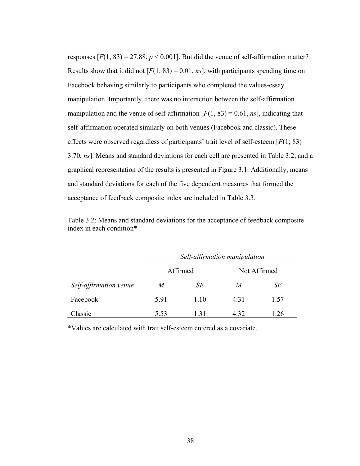responses  $[F(1, 83) = 27.88, p < 0.001]$ . But did the venue of self-affirmation matter? Results show that it did not  $[F(1, 83) = 0.01, ns]$ , with participants spending time on Facebook behaving similarly to participants who completed the values-essay manipulation. Importantly, there was no interaction between the self-affirmation manipulation and the venue of self-affirmation  $[F(1, 83) = 0.61, ns]$ , indicating that self-affirmation operated similarly on both venues (Facebook and classic). These effects were observed regardless of participants' trait level of self-esteem [*F*(1; 83) = 3.70, *ns*]. Means and standard deviations for each cell are presented in Table 3.2, and a graphical representation of the results is presented in Figure 3.1. Additionally, means and standard deviations for each of the five dependent measures that formed the acceptance of feedback composite index are included in Table 3.3.

| Table 3.2: Means and standard deviations for the acceptance of feedback composite |  |  |
|-----------------------------------------------------------------------------------|--|--|
| index in each condition*                                                          |  |  |

|                        | Self-affirmation manipulation |          |       |              |  |
|------------------------|-------------------------------|----------|-------|--------------|--|
|                        |                               | Affirmed |       | Not Affirmed |  |
| Self-affirmation venue | M                             | SЕ       | M     | SЕ           |  |
| Facebook               | 5.91                          | 1.10     | 4 3 1 | 1.57         |  |
| Classic                | 5.53                          | 131      | 4 3 2 | 1.26         |  |

\*Values are calculated with trait self-esteem entered as a covariate.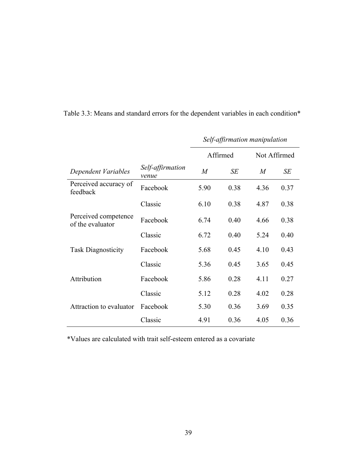|                                          |                           | Self-affirmation manipulation |      |              |      |
|------------------------------------------|---------------------------|-------------------------------|------|--------------|------|
|                                          |                           | Affirmed                      |      | Not Affirmed |      |
| Dependent Variables                      | Self-affirmation<br>venue | $\overline{M}$                | SE   | M            | SE   |
| Perceived accuracy of<br>feedback        | Facebook                  | 5.90                          | 0.38 | 4.36         | 0.37 |
|                                          | Classic                   | 6.10                          | 0.38 | 4.87         | 0.38 |
| Perceived competence<br>of the evaluator | Facebook                  | 6.74                          | 0.40 | 4.66         | 0.38 |
|                                          | Classic                   | 6.72                          | 0.40 | 5.24         | 0.40 |
| <b>Task Diagnosticity</b>                | Facebook                  | 5.68                          | 0.45 | 4.10         | 0.43 |
|                                          | Classic                   | 5.36                          | 0.45 | 3.65         | 0.45 |
| Attribution                              | Facebook                  | 5.86                          | 0.28 | 4.11         | 0.27 |
|                                          | Classic                   | 5.12                          | 0.28 | 4.02         | 0.28 |
| Attraction to evaluator                  | Facebook                  | 5.30                          | 0.36 | 3.69         | 0.35 |
|                                          | Classic                   | 4.91                          | 0.36 | 4.05         | 0.36 |

Table 3.3: Means and standard errors for the dependent variables in each condition\*

\*Values are calculated with trait self-esteem entered as a covariate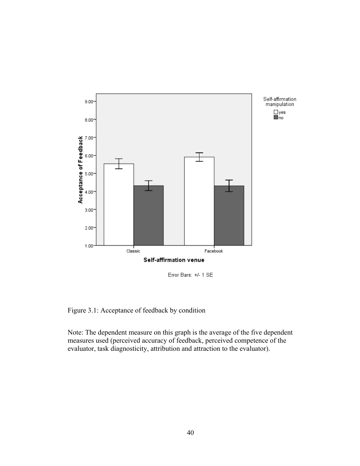

Error Bars: +/- 1 SE

Figure 3.1: Acceptance of feedback by condition

Note: The dependent measure on this graph is the average of the five dependent measures used (perceived accuracy of feedback, perceived competence of the evaluator, task diagnosticity, attribution and attraction to the evaluator).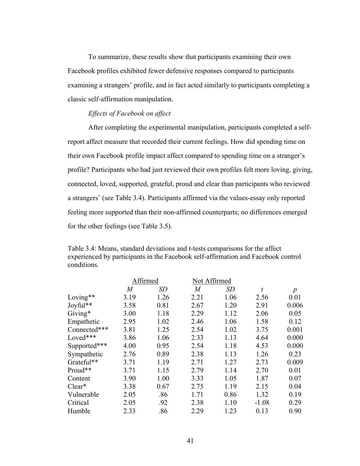To summarize, these results show that participants examining their own Facebook profiles exhibited fewer defensive responses compared to participants examining a strangers' profile, and in fact acted similarly to participants completing a classic self-affirmation manipulation.

### *Effects of Facebook on affect*

After completing the experimental manipulation, participants completed a selfreport affect measure that recorded their current feelings. How did spending time on their own Facebook profile impact affect compared to spending time on a stranger's profile? Participants who had just reviewed their own profiles felt more loving, giving, connected, loved, supported, grateful, proud and clear than participants who reviewed a strangers' (see Table 3.4). Participants affirmed via the values-essay only reported feeling more supported than their non-affirmed counterparts; no differences emerged for the other feelings (see Table 3.5).

Table 3.4: Means, standard deviations and t-tests comparisons for the affect experienced by participants in the Facebook self-affirmation and Facebook control conditions.

|              | Affirmed |           |                | Not Affirmed |         |                  |
|--------------|----------|-----------|----------------|--------------|---------|------------------|
|              | M        | <b>SD</b> | $\overline{M}$ | SD           | t       | $\boldsymbol{p}$ |
| Loving**     | 3.19     | 1.26      | 2.21           | 1.06         | 2.56    | 0.01             |
| Joyful**     | 3.58     | 0.81      | 2.67           | 1.20         | 2.91    | 0.006            |
| Giving*      | 3.00     | 1.18      | 2.29           | 1.12         | 2.06    | 0.05             |
| Empathetic   | 2.95     | 1.02      | 2.46           | 1.06         | 1.58    | 0.12             |
| Connected*** | 3.81     | 1.25      | 2.54           | 1.02         | 3.75    | 0.001            |
| Loved***     | 3.86     | 1.06      | 2.33           | 1.13         | 4.64    | 0.000            |
| Supported*** | 4.00     | 0.95      | 2.54           | 1.18         | 4.53    | 0.000            |
| Sympathetic  | 2.76     | 0.89      | 2.38           | 1.13         | 1.26    | 0.23             |
| Grateful**   | 3.71     | 1.19      | 2.71           | 1.27         | 2.73    | 0.009            |
| Proud**      | 3.71     | 1.15      | 2.79           | 1.14         | 2.70    | 0.01             |
| Content      | 3.90     | 1.00      | 3.33           | 1.05         | 1.87    | 0.07             |
| $Clear*$     | 3.38     | 0.67      | 2.75           | 1.19         | 2.15    | 0.04             |
| Vulnerable   | 2.05     | .86       | 1.71           | 0.86         | 1.32    | 0.19             |
| Critical     | 2.05     | .92       | 2.38           | 1.10         | $-1.08$ | 0.29             |
| Humble       | 2.33     | .86       | 2.29           | 1.23         | 0.13    | 0.90             |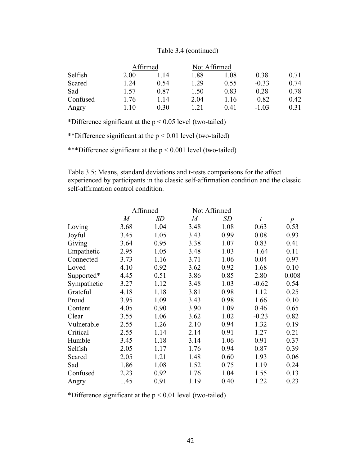# Table 3.4 (continued)

|          |      | Affirmed | Not Affirmed |      |         |      |  |
|----------|------|----------|--------------|------|---------|------|--|
| Selfish  | 2.00 | -14      | 1.88         | 1.08 | 0.38    | 0.71 |  |
| Scared   | 1.24 | 0.54     | 1.29         | 0.55 | $-0.33$ | 0.74 |  |
| Sad      | 1.57 | 0.87     | 1.50         | 0.83 | 0.28    | 0.78 |  |
| Confused | 1.76 | -14      | 2.04         | 1.16 | $-0.82$ | 0.42 |  |
| Angry    | 10   | 0.30     | 121          | 041  | $-1.03$ | 0.31 |  |

\*Difference significant at the  $p < 0.05$  level (two-tailed)

\*\*Difference significant at the  $p < 0.01$  level (two-tailed)

\*\*\*Difference significant at the p < 0.001 level (two-tailed)

Table 3.5: Means, standard deviations and t-tests comparisons for the affect experienced by participants in the classic self-affirmation condition and the classic self-affirmation control condition.

|             | Affirmed       |      |                | Not Affirmed |                  |                  |
|-------------|----------------|------|----------------|--------------|------------------|------------------|
|             | $\overline{M}$ | SD   | $\overline{M}$ | <b>SD</b>    | $\boldsymbol{t}$ | $\boldsymbol{p}$ |
| Loving      | 3.68           | 1.04 | 3.48           | 1.08         | 0.63             | 0.53             |
| Joyful      | 3.45           | 1.05 | 3.43           | 0.99         | 0.08             | 0.93             |
| Giving      | 3.64           | 0.95 | 3.38           | 1.07         | 0.83             | 0.41             |
| Empathetic  | 2.95           | 1.05 | 3.48           | 1.03         | $-1.64$          | 0.11             |
| Connected   | 3.73           | 1.16 | 3.71           | 1.06         | 0.04             | 0.97             |
| Loved       | 4.10           | 0.92 | 3.62           | 0.92         | 1.68             | 0.10             |
| Supported*  | 4.45           | 0.51 | 3.86           | 0.85         | 2.80             | 0.008            |
| Sympathetic | 3.27           | 1.12 | 3.48           | 1.03         | $-0.62$          | 0.54             |
| Grateful    | 4.18           | 1.18 | 3.81           | 0.98         | 1.12             | 0.25             |
| Proud       | 3.95           | 1.09 | 3.43           | 0.98         | 1.66             | 0.10             |
| Content     | 4.05           | 0.90 | 3.90           | 1.09         | 0.46             | 0.65             |
| Clear       | 3.55           | 1.06 | 3.62           | 1.02         | $-0.23$          | 0.82             |
| Vulnerable  | 2.55           | 1.26 | 2.10           | 0.94         | 1.32             | 0.19             |
| Critical    | 2.55           | 1.14 | 2.14           | 0.91         | 1.27             | 0.21             |
| Humble      | 3.45           | 1.18 | 3.14           | 1.06         | 0.91             | 0.37             |
| Selfish     | 2.05           | 1.17 | 1.76           | 0.94         | 0.87             | 0.39             |
| Scared      | 2.05           | 1.21 | 1.48           | 0.60         | 1.93             | 0.06             |
| Sad         | 1.86           | 1.08 | 1.52           | 0.75         | 1.19             | 0.24             |
| Confused    | 2.23           | 0.92 | 1.76           | 1.04         | 1.55             | 0.13             |
| Angry       | 1.45           | 0.91 | 1.19           | 0.40         | 1.22             | 0.23             |

\*Difference significant at the  $p < 0.01$  level (two-tailed)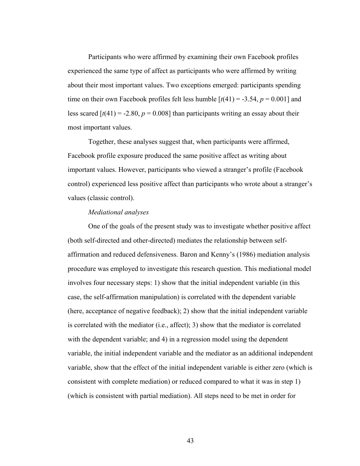Participants who were affirmed by examining their own Facebook profiles experienced the same type of affect as participants who were affirmed by writing about their most important values. Two exceptions emerged: participants spending time on their own Facebook profiles felt less humble  $[t(41) = -3.54, p = 0.001]$  and less scared  $[t(41) = -2.80, p = 0.008]$  than participants writing an essay about their most important values.

Together, these analyses suggest that, when participants were affirmed, Facebook profile exposure produced the same positive affect as writing about important values. However, participants who viewed a stranger's profile (Facebook control) experienced less positive affect than participants who wrote about a stranger's values (classic control).

#### *Mediational analyses*

One of the goals of the present study was to investigate whether positive affect (both self-directed and other-directed) mediates the relationship between selfaffirmation and reduced defensiveness. Baron and Kenny's (1986) mediation analysis procedure was employed to investigate this research question. This mediational model involves four necessary steps: 1) show that the initial independent variable (in this case, the self-affirmation manipulation) is correlated with the dependent variable (here, acceptance of negative feedback); 2) show that the initial independent variable is correlated with the mediator (i.e., affect); 3) show that the mediator is correlated with the dependent variable; and 4) in a regression model using the dependent variable, the initial independent variable and the mediator as an additional independent variable, show that the effect of the initial independent variable is either zero (which is consistent with complete mediation) or reduced compared to what it was in step 1) (which is consistent with partial mediation). All steps need to be met in order for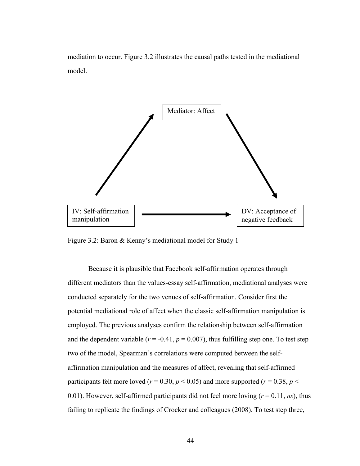mediation to occur. Figure 3.2 illustrates the causal paths tested in the mediational model.



Figure 3.2: Baron & Kenny's mediational model for Study 1

Because it is plausible that Facebook self-affirmation operates through different mediators than the values-essay self-affirmation, mediational analyses were conducted separately for the two venues of self-affirmation. Consider first the potential mediational role of affect when the classic self-affirmation manipulation is employed. The previous analyses confirm the relationship between self-affirmation and the dependent variable ( $r = -0.41$ ,  $p = 0.007$ ), thus fulfilling step one. To test step two of the model, Spearman's correlations were computed between the selfaffirmation manipulation and the measures of affect, revealing that self-affirmed participants felt more loved ( $r = 0.30$ ,  $p < 0.05$ ) and more supported ( $r = 0.38$ ,  $p <$ 0.01). However, self-affirmed participants did not feel more loving  $(r = 0.11, ns)$ , thus failing to replicate the findings of Crocker and colleagues (2008). To test step three,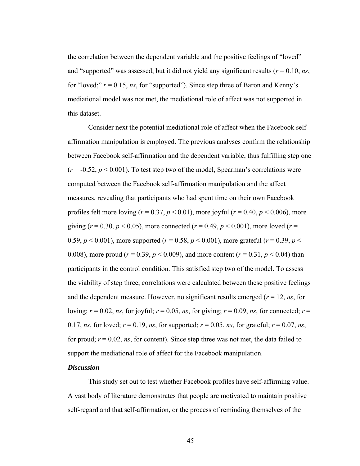the correlation between the dependent variable and the positive feelings of "loved" and "supported" was assessed, but it did not yield any significant results ( $r = 0.10$ ,  $ns$ , for "loved;"  $r = 0.15$ , *ns*, for "supported"). Since step three of Baron and Kenny's mediational model was not met, the mediational role of affect was not supported in this dataset.

Consider next the potential mediational role of affect when the Facebook selfaffirmation manipulation is employed. The previous analyses confirm the relationship between Facebook self-affirmation and the dependent variable, thus fulfilling step one  $(r = -0.52, p < 0.001)$ . To test step two of the model, Spearman's correlations were computed between the Facebook self-affirmation manipulation and the affect measures, revealing that participants who had spent time on their own Facebook profiles felt more loving ( $r = 0.37$ ,  $p < 0.01$ ), more joyful ( $r = 0.40$ ,  $p < 0.006$ ), more giving ( $r = 0.30$ ,  $p < 0.05$ ), more connected ( $r = 0.49$ ,  $p < 0.001$ ), more loved ( $r =$ 0.59,  $p < 0.001$ ), more supported ( $r = 0.58$ ,  $p < 0.001$ ), more grateful ( $r = 0.39$ ,  $p <$ 0.008), more proud ( $r = 0.39$ ,  $p < 0.009$ ), and more content ( $r = 0.31$ ,  $p < 0.04$ ) than participants in the control condition. This satisfied step two of the model. To assess the viability of step three, correlations were calculated between these positive feelings and the dependent measure. However, no significant results emerged  $(r = 12, ns,$  for loving;  $r = 0.02$ , *ns*, for joyful;  $r = 0.05$ , *ns*, for giving;  $r = 0.09$ , *ns*, for connected;  $r =$ 0.17, *ns*, for loved;  $r = 0.19$ , *ns*, for supported;  $r = 0.05$ , *ns*, for grateful;  $r = 0.07$ , *ns*, for proud;  $r = 0.02$ , *ns*, for content). Since step three was not met, the data failed to support the mediational role of affect for the Facebook manipulation.

### *Discussion*

This study set out to test whether Facebook profiles have self-affirming value. A vast body of literature demonstrates that people are motivated to maintain positive self-regard and that self-affirmation, or the process of reminding themselves of the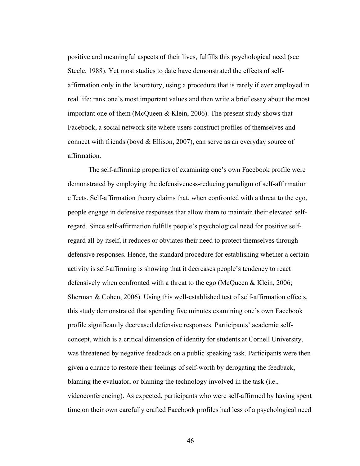positive and meaningful aspects of their lives, fulfills this psychological need (see Steele, 1988). Yet most studies to date have demonstrated the effects of selfaffirmation only in the laboratory, using a procedure that is rarely if ever employed in real life: rank one's most important values and then write a brief essay about the most important one of them (McQueen & Klein, 2006). The present study shows that Facebook, a social network site where users construct profiles of themselves and connect with friends (boyd & Ellison, 2007), can serve as an everyday source of affirmation.

The self-affirming properties of examining one's own Facebook profile were demonstrated by employing the defensiveness-reducing paradigm of self-affirmation effects. Self-affirmation theory claims that, when confronted with a threat to the ego, people engage in defensive responses that allow them to maintain their elevated selfregard. Since self-affirmation fulfills people's psychological need for positive selfregard all by itself, it reduces or obviates their need to protect themselves through defensive responses. Hence, the standard procedure for establishing whether a certain activity is self-affirming is showing that it decreases people's tendency to react defensively when confronted with a threat to the ego (McQueen & Klein, 2006; Sherman & Cohen, 2006). Using this well-established test of self-affirmation effects, this study demonstrated that spending five minutes examining one's own Facebook profile significantly decreased defensive responses. Participants' academic selfconcept, which is a critical dimension of identity for students at Cornell University, was threatened by negative feedback on a public speaking task. Participants were then given a chance to restore their feelings of self-worth by derogating the feedback, blaming the evaluator, or blaming the technology involved in the task (i.e., videoconferencing). As expected, participants who were self-affirmed by having spent time on their own carefully crafted Facebook profiles had less of a psychological need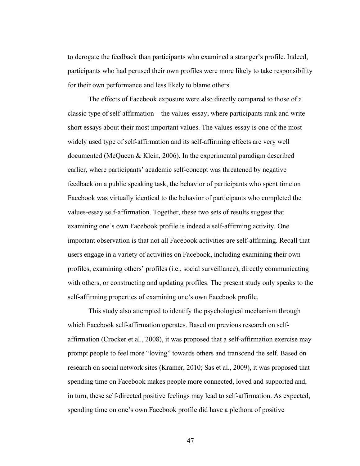to derogate the feedback than participants who examined a stranger's profile. Indeed, participants who had perused their own profiles were more likely to take responsibility for their own performance and less likely to blame others.

The effects of Facebook exposure were also directly compared to those of a classic type of self-affirmation – the values-essay, where participants rank and write short essays about their most important values. The values-essay is one of the most widely used type of self-affirmation and its self-affirming effects are very well documented (McQueen & Klein, 2006). In the experimental paradigm described earlier, where participants' academic self-concept was threatened by negative feedback on a public speaking task, the behavior of participants who spent time on Facebook was virtually identical to the behavior of participants who completed the values-essay self-affirmation. Together, these two sets of results suggest that examining one's own Facebook profile is indeed a self-affirming activity. One important observation is that not all Facebook activities are self-affirming. Recall that users engage in a variety of activities on Facebook, including examining their own profiles, examining others' profiles (i.e., social surveillance), directly communicating with others, or constructing and updating profiles. The present study only speaks to the self-affirming properties of examining one's own Facebook profile.

This study also attempted to identify the psychological mechanism through which Facebook self-affirmation operates. Based on previous research on selfaffirmation (Crocker et al., 2008), it was proposed that a self-affirmation exercise may prompt people to feel more "loving" towards others and transcend the self. Based on research on social network sites (Kramer, 2010; Sas et al., 2009), it was proposed that spending time on Facebook makes people more connected, loved and supported and, in turn, these self-directed positive feelings may lead to self-affirmation. As expected, spending time on one's own Facebook profile did have a plethora of positive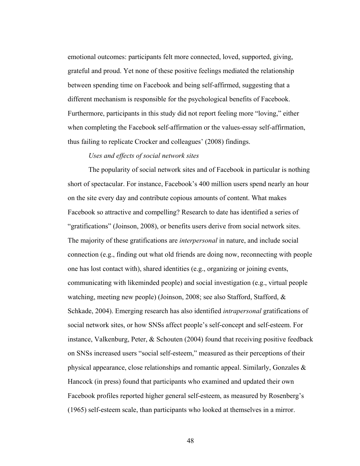emotional outcomes: participants felt more connected, loved, supported, giving, grateful and proud. Yet none of these positive feelings mediated the relationship between spending time on Facebook and being self-affirmed, suggesting that a different mechanism is responsible for the psychological benefits of Facebook. Furthermore, participants in this study did not report feeling more "loving," either when completing the Facebook self-affirmation or the values-essay self-affirmation, thus failing to replicate Crocker and colleagues' (2008) findings.

# *Uses and effects of social network sites*

The popularity of social network sites and of Facebook in particular is nothing short of spectacular. For instance, Facebook's 400 million users spend nearly an hour on the site every day and contribute copious amounts of content. What makes Facebook so attractive and compelling? Research to date has identified a series of "gratifications" (Joinson, 2008), or benefits users derive from social network sites. The majority of these gratifications are *interpersonal* in nature, and include social connection (e.g., finding out what old friends are doing now, reconnecting with people one has lost contact with), shared identities (e.g., organizing or joining events, communicating with likeminded people) and social investigation (e.g., virtual people watching, meeting new people) (Joinson, 2008; see also Stafford, Stafford, & Schkade, 2004). Emerging research has also identified *intrapersonal* gratifications of social network sites, or how SNSs affect people's self-concept and self-esteem. For instance, Valkenburg, Peter, & Schouten (2004) found that receiving positive feedback on SNSs increased users "social self-esteem," measured as their perceptions of their physical appearance, close relationships and romantic appeal. Similarly, Gonzales & Hancock (in press) found that participants who examined and updated their own Facebook profiles reported higher general self-esteem, as measured by Rosenberg's (1965) self-esteem scale, than participants who looked at themselves in a mirror.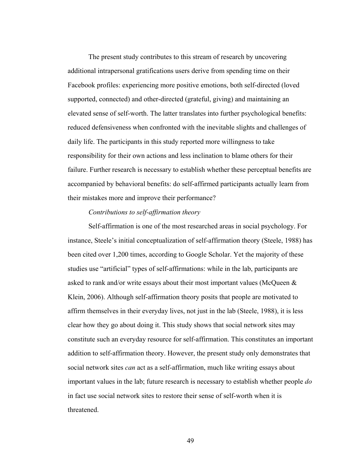The present study contributes to this stream of research by uncovering additional intrapersonal gratifications users derive from spending time on their Facebook profiles: experiencing more positive emotions, both self-directed (loved supported, connected) and other-directed (grateful, giving) and maintaining an elevated sense of self-worth. The latter translates into further psychological benefits: reduced defensiveness when confronted with the inevitable slights and challenges of daily life. The participants in this study reported more willingness to take responsibility for their own actions and less inclination to blame others for their failure. Further research is necessary to establish whether these perceptual benefits are accompanied by behavioral benefits: do self-affirmed participants actually learn from their mistakes more and improve their performance?

### *Contributions to self-affirmation theory*

Self-affirmation is one of the most researched areas in social psychology. For instance, Steele's initial conceptualization of self-affirmation theory (Steele, 1988) has been cited over 1,200 times, according to Google Scholar. Yet the majority of these studies use "artificial" types of self-affirmations: while in the lab, participants are asked to rank and/or write essays about their most important values (McQueen & Klein, 2006). Although self-affirmation theory posits that people are motivated to affirm themselves in their everyday lives, not just in the lab (Steele, 1988), it is less clear how they go about doing it. This study shows that social network sites may constitute such an everyday resource for self-affirmation. This constitutes an important addition to self-affirmation theory. However, the present study only demonstrates that social network sites *can* act as a self-affirmation, much like writing essays about important values in the lab; future research is necessary to establish whether people *do* in fact use social network sites to restore their sense of self-worth when it is threatened.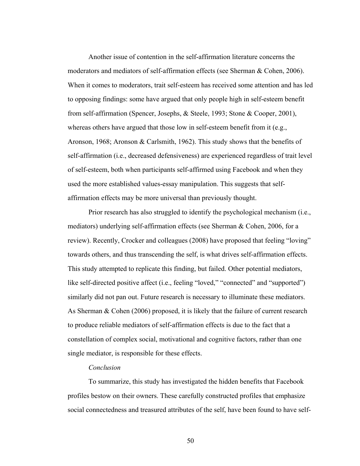Another issue of contention in the self-affirmation literature concerns the moderators and mediators of self-affirmation effects (see Sherman & Cohen, 2006). When it comes to moderators, trait self-esteem has received some attention and has led to opposing findings: some have argued that only people high in self-esteem benefit from self-affirmation (Spencer, Josephs, & Steele, 1993; Stone & Cooper, 2001), whereas others have argued that those low in self-esteem benefit from it (e.g., Aronson, 1968; Aronson & Carlsmith, 1962). This study shows that the benefits of self-affirmation (i.e., decreased defensiveness) are experienced regardless of trait level of self-esteem, both when participants self-affirmed using Facebook and when they used the more established values-essay manipulation. This suggests that selfaffirmation effects may be more universal than previously thought.

Prior research has also struggled to identify the psychological mechanism (i.e., mediators) underlying self-affirmation effects (see Sherman & Cohen, 2006, for a review). Recently, Crocker and colleagues (2008) have proposed that feeling "loving" towards others, and thus transcending the self, is what drives self-affirmation effects. This study attempted to replicate this finding, but failed. Other potential mediators, like self-directed positive affect (i.e., feeling "loved," "connected" and "supported") similarly did not pan out. Future research is necessary to illuminate these mediators. As Sherman & Cohen (2006) proposed, it is likely that the failure of current research to produce reliable mediators of self-affirmation effects is due to the fact that a constellation of complex social, motivational and cognitive factors, rather than one single mediator, is responsible for these effects.

### *Conclusion*

To summarize, this study has investigated the hidden benefits that Facebook profiles bestow on their owners. These carefully constructed profiles that emphasize social connectedness and treasured attributes of the self, have been found to have self-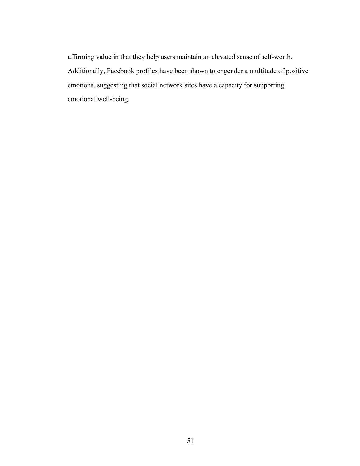affirming value in that they help users maintain an elevated sense of self-worth. Additionally, Facebook profiles have been shown to engender a multitude of positive emotions, suggesting that social network sites have a capacity for supporting emotional well-being.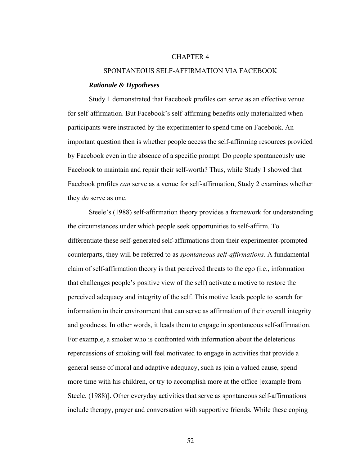#### CHAPTER 4

#### SPONTANEOUS SELF-AFFIRMATION VIA FACEBOOK

#### *Rationale & Hypotheses*

Study 1 demonstrated that Facebook profiles can serve as an effective venue for self-affirmation. But Facebook's self-affirming benefits only materialized when participants were instructed by the experimenter to spend time on Facebook. An important question then is whether people access the self-affirming resources provided by Facebook even in the absence of a specific prompt. Do people spontaneously use Facebook to maintain and repair their self-worth? Thus, while Study 1 showed that Facebook profiles *can* serve as a venue for self-affirmation, Study 2 examines whether they *do* serve as one.

 Steele's (1988) self-affirmation theory provides a framework for understanding the circumstances under which people seek opportunities to self-affirm. To differentiate these self-generated self-affirmations from their experimenter-prompted counterparts, they will be referred to as *spontaneous self-affirmations.* A fundamental claim of self-affirmation theory is that perceived threats to the ego (i.e., information that challenges people's positive view of the self) activate a motive to restore the perceived adequacy and integrity of the self. This motive leads people to search for information in their environment that can serve as affirmation of their overall integrity and goodness. In other words, it leads them to engage in spontaneous self-affirmation. For example, a smoker who is confronted with information about the deleterious repercussions of smoking will feel motivated to engage in activities that provide a general sense of moral and adaptive adequacy, such as join a valued cause, spend more time with his children, or try to accomplish more at the office [example from Steele, (1988)]. Other everyday activities that serve as spontaneous self-affirmations include therapy, prayer and conversation with supportive friends. While these coping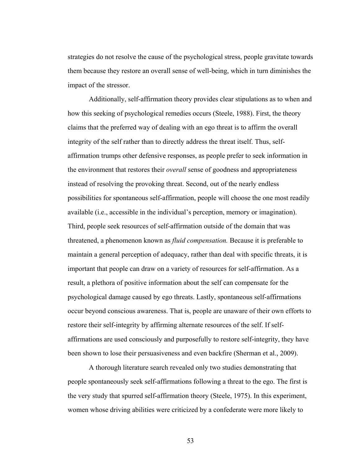strategies do not resolve the cause of the psychological stress, people gravitate towards them because they restore an overall sense of well-being, which in turn diminishes the impact of the stressor.

Additionally, self-affirmation theory provides clear stipulations as to when and how this seeking of psychological remedies occurs (Steele, 1988). First, the theory claims that the preferred way of dealing with an ego threat is to affirm the overall integrity of the self rather than to directly address the threat itself. Thus, selfaffirmation trumps other defensive responses, as people prefer to seek information in the environment that restores their *overall* sense of goodness and appropriateness instead of resolving the provoking threat. Second, out of the nearly endless possibilities for spontaneous self-affirmation, people will choose the one most readily available (i.e., accessible in the individual's perception, memory or imagination). Third, people seek resources of self-affirmation outside of the domain that was threatened, a phenomenon known as *fluid compensation.* Because it is preferable to maintain a general perception of adequacy, rather than deal with specific threats, it is important that people can draw on a variety of resources for self-affirmation. As a result, a plethora of positive information about the self can compensate for the psychological damage caused by ego threats. Lastly, spontaneous self-affirmations occur beyond conscious awareness. That is, people are unaware of their own efforts to restore their self-integrity by affirming alternate resources of the self. If selfaffirmations are used consciously and purposefully to restore self-integrity, they have been shown to lose their persuasiveness and even backfire (Sherman et al., 2009).

A thorough literature search revealed only two studies demonstrating that people spontaneously seek self-affirmations following a threat to the ego. The first is the very study that spurred self-affirmation theory (Steele, 1975). In this experiment, women whose driving abilities were criticized by a confederate were more likely to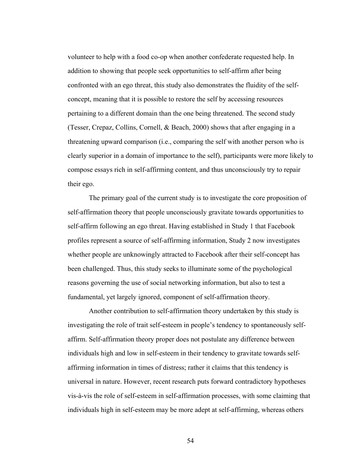volunteer to help with a food co-op when another confederate requested help. In addition to showing that people seek opportunities to self-affirm after being confronted with an ego threat, this study also demonstrates the fluidity of the selfconcept, meaning that it is possible to restore the self by accessing resources pertaining to a different domain than the one being threatened. The second study (Tesser, Crepaz, Collins, Cornell, & Beach, 2000) shows that after engaging in a threatening upward comparison (i.e., comparing the self with another person who is clearly superior in a domain of importance to the self), participants were more likely to compose essays rich in self-affirming content, and thus unconsciously try to repair their ego.

The primary goal of the current study is to investigate the core proposition of self-affirmation theory that people unconsciously gravitate towards opportunities to self-affirm following an ego threat. Having established in Study 1 that Facebook profiles represent a source of self-affirming information, Study 2 now investigates whether people are unknowingly attracted to Facebook after their self-concept has been challenged. Thus, this study seeks to illuminate some of the psychological reasons governing the use of social networking information, but also to test a fundamental, yet largely ignored, component of self-affirmation theory.

Another contribution to self-affirmation theory undertaken by this study is investigating the role of trait self-esteem in people's tendency to spontaneously selfaffirm. Self-affirmation theory proper does not postulate any difference between individuals high and low in self-esteem in their tendency to gravitate towards selfaffirming information in times of distress; rather it claims that this tendency is universal in nature. However, recent research puts forward contradictory hypotheses vis-à-vis the role of self-esteem in self-affirmation processes, with some claiming that individuals high in self-esteem may be more adept at self-affirming, whereas others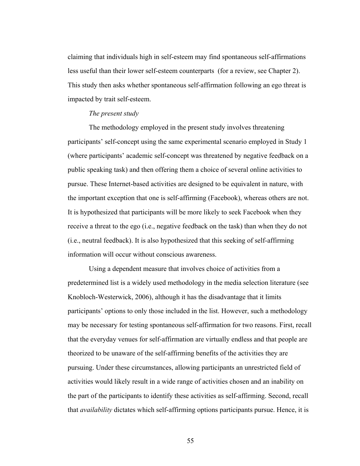claiming that individuals high in self-esteem may find spontaneous self-affirmations less useful than their lower self-esteem counterparts (for a review, see Chapter 2). This study then asks whether spontaneous self-affirmation following an ego threat is impacted by trait self-esteem.

### *The present study*

The methodology employed in the present study involves threatening participants' self-concept using the same experimental scenario employed in Study 1 (where participants' academic self-concept was threatened by negative feedback on a public speaking task) and then offering them a choice of several online activities to pursue. These Internet-based activities are designed to be equivalent in nature, with the important exception that one is self-affirming (Facebook), whereas others are not. It is hypothesized that participants will be more likely to seek Facebook when they receive a threat to the ego (i.e., negative feedback on the task) than when they do not (i.e., neutral feedback). It is also hypothesized that this seeking of self-affirming information will occur without conscious awareness.

Using a dependent measure that involves choice of activities from a predetermined list is a widely used methodology in the media selection literature (see Knobloch-Westerwick, 2006), although it has the disadvantage that it limits participants' options to only those included in the list. However, such a methodology may be necessary for testing spontaneous self-affirmation for two reasons. First, recall that the everyday venues for self-affirmation are virtually endless and that people are theorized to be unaware of the self-affirming benefits of the activities they are pursuing. Under these circumstances, allowing participants an unrestricted field of activities would likely result in a wide range of activities chosen and an inability on the part of the participants to identify these activities as self-affirming. Second, recall that *availability* dictates which self-affirming options participants pursue. Hence, it is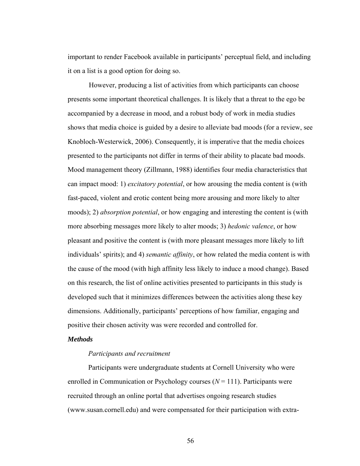important to render Facebook available in participants' perceptual field, and including it on a list is a good option for doing so.

However, producing a list of activities from which participants can choose presents some important theoretical challenges. It is likely that a threat to the ego be accompanied by a decrease in mood, and a robust body of work in media studies shows that media choice is guided by a desire to alleviate bad moods (for a review, see Knobloch-Westerwick, 2006). Consequently, it is imperative that the media choices presented to the participants not differ in terms of their ability to placate bad moods. Mood management theory (Zillmann, 1988) identifies four media characteristics that can impact mood: 1) *excitatory potential*, or how arousing the media content is (with fast-paced, violent and erotic content being more arousing and more likely to alter moods); 2) *absorption potential*, or how engaging and interesting the content is (with more absorbing messages more likely to alter moods; 3) *hedonic valence*, or how pleasant and positive the content is (with more pleasant messages more likely to lift individuals' spirits); and 4) *semantic affinity*, or how related the media content is with the cause of the mood (with high affinity less likely to induce a mood change). Based on this research, the list of online activities presented to participants in this study is developed such that it minimizes differences between the activities along these key dimensions. Additionally, participants' perceptions of how familiar, engaging and positive their chosen activity was were recorded and controlled for.

# *Methods*

### *Participants and recruitment*

Participants were undergraduate students at Cornell University who were enrolled in Communication or Psychology courses (*N* = 111). Participants were recruited through an online portal that advertises ongoing research studies (www.susan.cornell.edu) and were compensated for their participation with extra-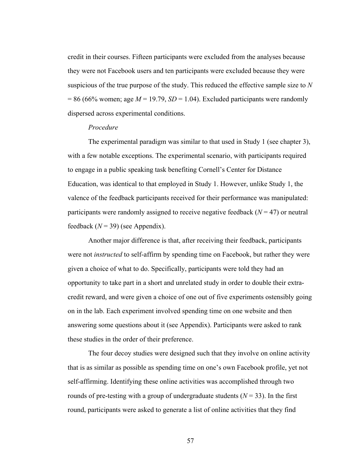credit in their courses. Fifteen participants were excluded from the analyses because they were not Facebook users and ten participants were excluded because they were suspicious of the true purpose of the study. This reduced the effective sample size to *N*  $= 86$  (66% women; age  $M = 19.79$ ,  $SD = 1.04$ ). Excluded participants were randomly dispersed across experimental conditions.

#### *Procedure*

The experimental paradigm was similar to that used in Study 1 (see chapter 3), with a few notable exceptions. The experimental scenario, with participants required to engage in a public speaking task benefiting Cornell's Center for Distance Education, was identical to that employed in Study 1. However, unlike Study 1, the valence of the feedback participants received for their performance was manipulated: participants were randomly assigned to receive negative feedback  $(N = 47)$  or neutral feedback  $(N = 39)$  (see Appendix).

Another major difference is that, after receiving their feedback, participants were not *instructed* to self-affirm by spending time on Facebook, but rather they were given a choice of what to do. Specifically, participants were told they had an opportunity to take part in a short and unrelated study in order to double their extracredit reward, and were given a choice of one out of five experiments ostensibly going on in the lab. Each experiment involved spending time on one website and then answering some questions about it (see Appendix). Participants were asked to rank these studies in the order of their preference.

The four decoy studies were designed such that they involve on online activity that is as similar as possible as spending time on one's own Facebook profile, yet not self-affirming. Identifying these online activities was accomplished through two rounds of pre-testing with a group of undergraduate students  $(N = 33)$ . In the first round, participants were asked to generate a list of online activities that they find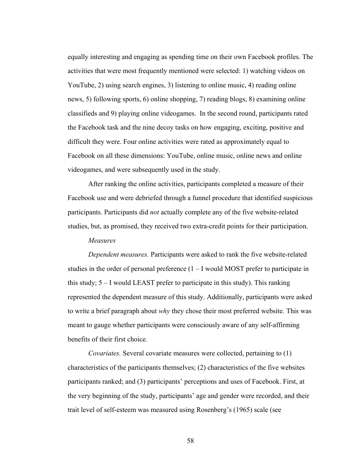equally interesting and engaging as spending time on their own Facebook profiles. The activities that were most frequently mentioned were selected: 1) watching videos on YouTube, 2) using search engines, 3) listening to online music, 4) reading online news, 5) following sports, 6) online shopping, 7) reading blogs, 8) examining online classifieds and 9) playing online videogames. In the second round, participants rated the Facebook task and the nine decoy tasks on how engaging, exciting, positive and difficult they were. Four online activities were rated as approximately equal to Facebook on all these dimensions: YouTube, online music, online news and online videogames, and were subsequently used in the study.

After ranking the online activities, participants completed a measure of their Facebook use and were debriefed through a funnel procedure that identified suspicious participants. Participants did *not* actually complete any of the five website-related studies, but, as promised, they received two extra-credit points for their participation.

## *Measures*

*Dependent measures.* Participants were asked to rank the five website-related studies in the order of personal preference  $(1 - I$  would MOST prefer to participate in this study; 5 – I would LEAST prefer to participate in this study). This ranking represented the dependent measure of this study. Additionally, participants were asked to write a brief paragraph about *why* they chose their most preferred website. This was meant to gauge whether participants were consciously aware of any self-affirming benefits of their first choice.

*Covariates.* Several covariate measures were collected, pertaining to (1) characteristics of the participants themselves; (2) characteristics of the five websites participants ranked; and (3) participants' perceptions and uses of Facebook. First, at the very beginning of the study, participants' age and gender were recorded, and their trait level of self-esteem was measured using Rosenberg's (1965) scale (see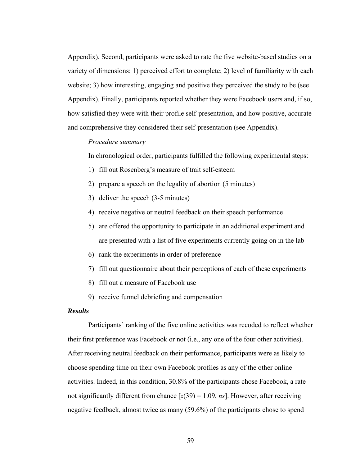Appendix). Second, participants were asked to rate the five website-based studies on a variety of dimensions: 1) perceived effort to complete; 2) level of familiarity with each website; 3) how interesting, engaging and positive they perceived the study to be (see Appendix). Finally, participants reported whether they were Facebook users and, if so, how satisfied they were with their profile self-presentation, and how positive, accurate and comprehensive they considered their self-presentation (see Appendix).

### *Procedure summary*

In chronological order, participants fulfilled the following experimental steps:

- 1) fill out Rosenberg's measure of trait self-esteem
- 2) prepare a speech on the legality of abortion (5 minutes)
- 3) deliver the speech (3-5 minutes)
- 4) receive negative or neutral feedback on their speech performance
- 5) are offered the opportunity to participate in an additional experiment and are presented with a list of five experiments currently going on in the lab
- 6) rank the experiments in order of preference
- 7) fill out questionnaire about their perceptions of each of these experiments
- 8) fill out a measure of Facebook use
- 9) receive funnel debriefing and compensation

## *Results*

Participants' ranking of the five online activities was recoded to reflect whether their first preference was Facebook or not (i.e., any one of the four other activities). After receiving neutral feedback on their performance, participants were as likely to choose spending time on their own Facebook profiles as any of the other online activities. Indeed, in this condition, 30.8% of the participants chose Facebook, a rate not significantly different from chance  $[z(39) = 1.09, ns]$ . However, after receiving negative feedback, almost twice as many (59.6%) of the participants chose to spend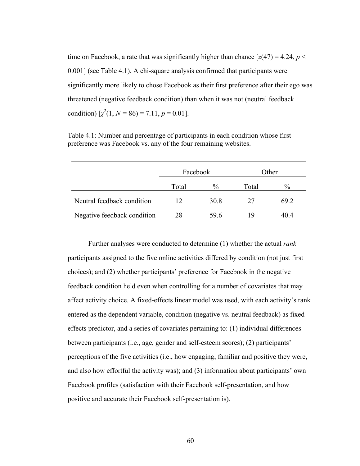time on Facebook, a rate that was significantly higher than chance  $[z(47) = 4.24, p <$ 0.001] (see Table 4.1). A chi-square analysis confirmed that participants were significantly more likely to chose Facebook as their first preference after their ego was threatened (negative feedback condition) than when it was not (neutral feedback condition)  $[\chi^2(1, N = 86) = 7.11, p = 0.01]$ .

|                             | Facebook |      |       | Other |
|-----------------------------|----------|------|-------|-------|
|                             | Total    | $\%$ | Total | $\%$  |
| Neutral feedback condition  | 12       | 30.8 | 27    | 69 2  |
| Negative feedback condition | 28       | 59.6 | 19    | 40.4  |

Table 4.1: Number and percentage of participants in each condition whose first preference was Facebook vs. any of the four remaining websites.

Further analyses were conducted to determine (1) whether the actual *rank* participants assigned to the five online activities differed by condition (not just first choices); and (2) whether participants' preference for Facebook in the negative feedback condition held even when controlling for a number of covariates that may affect activity choice. A fixed-effects linear model was used, with each activity's rank entered as the dependent variable, condition (negative vs. neutral feedback) as fixedeffects predictor, and a series of covariates pertaining to: (1) individual differences between participants (i.e., age, gender and self-esteem scores); (2) participants' perceptions of the five activities (i.e., how engaging, familiar and positive they were, and also how effortful the activity was); and (3) information about participants' own Facebook profiles (satisfaction with their Facebook self-presentation, and how positive and accurate their Facebook self-presentation is).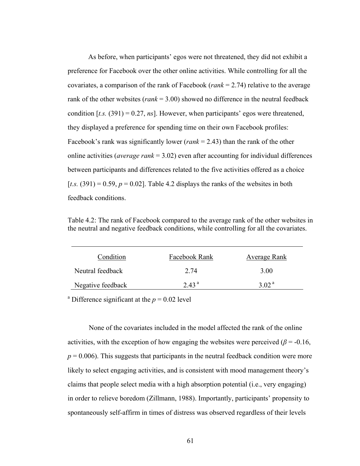As before, when participants' egos were not threatened, they did not exhibit a preference for Facebook over the other online activities. While controlling for all the covariates, a comparison of the rank of Facebook (*rank* = 2.74) relative to the average rank of the other websites (*rank* = 3.00) showed no difference in the neutral feedback condition  $[t_0.5]$ ,  $(391) = 0.27$ ,  $ns$ ]. However, when participants' egos were threatened, they displayed a preference for spending time on their own Facebook profiles: Facebook's rank was significantly lower (*rank* = 2.43) than the rank of the other online activities (*average rank* = 3.02) even after accounting for individual differences between participants and differences related to the five activities offered as a choice [ $t.s.$  (391) = 0.59,  $p = 0.02$ ]. Table 4.2 displays the ranks of the websites in both feedback conditions.

Table 4.2: The rank of Facebook compared to the average rank of the other websites in the neutral and negative feedback conditions, while controlling for all the covariates.

| Condition         | Facebook Rank     | <b>Average Rank</b> |
|-------------------|-------------------|---------------------|
| Neutral feedback  | 2.74              | 3.00                |
| Negative feedback | 2.43 <sup>a</sup> | 3.02 $a$            |

<sup>a</sup> Difference significant at the  $p = 0.02$  level

None of the covariates included in the model affected the rank of the online activities, with the exception of how engaging the websites were perceived ( $\beta$  = -0.16,  $p = 0.006$ ). This suggests that participants in the neutral feedback condition were more likely to select engaging activities, and is consistent with mood management theory's claims that people select media with a high absorption potential (i.e., very engaging) in order to relieve boredom (Zillmann, 1988). Importantly, participants' propensity to spontaneously self-affirm in times of distress was observed regardless of their levels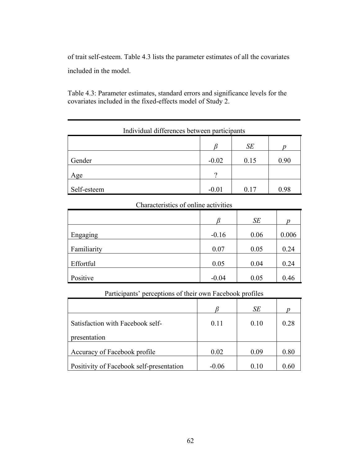of trait self-esteem. Table 4.3 lists the parameter estimates of all the covariates included in the model.

Table 4.3: Parameter estimates, standard errors and significance levels for the covariates included in the fixed-effects model of Study 2.

# Individual differences between participants

|             |         | SE   |      |
|-------------|---------|------|------|
| Gender      | $-0.02$ | 0.15 | 0.90 |
| Age         |         |      |      |
| Self-esteem | $-0.01$ | 0.17 | 0.98 |

# Characteristics of online activities

|             |         | SE   | n     |
|-------------|---------|------|-------|
| Engaging    | $-0.16$ | 0.06 | 0.006 |
| Familiarity | 0.07    | 0.05 | 0.24  |
| Effortful   | 0.05    | 0.04 | 0.24  |
| Positive    | $-0.04$ | 0.05 | 0.46  |

# Participants' perceptions of their own Facebook profiles

|                                          |         | SE   |        |
|------------------------------------------|---------|------|--------|
| Satisfaction with Facebook self-         | 0.11    | 0.10 | 0.28   |
| presentation                             |         |      |        |
| Accuracy of Facebook profile             | 0.02    | 0.09 | 0.80   |
| Positivity of Facebook self-presentation | $-0.06$ | 010  | () 6() |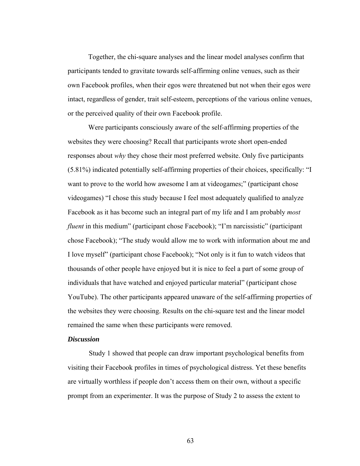Together, the chi-square analyses and the linear model analyses confirm that participants tended to gravitate towards self-affirming online venues, such as their own Facebook profiles, when their egos were threatened but not when their egos were intact, regardless of gender, trait self-esteem, perceptions of the various online venues, or the perceived quality of their own Facebook profile.

Were participants consciously aware of the self-affirming properties of the websites they were choosing? Recall that participants wrote short open-ended responses about *why* they chose their most preferred website. Only five participants (5.81%) indicated potentially self-affirming properties of their choices, specifically: "I want to prove to the world how awesome I am at videogames;" (participant chose videogames) "I chose this study because I feel most adequately qualified to analyze Facebook as it has become such an integral part of my life and I am probably *most fluent* in this medium" (participant chose Facebook); "I'm narcissistic" (participant chose Facebook); "The study would allow me to work with information about me and I love myself" (participant chose Facebook); "Not only is it fun to watch videos that thousands of other people have enjoyed but it is nice to feel a part of some group of individuals that have watched and enjoyed particular material" (participant chose YouTube). The other participants appeared unaware of the self-affirming properties of the websites they were choosing. Results on the chi-square test and the linear model remained the same when these participants were removed.

#### *Discussion*

Study 1 showed that people can draw important psychological benefits from visiting their Facebook profiles in times of psychological distress. Yet these benefits are virtually worthless if people don't access them on their own, without a specific prompt from an experimenter. It was the purpose of Study 2 to assess the extent to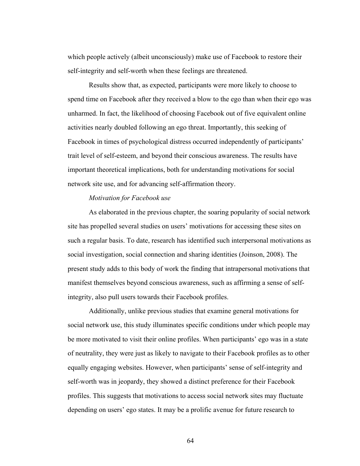which people actively (albeit unconsciously) make use of Facebook to restore their self-integrity and self-worth when these feelings are threatened.

Results show that, as expected, participants were more likely to choose to spend time on Facebook after they received a blow to the ego than when their ego was unharmed. In fact, the likelihood of choosing Facebook out of five equivalent online activities nearly doubled following an ego threat. Importantly, this seeking of Facebook in times of psychological distress occurred independently of participants' trait level of self-esteem, and beyond their conscious awareness. The results have important theoretical implications, both for understanding motivations for social network site use, and for advancing self-affirmation theory.

#### *Motivation for Facebook use*

As elaborated in the previous chapter, the soaring popularity of social network site has propelled several studies on users' motivations for accessing these sites on such a regular basis. To date, research has identified such interpersonal motivations as social investigation, social connection and sharing identities (Joinson, 2008). The present study adds to this body of work the finding that intrapersonal motivations that manifest themselves beyond conscious awareness, such as affirming a sense of selfintegrity, also pull users towards their Facebook profiles.

Additionally, unlike previous studies that examine general motivations for social network use, this study illuminates specific conditions under which people may be more motivated to visit their online profiles. When participants' ego was in a state of neutrality, they were just as likely to navigate to their Facebook profiles as to other equally engaging websites. However, when participants' sense of self-integrity and self-worth was in jeopardy, they showed a distinct preference for their Facebook profiles. This suggests that motivations to access social network sites may fluctuate depending on users' ego states. It may be a prolific avenue for future research to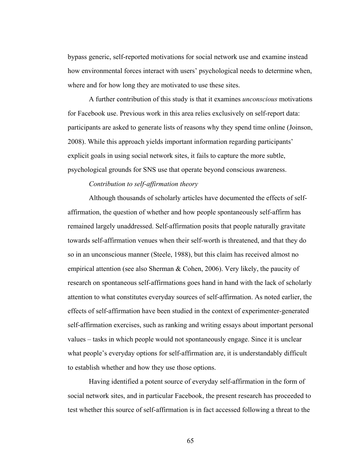bypass generic, self-reported motivations for social network use and examine instead how environmental forces interact with users' psychological needs to determine when, where and for how long they are motivated to use these sites.

A further contribution of this study is that it examines *unconscious* motivations for Facebook use. Previous work in this area relies exclusively on self-report data: participants are asked to generate lists of reasons why they spend time online (Joinson, 2008). While this approach yields important information regarding participants' explicit goals in using social network sites, it fails to capture the more subtle, psychological grounds for SNS use that operate beyond conscious awareness.

#### *Contribution to self-affirmation theory*

Although thousands of scholarly articles have documented the effects of selfaffirmation, the question of whether and how people spontaneously self-affirm has remained largely unaddressed. Self-affirmation posits that people naturally gravitate towards self-affirmation venues when their self-worth is threatened, and that they do so in an unconscious manner (Steele, 1988), but this claim has received almost no empirical attention (see also Sherman & Cohen, 2006). Very likely, the paucity of research on spontaneous self-affirmations goes hand in hand with the lack of scholarly attention to what constitutes everyday sources of self-affirmation. As noted earlier, the effects of self-affirmation have been studied in the context of experimenter-generated self-affirmation exercises, such as ranking and writing essays about important personal values – tasks in which people would not spontaneously engage. Since it is unclear what people's everyday options for self-affirmation are, it is understandably difficult to establish whether and how they use those options.

Having identified a potent source of everyday self-affirmation in the form of social network sites, and in particular Facebook, the present research has proceeded to test whether this source of self-affirmation is in fact accessed following a threat to the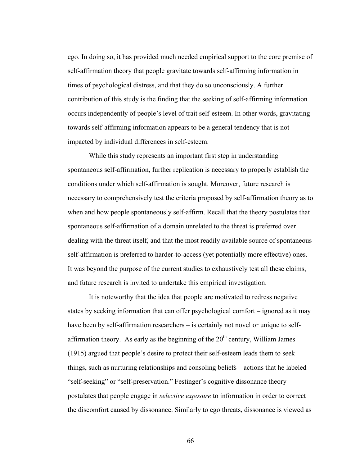ego. In doing so, it has provided much needed empirical support to the core premise of self-affirmation theory that people gravitate towards self-affirming information in times of psychological distress, and that they do so unconsciously. A further contribution of this study is the finding that the seeking of self-affirming information occurs independently of people's level of trait self-esteem. In other words, gravitating towards self-affirming information appears to be a general tendency that is not impacted by individual differences in self-esteem.

While this study represents an important first step in understanding spontaneous self-affirmation, further replication is necessary to properly establish the conditions under which self-affirmation is sought. Moreover, future research is necessary to comprehensively test the criteria proposed by self-affirmation theory as to when and how people spontaneously self-affirm. Recall that the theory postulates that spontaneous self-affirmation of a domain unrelated to the threat is preferred over dealing with the threat itself, and that the most readily available source of spontaneous self-affirmation is preferred to harder-to-access (yet potentially more effective) ones. It was beyond the purpose of the current studies to exhaustively test all these claims, and future research is invited to undertake this empirical investigation.

It is noteworthy that the idea that people are motivated to redress negative states by seeking information that can offer psychological comfort – ignored as it may have been by self-affirmation researchers – is certainly not novel or unique to selfaffirmation theory. As early as the beginning of the  $20<sup>th</sup>$  century, William James (1915) argued that people's desire to protect their self-esteem leads them to seek things, such as nurturing relationships and consoling beliefs – actions that he labeled "self-seeking" or "self-preservation." Festinger's cognitive dissonance theory postulates that people engage in *selective exposure* to information in order to correct the discomfort caused by dissonance. Similarly to ego threats, dissonance is viewed as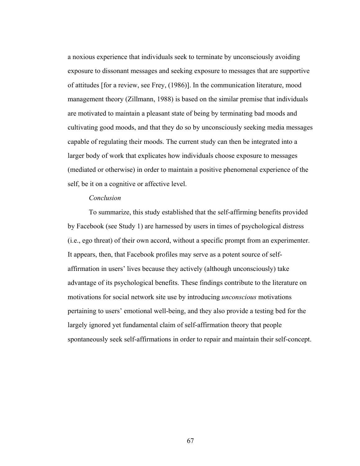a noxious experience that individuals seek to terminate by unconsciously avoiding exposure to dissonant messages and seeking exposure to messages that are supportive of attitudes [for a review, see Frey, (1986)]. In the communication literature, mood management theory (Zillmann, 1988) is based on the similar premise that individuals are motivated to maintain a pleasant state of being by terminating bad moods and cultivating good moods, and that they do so by unconsciously seeking media messages capable of regulating their moods. The current study can then be integrated into a larger body of work that explicates how individuals choose exposure to messages (mediated or otherwise) in order to maintain a positive phenomenal experience of the self, be it on a cognitive or affective level.

#### *Conclusion*

To summarize, this study established that the self-affirming benefits provided by Facebook (see Study 1) are harnessed by users in times of psychological distress (i.e., ego threat) of their own accord, without a specific prompt from an experimenter. It appears, then, that Facebook profiles may serve as a potent source of selfaffirmation in users' lives because they actively (although unconsciously) take advantage of its psychological benefits. These findings contribute to the literature on motivations for social network site use by introducing *unconscious* motivations pertaining to users' emotional well-being, and they also provide a testing bed for the largely ignored yet fundamental claim of self-affirmation theory that people spontaneously seek self-affirmations in order to repair and maintain their self-concept.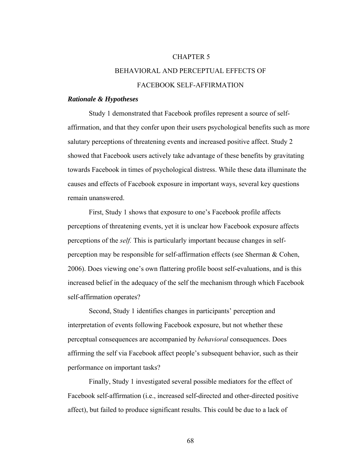#### CHAPTER 5

# BEHAVIORAL AND PERCEPTUAL EFFECTS OF FACEBOOK SELF-AFFIRMATION

#### *Rationale & Hypotheses*

 Study 1 demonstrated that Facebook profiles represent a source of selfaffirmation, and that they confer upon their users psychological benefits such as more salutary perceptions of threatening events and increased positive affect. Study 2 showed that Facebook users actively take advantage of these benefits by gravitating towards Facebook in times of psychological distress. While these data illuminate the causes and effects of Facebook exposure in important ways, several key questions remain unanswered.

 First, Study 1 shows that exposure to one's Facebook profile affects perceptions of threatening events, yet it is unclear how Facebook exposure affects perceptions of the *self.* This is particularly important because changes in selfperception may be responsible for self-affirmation effects (see Sherman & Cohen, 2006). Does viewing one's own flattering profile boost self-evaluations, and is this increased belief in the adequacy of the self the mechanism through which Facebook self-affirmation operates?

Second, Study 1 identifies changes in participants' perception and interpretation of events following Facebook exposure, but not whether these perceptual consequences are accompanied by *behavioral* consequences. Does affirming the self via Facebook affect people's subsequent behavior, such as their performance on important tasks?

Finally, Study 1 investigated several possible mediators for the effect of Facebook self-affirmation (i.e., increased self-directed and other-directed positive affect), but failed to produce significant results. This could be due to a lack of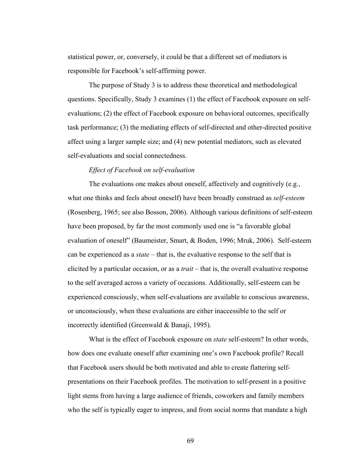statistical power, or, conversely, it could be that a different set of mediators is responsible for Facebook's self-affirming power.

The purpose of Study 3 is to address these theoretical and methodological questions. Specifically, Study 3 examines (1) the effect of Facebook exposure on selfevaluations; (2) the effect of Facebook exposure on behavioral outcomes, specifically task performance; (3) the mediating effects of self-directed and other-directed positive affect using a larger sample size; and (4) new potential mediators, such as elevated self-evaluations and social connectedness.

#### *Effect of Facebook on self-evaluation*

The evaluations one makes about oneself, affectively and cognitively (e.g., what one thinks and feels about oneself) have been broadly construed as *self-esteem* (Rosenberg, 1965; see also Bosson, 2006). Although various definitions of self-esteem have been proposed, by far the most commonly used one is "a favorable global evaluation of oneself" (Baumeister, Smart, & Boden, 1996; Mruk, 2006). Self-esteem can be experienced as a *state* – that is, the evaluative response to the self that is elicited by a particular occasion, or as a *trait* – that is, the overall evaluative response to the self averaged across a variety of occasions. Additionally, self-esteem can be experienced consciously, when self-evaluations are available to conscious awareness, or unconsciously, when these evaluations are either inaccessible to the self or incorrectly identified (Greenwald & Banaji, 1995).

 What is the effect of Facebook exposure on *state* self-esteem? In other words, how does one evaluate oneself after examining one's own Facebook profile? Recall that Facebook users should be both motivated and able to create flattering selfpresentations on their Facebook profiles. The motivation to self-present in a positive light stems from having a large audience of friends, coworkers and family members who the self is typically eager to impress, and from social norms that mandate a high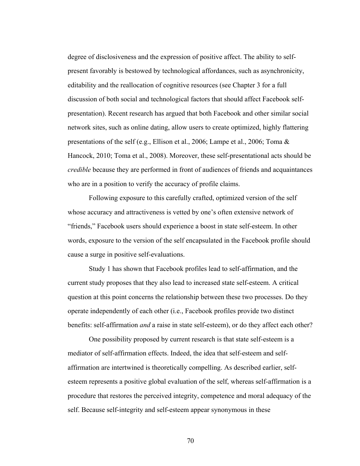degree of disclosiveness and the expression of positive affect. The ability to selfpresent favorably is bestowed by technological affordances, such as asynchronicity, editability and the reallocation of cognitive resources (see Chapter 3 for a full discussion of both social and technological factors that should affect Facebook selfpresentation). Recent research has argued that both Facebook and other similar social network sites, such as online dating, allow users to create optimized, highly flattering presentations of the self (e.g., Ellison et al., 2006; Lampe et al., 2006; Toma & Hancock, 2010; Toma et al., 2008). Moreover, these self-presentational acts should be *credible* because they are performed in front of audiences of friends and acquaintances who are in a position to verify the accuracy of profile claims.

 Following exposure to this carefully crafted, optimized version of the self whose accuracy and attractiveness is vetted by one's often extensive network of "friends," Facebook users should experience a boost in state self-esteem. In other words, exposure to the version of the self encapsulated in the Facebook profile should cause a surge in positive self-evaluations.

 Study 1 has shown that Facebook profiles lead to self-affirmation, and the current study proposes that they also lead to increased state self-esteem. A critical question at this point concerns the relationship between these two processes. Do they operate independently of each other (i.e., Facebook profiles provide two distinct benefits: self-affirmation *and* a raise in state self-esteem), or do they affect each other?

One possibility proposed by current research is that state self-esteem is a mediator of self-affirmation effects. Indeed, the idea that self-esteem and selfaffirmation are intertwined is theoretically compelling. As described earlier, selfesteem represents a positive global evaluation of the self, whereas self-affirmation is a procedure that restores the perceived integrity, competence and moral adequacy of the self. Because self-integrity and self-esteem appear synonymous in these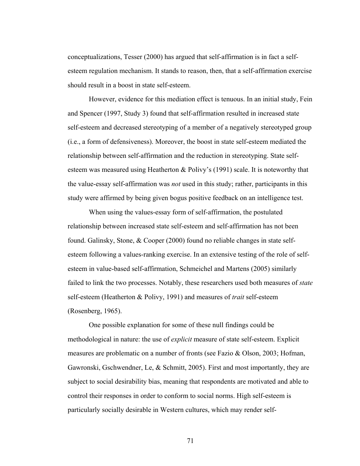conceptualizations, Tesser (2000) has argued that self-affirmation is in fact a selfesteem regulation mechanism. It stands to reason, then, that a self-affirmation exercise should result in a boost in state self-esteem.

However, evidence for this mediation effect is tenuous. In an initial study, Fein and Spencer (1997, Study 3) found that self-affirmation resulted in increased state self-esteem and decreased stereotyping of a member of a negatively stereotyped group (i.e., a form of defensiveness). Moreover, the boost in state self-esteem mediated the relationship between self-affirmation and the reduction in stereotyping. State selfesteem was measured using Heatherton & Polivy's (1991) scale. It is noteworthy that the value-essay self-affirmation was *not* used in this study; rather, participants in this study were affirmed by being given bogus positive feedback on an intelligence test.

 When using the values-essay form of self-affirmation, the postulated relationship between increased state self-esteem and self-affirmation has not been found. Galinsky, Stone, & Cooper (2000) found no reliable changes in state selfesteem following a values-ranking exercise. In an extensive testing of the role of selfesteem in value-based self-affirmation, Schmeichel and Martens (2005) similarly failed to link the two processes. Notably, these researchers used both measures of *state* self-esteem (Heatherton & Polivy, 1991) and measures of *trait* self-esteem (Rosenberg, 1965).

 One possible explanation for some of these null findings could be methodological in nature: the use of *explicit* measure of state self-esteem. Explicit measures are problematic on a number of fronts (see Fazio & Olson, 2003; Hofman, Gawronski, Gschwendner, Le, & Schmitt, 2005). First and most importantly, they are subject to social desirability bias, meaning that respondents are motivated and able to control their responses in order to conform to social norms. High self-esteem is particularly socially desirable in Western cultures, which may render self-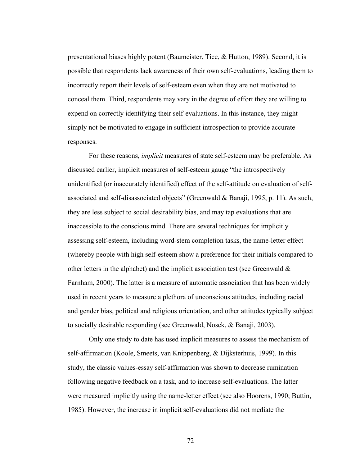presentational biases highly potent (Baumeister, Tice, & Hutton, 1989). Second, it is possible that respondents lack awareness of their own self-evaluations, leading them to incorrectly report their levels of self-esteem even when they are not motivated to conceal them. Third, respondents may vary in the degree of effort they are willing to expend on correctly identifying their self-evaluations. In this instance, they might simply not be motivated to engage in sufficient introspection to provide accurate responses.

 For these reasons, *implicit* measures of state self-esteem may be preferable. As discussed earlier, implicit measures of self-esteem gauge "the introspectively unidentified (or inaccurately identified) effect of the self-attitude on evaluation of selfassociated and self-disassociated objects" (Greenwald & Banaji, 1995, p. 11). As such, they are less subject to social desirability bias, and may tap evaluations that are inaccessible to the conscious mind. There are several techniques for implicitly assessing self-esteem, including word-stem completion tasks, the name-letter effect (whereby people with high self-esteem show a preference for their initials compared to other letters in the alphabet) and the implicit association test (see Greenwald & Farnham, 2000). The latter is a measure of automatic association that has been widely used in recent years to measure a plethora of unconscious attitudes, including racial and gender bias, political and religious orientation, and other attitudes typically subject to socially desirable responding (see Greenwald, Nosek, & Banaji, 2003).

 Only one study to date has used implicit measures to assess the mechanism of self-affirmation (Koole, Smeets, van Knippenberg, & Dijksterhuis, 1999). In this study, the classic values-essay self-affirmation was shown to decrease rumination following negative feedback on a task, and to increase self-evaluations. The latter were measured implicitly using the name-letter effect (see also Hoorens, 1990; Buttin, 1985). However, the increase in implicit self-evaluations did not mediate the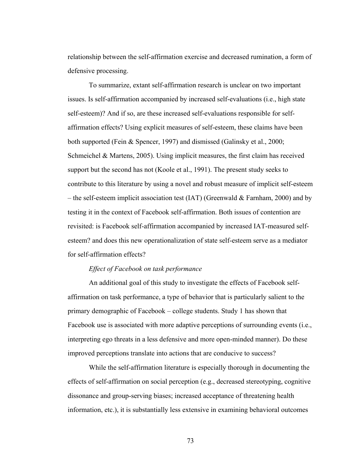relationship between the self-affirmation exercise and decreased rumination, a form of defensive processing.

 To summarize, extant self-affirmation research is unclear on two important issues. Is self-affirmation accompanied by increased self-evaluations (i.e., high state self-esteem)? And if so, are these increased self-evaluations responsible for selfaffirmation effects? Using explicit measures of self-esteem, these claims have been both supported (Fein & Spencer, 1997) and dismissed (Galinsky et al., 2000; Schmeichel & Martens, 2005). Using implicit measures, the first claim has received support but the second has not (Koole et al., 1991). The present study seeks to contribute to this literature by using a novel and robust measure of implicit self-esteem – the self-esteem implicit association test (IAT) (Greenwald  $& Farnham, 2000$ ) and by testing it in the context of Facebook self-affirmation. Both issues of contention are revisited: is Facebook self-affirmation accompanied by increased IAT-measured selfesteem? and does this new operationalization of state self-esteem serve as a mediator for self-affirmation effects?

#### *Effect of Facebook on task performance*

An additional goal of this study to investigate the effects of Facebook selfaffirmation on task performance, a type of behavior that is particularly salient to the primary demographic of Facebook – college students. Study 1 has shown that Facebook use is associated with more adaptive perceptions of surrounding events (i.e., interpreting ego threats in a less defensive and more open-minded manner). Do these improved perceptions translate into actions that are conducive to success?

 While the self-affirmation literature is especially thorough in documenting the effects of self-affirmation on social perception (e.g., decreased stereotyping, cognitive dissonance and group-serving biases; increased acceptance of threatening health information, etc.), it is substantially less extensive in examining behavioral outcomes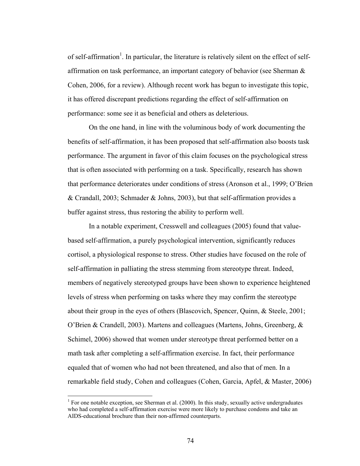of self-affirmation<sup>1</sup>. In particular, the literature is relatively silent on the effect of selfaffirmation on task performance, an important category of behavior (see Sherman & Cohen, 2006, for a review). Although recent work has begun to investigate this topic, it has offered discrepant predictions regarding the effect of self-affirmation on performance: some see it as beneficial and others as deleterious.

 On the one hand, in line with the voluminous body of work documenting the benefits of self-affirmation, it has been proposed that self-affirmation also boosts task performance. The argument in favor of this claim focuses on the psychological stress that is often associated with performing on a task. Specifically, research has shown that performance deteriorates under conditions of stress (Aronson et al., 1999; O'Brien & Crandall, 2003; Schmader & Johns, 2003), but that self-affirmation provides a buffer against stress, thus restoring the ability to perform well.

In a notable experiment, Cresswell and colleagues (2005) found that valuebased self-affirmation, a purely psychological intervention, significantly reduces cortisol, a physiological response to stress. Other studies have focused on the role of self-affirmation in palliating the stress stemming from stereotype threat. Indeed, members of negatively stereotyped groups have been shown to experience heightened levels of stress when performing on tasks where they may confirm the stereotype about their group in the eyes of others (Blascovich, Spencer, Quinn, & Steele, 2001; O'Brien & Crandell, 2003). Martens and colleagues (Martens, Johns, Greenberg, & Schimel, 2006) showed that women under stereotype threat performed better on a math task after completing a self-affirmation exercise. In fact, their performance equaled that of women who had not been threatened, and also that of men. In a remarkable field study, Cohen and colleagues (Cohen, Garcia, Apfel, & Master, 2006)

 $\overline{a}$ 

<sup>&</sup>lt;sup>1</sup> For one notable exception, see Sherman et al.  $(2000)$ . In this study, sexually active undergraduates who had completed a self-affirmation exercise were more likely to purchase condoms and take an AIDS-educational brochure than their non-affirmed counterparts.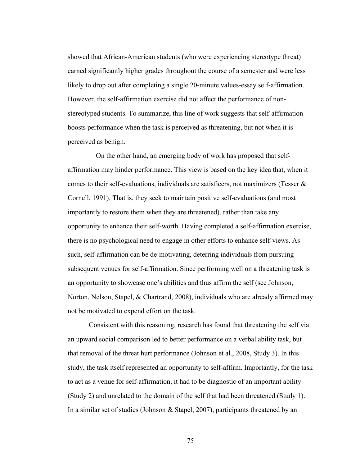showed that African-American students (who were experiencing stereotype threat) earned significantly higher grades throughout the course of a semester and were less likely to drop out after completing a single 20-minute values-essay self-affirmation. However, the self-affirmation exercise did not affect the performance of nonstereotyped students. To summarize, this line of work suggests that self-affirmation boosts performance when the task is perceived as threatening, but not when it is perceived as benign.

 On the other hand, an emerging body of work has proposed that selfaffirmation may hinder performance. This view is based on the key idea that, when it comes to their self-evaluations, individuals are satisficers, not maximizers (Tesser & Cornell, 1991). That is, they seek to maintain positive self-evaluations (and most importantly to restore them when they are threatened), rather than take any opportunity to enhance their self-worth. Having completed a self-affirmation exercise, there is no psychological need to engage in other efforts to enhance self-views. As such, self-affirmation can be de-motivating, deterring individuals from pursuing subsequent venues for self-affirmation. Since performing well on a threatening task is an opportunity to showcase one's abilities and thus affirm the self (see Johnson, Norton, Nelson, Stapel, & Chartrand, 2008), individuals who are already affirmed may not be motivated to expend effort on the task.

Consistent with this reasoning, research has found that threatening the self via an upward social comparison led to better performance on a verbal ability task, but that removal of the threat hurt performance (Johnson et al., 2008, Study 3). In this study, the task itself represented an opportunity to self-affirm. Importantly, for the task to act as a venue for self-affirmation, it had to be diagnostic of an important ability (Study 2) and unrelated to the domain of the self that had been threatened (Study 1). In a similar set of studies (Johnson & Stapel, 2007), participants threatened by an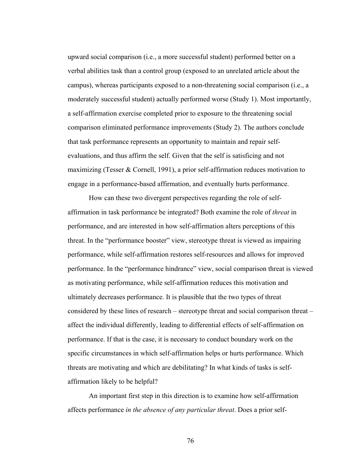upward social comparison (i.e., a more successful student) performed better on a verbal abilities task than a control group (exposed to an unrelated article about the campus), whereas participants exposed to a non-threatening social comparison (i.e., a moderately successful student) actually performed worse (Study 1). Most importantly, a self-affirmation exercise completed prior to exposure to the threatening social comparison eliminated performance improvements (Study 2). The authors conclude that task performance represents an opportunity to maintain and repair selfevaluations, and thus affirm the self. Given that the self is satisficing and not maximizing (Tesser & Cornell, 1991), a prior self-affirmation reduces motivation to engage in a performance-based affirmation, and eventually hurts performance.

 How can these two divergent perspectives regarding the role of selfaffirmation in task performance be integrated? Both examine the role of *threat* in performance, and are interested in how self-affirmation alters perceptions of this threat. In the "performance booster" view, stereotype threat is viewed as impairing performance, while self-affirmation restores self-resources and allows for improved performance. In the "performance hindrance" view, social comparison threat is viewed as motivating performance, while self-affirmation reduces this motivation and ultimately decreases performance. It is plausible that the two types of threat considered by these lines of research – stereotype threat and social comparison threat – affect the individual differently, leading to differential effects of self-affirmation on performance. If that is the case, it is necessary to conduct boundary work on the specific circumstances in which self-affirmation helps or hurts performance. Which threats are motivating and which are debilitating? In what kinds of tasks is selfaffirmation likely to be helpful?

An important first step in this direction is to examine how self-affirmation affects performance *in the absence of any particular threat*. Does a prior self-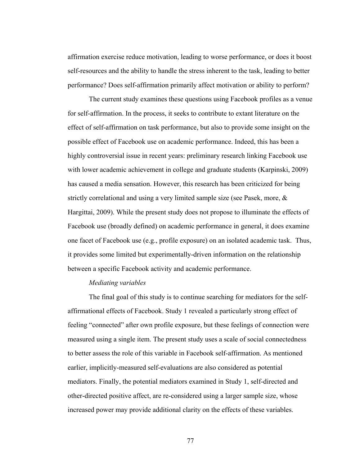affirmation exercise reduce motivation, leading to worse performance, or does it boost self-resources and the ability to handle the stress inherent to the task, leading to better performance? Does self-affirmation primarily affect motivation or ability to perform?

The current study examines these questions using Facebook profiles as a venue for self-affirmation. In the process, it seeks to contribute to extant literature on the effect of self-affirmation on task performance, but also to provide some insight on the possible effect of Facebook use on academic performance. Indeed, this has been a highly controversial issue in recent years: preliminary research linking Facebook use with lower academic achievement in college and graduate students (Karpinski, 2009) has caused a media sensation. However, this research has been criticized for being strictly correlational and using a very limited sample size (see Pasek, more, & Hargittai, 2009). While the present study does not propose to illuminate the effects of Facebook use (broadly defined) on academic performance in general, it does examine one facet of Facebook use (e.g., profile exposure) on an isolated academic task. Thus, it provides some limited but experimentally-driven information on the relationship between a specific Facebook activity and academic performance.

#### *Mediating variables*

The final goal of this study is to continue searching for mediators for the selfaffirmational effects of Facebook. Study 1 revealed a particularly strong effect of feeling "connected" after own profile exposure, but these feelings of connection were measured using a single item. The present study uses a scale of social connectedness to better assess the role of this variable in Facebook self-affirmation. As mentioned earlier, implicitly-measured self-evaluations are also considered as potential mediators. Finally, the potential mediators examined in Study 1, self-directed and other-directed positive affect, are re-considered using a larger sample size, whose increased power may provide additional clarity on the effects of these variables.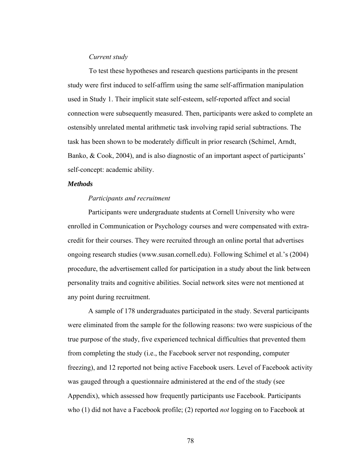#### *Current study*

To test these hypotheses and research questions participants in the present study were first induced to self-affirm using the same self-affirmation manipulation used in Study 1. Their implicit state self-esteem, self-reported affect and social connection were subsequently measured. Then, participants were asked to complete an ostensibly unrelated mental arithmetic task involving rapid serial subtractions. The task has been shown to be moderately difficult in prior research (Schimel, Arndt, Banko, & Cook, 2004), and is also diagnostic of an important aspect of participants' self-concept: academic ability.

#### *Methods*

#### *Participants and recruitment*

Participants were undergraduate students at Cornell University who were enrolled in Communication or Psychology courses and were compensated with extracredit for their courses. They were recruited through an online portal that advertises ongoing research studies (www.susan.cornell.edu). Following Schimel et al.'s (2004) procedure, the advertisement called for participation in a study about the link between personality traits and cognitive abilities. Social network sites were not mentioned at any point during recruitment.

A sample of 178 undergraduates participated in the study. Several participants were eliminated from the sample for the following reasons: two were suspicious of the true purpose of the study, five experienced technical difficulties that prevented them from completing the study (i.e., the Facebook server not responding, computer freezing), and 12 reported not being active Facebook users. Level of Facebook activity was gauged through a questionnaire administered at the end of the study (see Appendix), which assessed how frequently participants use Facebook. Participants who (1) did not have a Facebook profile; (2) reported *not* logging on to Facebook at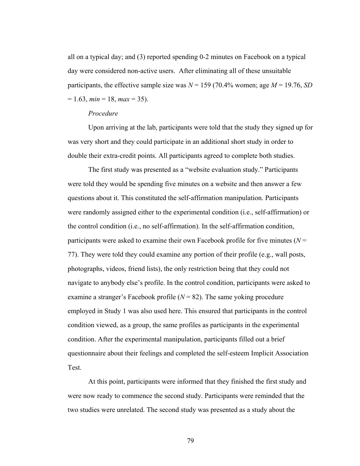all on a typical day; and (3) reported spending 0-2 minutes on Facebook on a typical day were considered non-active users. After eliminating all of these unsuitable participants, the effective sample size was  $N = 159$  (70.4% women; age  $M = 19.76$ , *SD*  $= 1.63$ ,  $min = 18$ ,  $max = 35$ ).

#### *Procedure*

Upon arriving at the lab, participants were told that the study they signed up for was very short and they could participate in an additional short study in order to double their extra-credit points. All participants agreed to complete both studies.

The first study was presented as a "website evaluation study." Participants were told they would be spending five minutes on a website and then answer a few questions about it. This constituted the self-affirmation manipulation. Participants were randomly assigned either to the experimental condition (i.e., self-affirmation) or the control condition (i.e., no self-affirmation). In the self-affirmation condition, participants were asked to examine their own Facebook profile for five minutes (*N* = 77). They were told they could examine any portion of their profile (e.g., wall posts, photographs, videos, friend lists), the only restriction being that they could not navigate to anybody else's profile. In the control condition, participants were asked to examine a stranger's Facebook profile (*N* = 82). The same yoking procedure employed in Study 1 was also used here. This ensured that participants in the control condition viewed, as a group, the same profiles as participants in the experimental condition. After the experimental manipulation, participants filled out a brief questionnaire about their feelings and completed the self-esteem Implicit Association Test.

At this point, participants were informed that they finished the first study and were now ready to commence the second study. Participants were reminded that the two studies were unrelated. The second study was presented as a study about the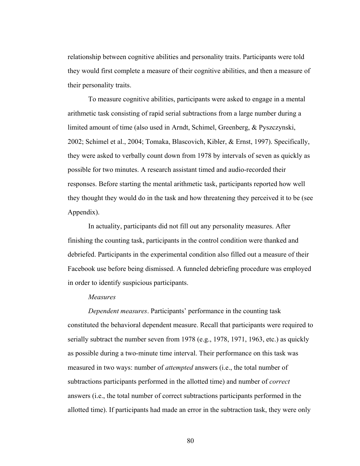relationship between cognitive abilities and personality traits. Participants were told they would first complete a measure of their cognitive abilities, and then a measure of their personality traits.

To measure cognitive abilities, participants were asked to engage in a mental arithmetic task consisting of rapid serial subtractions from a large number during a limited amount of time (also used in Arndt, Schimel, Greenberg, & Pyszczynski, 2002; Schimel et al., 2004; Tomaka, Blascovich, Kibler, & Ernst, 1997). Specifically, they were asked to verbally count down from 1978 by intervals of seven as quickly as possible for two minutes. A research assistant timed and audio-recorded their responses. Before starting the mental arithmetic task, participants reported how well they thought they would do in the task and how threatening they perceived it to be (see Appendix).

In actuality, participants did not fill out any personality measures. After finishing the counting task, participants in the control condition were thanked and debriefed. Participants in the experimental condition also filled out a measure of their Facebook use before being dismissed. A funneled debriefing procedure was employed in order to identify suspicious participants.

#### *Measures*

*Dependent measures*. Participants' performance in the counting task constituted the behavioral dependent measure. Recall that participants were required to serially subtract the number seven from 1978 (e.g., 1978, 1971, 1963, etc.) as quickly as possible during a two-minute time interval. Their performance on this task was measured in two ways: number of *attempted* answers (i.e., the total number of subtractions participants performed in the allotted time) and number of *correct* answers (i.e., the total number of correct subtractions participants performed in the allotted time). If participants had made an error in the subtraction task, they were only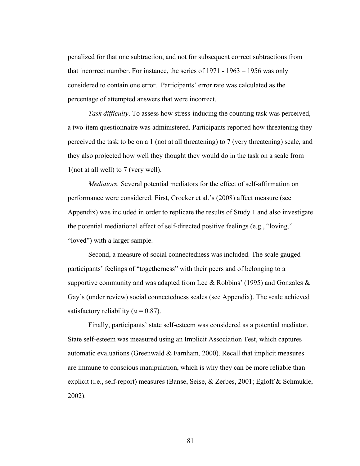penalized for that one subtraction, and not for subsequent correct subtractions from that incorrect number. For instance, the series of 1971 - 1963 – 1956 was only considered to contain one error. Participants' error rate was calculated as the percentage of attempted answers that were incorrect.

*Task difficulty*. To assess how stress-inducing the counting task was perceived, a two-item questionnaire was administered. Participants reported how threatening they perceived the task to be on a 1 (not at all threatening) to 7 (very threatening) scale, and they also projected how well they thought they would do in the task on a scale from 1(not at all well) to 7 (very well).

*Mediators.* Several potential mediators for the effect of self-affirmation on performance were considered. First, Crocker et al.'s (2008) affect measure (see Appendix) was included in order to replicate the results of Study 1 and also investigate the potential mediational effect of self-directed positive feelings (e.g., "loving," "loved") with a larger sample.

Second, a measure of social connectedness was included. The scale gauged participants' feelings of "togetherness" with their peers and of belonging to a supportive community and was adapted from Lee & Robbins' (1995) and Gonzales & Gay's (under review) social connectedness scales (see Appendix). The scale achieved satisfactory reliability ( $\alpha$  = 0.87).

Finally, participants' state self-esteem was considered as a potential mediator. State self-esteem was measured using an Implicit Association Test, which captures automatic evaluations (Greenwald  $& Farnham, 2000$ ). Recall that implicit measures are immune to conscious manipulation, which is why they can be more reliable than explicit (i.e., self-report) measures (Banse, Seise, & Zerbes, 2001; Egloff & Schmukle, 2002).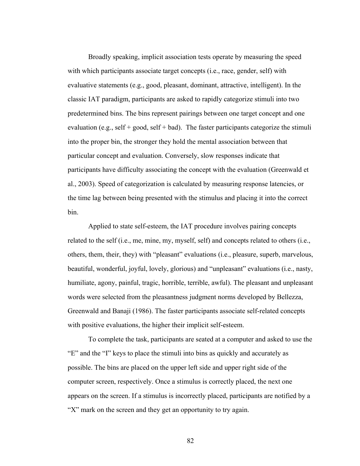Broadly speaking, implicit association tests operate by measuring the speed with which participants associate target concepts (i.e., race, gender, self) with evaluative statements (e.g., good, pleasant, dominant, attractive, intelligent). In the classic IAT paradigm, participants are asked to rapidly categorize stimuli into two predetermined bins. The bins represent pairings between one target concept and one evaluation (e.g., self + good, self + bad). The faster participants categorize the stimuli into the proper bin, the stronger they hold the mental association between that particular concept and evaluation. Conversely, slow responses indicate that participants have difficulty associating the concept with the evaluation (Greenwald et al., 2003). Speed of categorization is calculated by measuring response latencies, or the time lag between being presented with the stimulus and placing it into the correct bin.

Applied to state self-esteem, the IAT procedure involves pairing concepts related to the self (i.e., me, mine, my, myself, self) and concepts related to others (i.e., others, them, their, they) with "pleasant" evaluations (i.e., pleasure, superb, marvelous, beautiful, wonderful, joyful, lovely, glorious) and "unpleasant" evaluations (i.e., nasty, humiliate, agony, painful, tragic, horrible, terrible, awful). The pleasant and unpleasant words were selected from the pleasantness judgment norms developed by Bellezza, Greenwald and Banaji (1986). The faster participants associate self-related concepts with positive evaluations, the higher their implicit self-esteem.

To complete the task, participants are seated at a computer and asked to use the "E" and the "I" keys to place the stimuli into bins as quickly and accurately as possible. The bins are placed on the upper left side and upper right side of the computer screen, respectively. Once a stimulus is correctly placed, the next one appears on the screen. If a stimulus is incorrectly placed, participants are notified by a "X" mark on the screen and they get an opportunity to try again.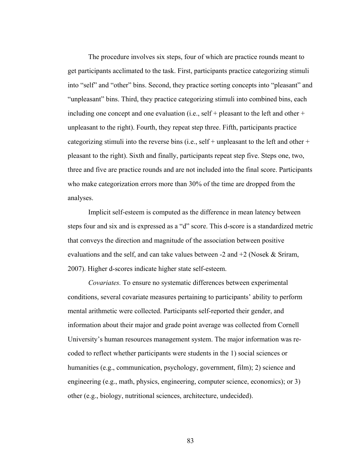The procedure involves six steps, four of which are practice rounds meant to get participants acclimated to the task. First, participants practice categorizing stimuli into "self" and "other" bins. Second, they practice sorting concepts into "pleasant" and "unpleasant" bins. Third, they practice categorizing stimuli into combined bins, each including one concept and one evaluation (i.e., self + pleasant to the left and other + unpleasant to the right). Fourth, they repeat step three. Fifth, participants practice categorizing stimuli into the reverse bins (i.e., self + unpleasant to the left and other + pleasant to the right). Sixth and finally, participants repeat step five. Steps one, two, three and five are practice rounds and are not included into the final score. Participants who make categorization errors more than 30% of the time are dropped from the analyses.

Implicit self-esteem is computed as the difference in mean latency between steps four and six and is expressed as a "d" score. This d-score is a standardized metric that conveys the direction and magnitude of the association between positive evaluations and the self, and can take values between  $-2$  and  $+2$  (Nosek & Sriram, 2007). Higher d-scores indicate higher state self-esteem.

*Covariates.* To ensure no systematic differences between experimental conditions, several covariate measures pertaining to participants' ability to perform mental arithmetic were collected. Participants self-reported their gender, and information about their major and grade point average was collected from Cornell University's human resources management system. The major information was recoded to reflect whether participants were students in the 1) social sciences or humanities (e.g., communication, psychology, government, film); 2) science and engineering (e.g., math, physics, engineering, computer science, economics); or 3) other (e.g., biology, nutritional sciences, architecture, undecided).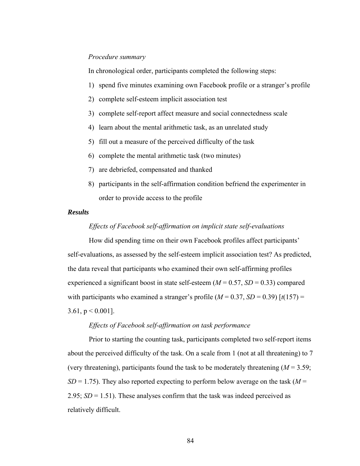#### *Procedure summary*

In chronological order, participants completed the following steps:

- 1) spend five minutes examining own Facebook profile or a stranger's profile
- 2) complete self-esteem implicit association test
- 3) complete self-report affect measure and social connectedness scale
- 4) learn about the mental arithmetic task, as an unrelated study
- 5) fill out a measure of the perceived difficulty of the task
- 6) complete the mental arithmetic task (two minutes)
- 7) are debriefed, compensated and thanked
- 8) participants in the self-affirmation condition befriend the experimenter in order to provide access to the profile

#### *Results*

#### *Effects of Facebook self-affirmation on implicit state self-evaluations*

How did spending time on their own Facebook profiles affect participants' self-evaluations, as assessed by the self-esteem implicit association test? As predicted, the data reveal that participants who examined their own self-affirming profiles experienced a significant boost in state self-esteem  $(M = 0.57, SD = 0.33)$  compared with participants who examined a stranger's profile  $(M = 0.37, SD = 0.39)$  [ $t(157) =$ 3.61,  $p < 0.001$ ].

#### *Effects of Facebook self-affirmation on task performance*

Prior to starting the counting task, participants completed two self-report items about the perceived difficulty of the task. On a scale from 1 (not at all threatening) to 7 (very threatening), participants found the task to be moderately threatening  $(M = 3.59)$ ;  $SD = 1.75$ ). They also reported expecting to perform below average on the task ( $M =$ 2.95; *SD* = 1.51). These analyses confirm that the task was indeed perceived as relatively difficult.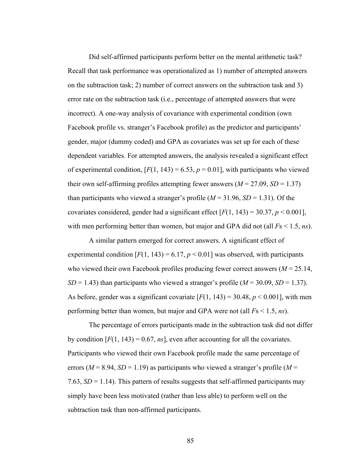Did self-affirmed participants perform better on the mental arithmetic task? Recall that task performance was operationalized as 1) number of attempted answers on the subtraction task; 2) number of correct answers on the subtraction task and 3) error rate on the subtraction task (i.e., percentage of attempted answers that were incorrect). A one-way analysis of covariance with experimental condition (own Facebook profile vs. stranger's Facebook profile) as the predictor and participants' gender, major (dummy coded) and GPA as covariates was set up for each of these dependent variables. For attempted answers, the analysis revealed a significant effect of experimental condition,  $[F(1, 143) = 6.53, p = 0.01]$ , with participants who viewed their own self-affirming profiles attempting fewer answers  $(M = 27.09, SD = 1.37)$ than participants who viewed a stranger's profile  $(M = 31.96, SD = 1.31)$ . Of the covariates considered, gender had a significant effect  $[F(1, 143) = 30.37, p \le 0.001]$ , with men performing better than women, but major and GPA did not (all *F*s < 1.5, *ns*).

 A similar pattern emerged for correct answers. A significant effect of experimental condition  $[F(1, 143) = 6.17, p < 0.01]$  was observed, with participants who viewed their own Facebook profiles producing fewer correct answers (*M* = 25.14, *SD* = 1.43) than participants who viewed a stranger's profile ( $M = 30.09$ , *SD* = 1.37). As before, gender was a significant covariate  $[F(1, 143) = 30.48, p < 0.001]$ , with men performing better than women, but major and GPA were not (all *F*s < 1.5, *ns*).

 The percentage of errors participants made in the subtraction task did not differ by condition  $[F(1, 143) = 0.67, ns]$ , even after accounting for all the covariates. Participants who viewed their own Facebook profile made the same percentage of errors ( $M = 8.94$ ,  $SD = 1.19$ ) as participants who viewed a stranger's profile ( $M =$ 7.63,  $SD = 1.14$ ). This pattern of results suggests that self-affirmed participants may simply have been less motivated (rather than less able) to perform well on the subtraction task than non-affirmed participants.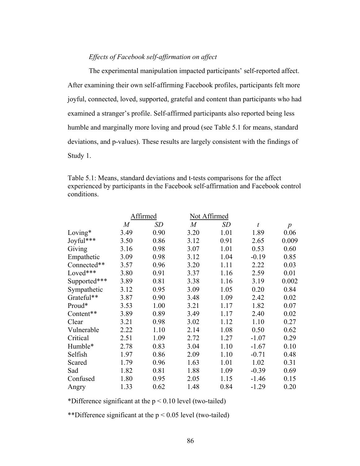### *Effects of Facebook self-affirmation on affect*

The experimental manipulation impacted participants' self-reported affect. After examining their own self-affirming Facebook profiles, participants felt more joyful, connected, loved, supported, grateful and content than participants who had examined a stranger's profile. Self-affirmed participants also reported being less humble and marginally more loving and proud (see Table 5.1 for means, standard deviations, and p-values). These results are largely consistent with the findings of Study 1.

Table 5.1: Means, standard deviations and t-tests comparisons for the affect experienced by participants in the Facebook self-affirmation and Facebook control conditions.

|              |                | Affirmed | Not Affirmed   |      |                  |                  |
|--------------|----------------|----------|----------------|------|------------------|------------------|
|              | $\overline{M}$ | SD       | $\overline{M}$ | SD   | $\boldsymbol{t}$ | $\boldsymbol{p}$ |
| Loving $*$   | 3.49           | 0.90     | 3.20           | 1.01 | 1.89             | 0.06             |
| Joyful***    | 3.50           | 0.86     | 3.12           | 0.91 | 2.65             | 0.009            |
| Giving       | 3.16           | 0.98     | 3.07           | 1.01 | 0.53             | 0.60             |
| Empathetic   | 3.09           | 0.98     | 3.12           | 1.04 | $-0.19$          | 0.85             |
| Connected**  | 3.57           | 0.96     | 3.20           | 1.11 | 2.22             | 0.03             |
| Loved***     | 3.80           | 0.91     | 3.37           | 1.16 | 2.59             | 0.01             |
| Supported*** | 3.89           | 0.81     | 3.38           | 1.16 | 3.19             | 0.002            |
| Sympathetic  | 3.12           | 0.95     | 3.09           | 1.05 | 0.20             | 0.84             |
| Grateful**   | 3.87           | 0.90     | 3.48           | 1.09 | 2.42             | 0.02             |
| Proud*       | 3.53           | 1.00     | 3.21           | 1.17 | 1.82             | 0.07             |
| Content**    | 3.89           | 0.89     | 3.49           | 1.17 | 2.40             | 0.02             |
| Clear        | 3.21           | 0.98     | 3.02           | 1.12 | 1.10             | 0.27             |
| Vulnerable   | 2.22           | 1.10     | 2.14           | 1.08 | 0.50             | 0.62             |
| Critical     | 2.51           | 1.09     | 2.72           | 1.27 | $-1.07$          | 0.29             |
| Humble*      | 2.78           | 0.83     | 3.04           | 1.10 | $-1.67$          | 0.10             |
| Selfish      | 1.97           | 0.86     | 2.09           | 1.10 | $-0.71$          | 0.48             |
| Scared       | 1.79           | 0.96     | 1.63           | 1.01 | 1.02             | 0.31             |
| Sad          | 1.82           | 0.81     | 1.88           | 1.09 | $-0.39$          | 0.69             |
| Confused     | 1.80           | 0.95     | 2.05           | 1.15 | $-1.46$          | 0.15             |
| Angry        | 1.33           | 0.62     | 1.48           | 0.84 | $-1.29$          | 0.20             |

\*Difference significant at the  $p < 0.10$  level (two-tailed)

\*\*Difference significant at the  $p < 0.05$  level (two-tailed)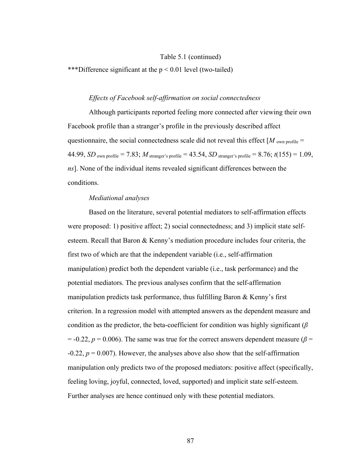#### Table 5.1 (continued)

\*\*\*Difference significant at the  $p < 0.01$  level (two-tailed)

#### *Effects of Facebook self-affirmation on social connectedness*

Although participants reported feeling more connected after viewing their own Facebook profile than a stranger's profile in the previously described affect questionnaire, the social connectedness scale did not reveal this effect  $[M_{\text{own profile}} =$ 44.99, *SD* <sub>own profile</sub> = 7.83; *M* stranger's profile = 43.54, *SD* stranger's profile = 8.76;  $t(155) = 1.09$ , *ns*]. None of the individual items revealed significant differences between the conditions.

#### *Mediational analyses*

Based on the literature, several potential mediators to self-affirmation effects were proposed: 1) positive affect; 2) social connectedness; and 3) implicit state selfesteem. Recall that Baron & Kenny's mediation procedure includes four criteria, the first two of which are that the independent variable (i.e., self-affirmation manipulation) predict both the dependent variable (i.e., task performance) and the potential mediators. The previous analyses confirm that the self-affirmation manipulation predicts task performance, thus fulfilling Baron & Kenny's first criterion. In a regression model with attempted answers as the dependent measure and condition as the predictor, the beta-coefficient for condition was highly significant (*β*  $= -0.22$ ,  $p = 0.006$ ). The same was true for the correct answers dependent measure ( $\beta =$  $-0.22$ ,  $p = 0.007$ ). However, the analyses above also show that the self-affirmation manipulation only predicts two of the proposed mediators: positive affect (specifically, feeling loving, joyful, connected, loved, supported) and implicit state self-esteem. Further analyses are hence continued only with these potential mediators.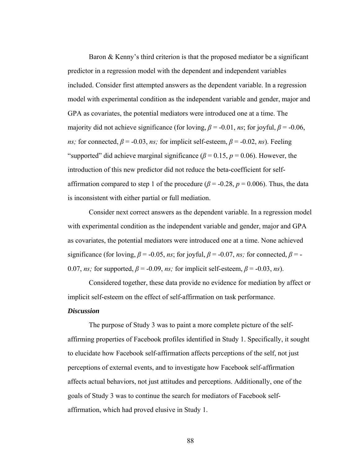Baron & Kenny's third criterion is that the proposed mediator be a significant predictor in a regression model with the dependent and independent variables included. Consider first attempted answers as the dependent variable. In a regression model with experimental condition as the independent variable and gender, major and GPA as covariates, the potential mediators were introduced one at a time. The majority did not achieve significance (for loving,  $\beta$  = -0.01, *ns*; for joyful,  $\beta$  = -0.06, *ns;* for connected,  $\beta$  = -0.03, *ns;* for implicit self-esteem,  $\beta$  = -0.02, *ns*). Feeling "supported" did achieve marginal significance ( $\beta$  = 0.15,  $p$  = 0.06). However, the introduction of this new predictor did not reduce the beta-coefficient for selfaffirmation compared to step 1 of the procedure ( $\beta$  = -0.28,  $p$  = 0.006). Thus, the data is inconsistent with either partial or full mediation.

Consider next correct answers as the dependent variable. In a regression model with experimental condition as the independent variable and gender, major and GPA as covariates, the potential mediators were introduced one at a time. None achieved significance (for loving,  $\beta$  = -0.05, *ns*; for joyful,  $\beta$  = -0.07, *ns*; for connected,  $\beta$  = -0.07, *ns*; for supported,  $\beta$  = -0.09, *ns*; for implicit self-esteem,  $\beta$  = -0.03, *ns*).

Considered together, these data provide no evidence for mediation by affect or implicit self-esteem on the effect of self-affirmation on task performance.

#### *Discussion*

The purpose of Study 3 was to paint a more complete picture of the selfaffirming properties of Facebook profiles identified in Study 1. Specifically, it sought to elucidate how Facebook self-affirmation affects perceptions of the self, not just perceptions of external events, and to investigate how Facebook self-affirmation affects actual behaviors, not just attitudes and perceptions. Additionally, one of the goals of Study 3 was to continue the search for mediators of Facebook selfaffirmation, which had proved elusive in Study 1.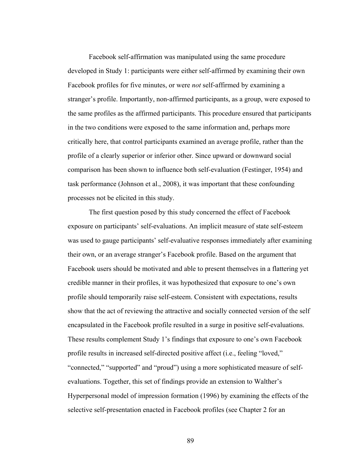Facebook self-affirmation was manipulated using the same procedure developed in Study 1: participants were either self-affirmed by examining their own Facebook profiles for five minutes, or were *not* self-affirmed by examining a stranger's profile. Importantly, non-affirmed participants, as a group, were exposed to the same profiles as the affirmed participants. This procedure ensured that participants in the two conditions were exposed to the same information and, perhaps more critically here, that control participants examined an average profile, rather than the profile of a clearly superior or inferior other. Since upward or downward social comparison has been shown to influence both self-evaluation (Festinger, 1954) and task performance (Johnson et al., 2008), it was important that these confounding processes not be elicited in this study.

The first question posed by this study concerned the effect of Facebook exposure on participants' self-evaluations. An implicit measure of state self-esteem was used to gauge participants' self-evaluative responses immediately after examining their own, or an average stranger's Facebook profile. Based on the argument that Facebook users should be motivated and able to present themselves in a flattering yet credible manner in their profiles, it was hypothesized that exposure to one's own profile should temporarily raise self-esteem. Consistent with expectations, results show that the act of reviewing the attractive and socially connected version of the self encapsulated in the Facebook profile resulted in a surge in positive self-evaluations. These results complement Study 1's findings that exposure to one's own Facebook profile results in increased self-directed positive affect (i.e., feeling "loved," "connected," "supported" and "proud") using a more sophisticated measure of selfevaluations. Together, this set of findings provide an extension to Walther's Hyperpersonal model of impression formation (1996) by examining the effects of the selective self-presentation enacted in Facebook profiles (see Chapter 2 for an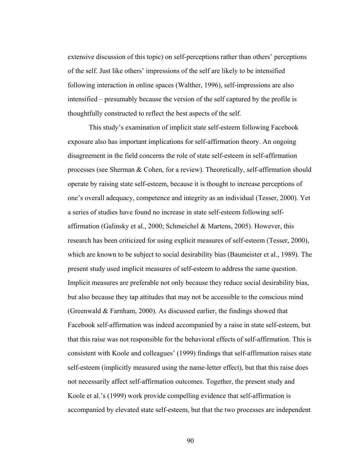extensive discussion of this topic) on self-perceptions rather than others' perceptions of the self. Just like others' impressions of the self are likely to be intensified following interaction in online spaces (Walther, 1996), self-impressions are also intensified – presumably because the version of the self captured by the profile is thoughtfully constructed to reflect the best aspects of the self.

This study's examination of implicit state self-esteem following Facebook exposure also has important implications for self-affirmation theory. An ongoing disagreement in the field concerns the role of state self-esteem in self-affirmation processes (see Sherman & Cohen, for a review). Theoretically, self-affirmation should operate by raising state self-esteem, because it is thought to increase perceptions of one's overall adequacy, competence and integrity as an individual (Tesser, 2000). Yet a series of studies have found no increase in state self-esteem following selfaffirmation (Galinsky et al., 2000; Schmeichel & Martens, 2005). However, this research has been criticized for using explicit measures of self-esteem (Tesser, 2000), which are known to be subject to social desirability bias (Baumeister et al., 1989). The present study used implicit measures of self-esteem to address the same question. Implicit measures are preferable not only because they reduce social desirability bias, but also because they tap attitudes that may not be accessible to the conscious mind (Greenwald & Farnham, 2000). As discussed earlier, the findings showed that Facebook self-affirmation was indeed accompanied by a raise in state self-esteem, but that this raise was not responsible for the behavioral effects of self-affirmation. This is consistent with Koole and colleagues' (1999) findings that self-affirmation raises state self-esteem (implicitly measured using the name-letter effect), but that this raise does not necessarily affect self-affirmation outcomes. Together, the present study and Koole et al.'s (1999) work provide compelling evidence that self-affirmation is accompanied by elevated state self-esteem, but that the two processes are independent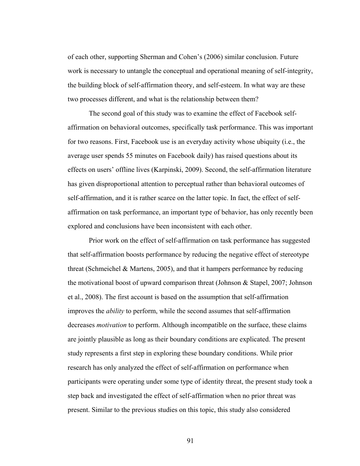of each other, supporting Sherman and Cohen's (2006) similar conclusion. Future work is necessary to untangle the conceptual and operational meaning of self-integrity, the building block of self-affirmation theory, and self-esteem. In what way are these two processes different, and what is the relationship between them?

The second goal of this study was to examine the effect of Facebook selfaffirmation on behavioral outcomes, specifically task performance. This was important for two reasons. First, Facebook use is an everyday activity whose ubiquity (i.e., the average user spends 55 minutes on Facebook daily) has raised questions about its effects on users' offline lives (Karpinski, 2009). Second, the self-affirmation literature has given disproportional attention to perceptual rather than behavioral outcomes of self-affirmation, and it is rather scarce on the latter topic. In fact, the effect of selfaffirmation on task performance, an important type of behavior, has only recently been explored and conclusions have been inconsistent with each other.

Prior work on the effect of self-affirmation on task performance has suggested that self-affirmation boosts performance by reducing the negative effect of stereotype threat (Schmeichel & Martens, 2005), and that it hampers performance by reducing the motivational boost of upward comparison threat (Johnson & Stapel, 2007; Johnson et al., 2008). The first account is based on the assumption that self-affirmation improves the *ability* to perform, while the second assumes that self-affirmation decreases *motivation* to perform. Although incompatible on the surface, these claims are jointly plausible as long as their boundary conditions are explicated. The present study represents a first step in exploring these boundary conditions. While prior research has only analyzed the effect of self-affirmation on performance when participants were operating under some type of identity threat, the present study took a step back and investigated the effect of self-affirmation when no prior threat was present. Similar to the previous studies on this topic, this study also considered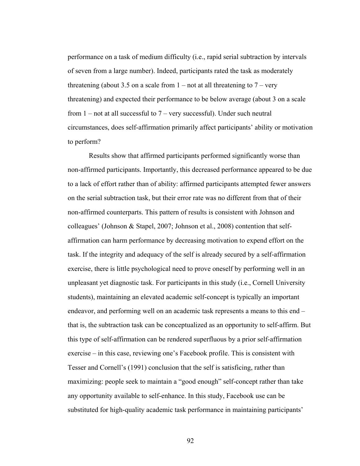performance on a task of medium difficulty (i.e., rapid serial subtraction by intervals of seven from a large number). Indeed, participants rated the task as moderately threatening (about 3.5 on a scale from  $1$  – not at all threatening to  $7$  – very threatening) and expected their performance to be below average (about 3 on a scale from  $1$  – not at all successful to  $7$  – very successful). Under such neutral circumstances, does self-affirmation primarily affect participants' ability or motivation to perform?

Results show that affirmed participants performed significantly worse than non-affirmed participants. Importantly, this decreased performance appeared to be due to a lack of effort rather than of ability: affirmed participants attempted fewer answers on the serial subtraction task, but their error rate was no different from that of their non-affirmed counterparts. This pattern of results is consistent with Johnson and colleagues' (Johnson & Stapel, 2007; Johnson et al., 2008) contention that selfaffirmation can harm performance by decreasing motivation to expend effort on the task. If the integrity and adequacy of the self is already secured by a self-affirmation exercise, there is little psychological need to prove oneself by performing well in an unpleasant yet diagnostic task. For participants in this study (i.e., Cornell University students), maintaining an elevated academic self-concept is typically an important endeavor, and performing well on an academic task represents a means to this end – that is, the subtraction task can be conceptualized as an opportunity to self-affirm. But this type of self-affirmation can be rendered superfluous by a prior self-affirmation exercise – in this case, reviewing one's Facebook profile. This is consistent with Tesser and Cornell's (1991) conclusion that the self is satisficing, rather than maximizing: people seek to maintain a "good enough" self-concept rather than take any opportunity available to self-enhance. In this study, Facebook use can be substituted for high-quality academic task performance in maintaining participants'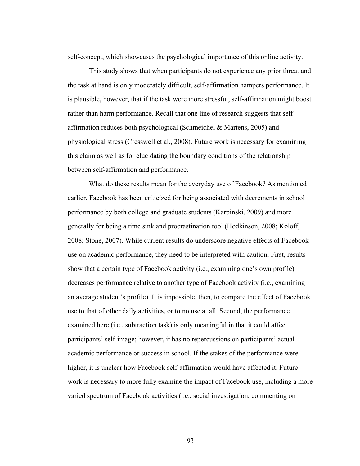self-concept, which showcases the psychological importance of this online activity.

This study shows that when participants do not experience any prior threat and the task at hand is only moderately difficult, self-affirmation hampers performance. It is plausible, however, that if the task were more stressful, self-affirmation might boost rather than harm performance. Recall that one line of research suggests that selfaffirmation reduces both psychological (Schmeichel & Martens, 2005) and physiological stress (Cresswell et al., 2008). Future work is necessary for examining this claim as well as for elucidating the boundary conditions of the relationship between self-affirmation and performance.

What do these results mean for the everyday use of Facebook? As mentioned earlier, Facebook has been criticized for being associated with decrements in school performance by both college and graduate students (Karpinski, 2009) and more generally for being a time sink and procrastination tool (Hodkinson, 2008; Koloff, 2008; Stone, 2007). While current results do underscore negative effects of Facebook use on academic performance, they need to be interpreted with caution. First, results show that a certain type of Facebook activity (i.e., examining one's own profile) decreases performance relative to another type of Facebook activity (i.e., examining an average student's profile). It is impossible, then, to compare the effect of Facebook use to that of other daily activities, or to no use at all. Second, the performance examined here (i.e., subtraction task) is only meaningful in that it could affect participants' self-image; however, it has no repercussions on participants' actual academic performance or success in school. If the stakes of the performance were higher, it is unclear how Facebook self-affirmation would have affected it. Future work is necessary to more fully examine the impact of Facebook use, including a more varied spectrum of Facebook activities (i.e., social investigation, commenting on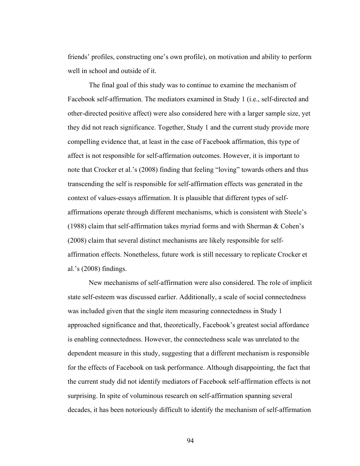friends' profiles, constructing one's own profile), on motivation and ability to perform well in school and outside of it.

The final goal of this study was to continue to examine the mechanism of Facebook self-affirmation. The mediators examined in Study 1 (i.e., self-directed and other-directed positive affect) were also considered here with a larger sample size, yet they did not reach significance. Together, Study 1 and the current study provide more compelling evidence that, at least in the case of Facebook affirmation, this type of affect is not responsible for self-affirmation outcomes. However, it is important to note that Crocker et al.'s (2008) finding that feeling "loving" towards others and thus transcending the self is responsible for self-affirmation effects was generated in the context of values-essays affirmation. It is plausible that different types of selfaffirmations operate through different mechanisms, which is consistent with Steele's (1988) claim that self-affirmation takes myriad forms and with Sherman  $& Cohen's$ (2008) claim that several distinct mechanisms are likely responsible for selfaffirmation effects. Nonetheless, future work is still necessary to replicate Crocker et al.'s (2008) findings.

New mechanisms of self-affirmation were also considered. The role of implicit state self-esteem was discussed earlier. Additionally, a scale of social connectedness was included given that the single item measuring connectedness in Study 1 approached significance and that, theoretically, Facebook's greatest social affordance is enabling connectedness. However, the connectedness scale was unrelated to the dependent measure in this study, suggesting that a different mechanism is responsible for the effects of Facebook on task performance. Although disappointing, the fact that the current study did not identify mediators of Facebook self-affirmation effects is not surprising. In spite of voluminous research on self-affirmation spanning several decades, it has been notoriously difficult to identify the mechanism of self-affirmation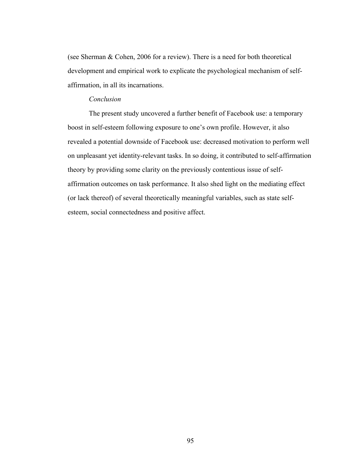(see Sherman & Cohen, 2006 for a review). There is a need for both theoretical development and empirical work to explicate the psychological mechanism of selfaffirmation, in all its incarnations.

#### *Conclusion*

The present study uncovered a further benefit of Facebook use: a temporary boost in self-esteem following exposure to one's own profile. However, it also revealed a potential downside of Facebook use: decreased motivation to perform well on unpleasant yet identity-relevant tasks. In so doing, it contributed to self-affirmation theory by providing some clarity on the previously contentious issue of selfaffirmation outcomes on task performance. It also shed light on the mediating effect (or lack thereof) of several theoretically meaningful variables, such as state selfesteem, social connectedness and positive affect.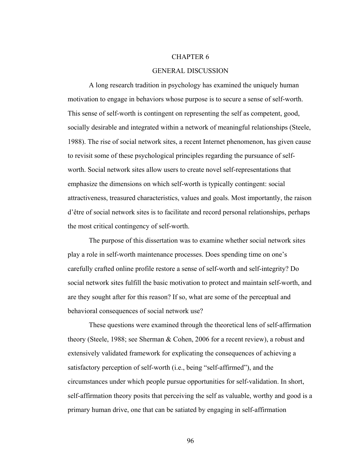#### CHAPTER 6

#### GENERAL DISCUSSION

A long research tradition in psychology has examined the uniquely human motivation to engage in behaviors whose purpose is to secure a sense of self-worth. This sense of self-worth is contingent on representing the self as competent, good, socially desirable and integrated within a network of meaningful relationships (Steele, 1988). The rise of social network sites, a recent Internet phenomenon, has given cause to revisit some of these psychological principles regarding the pursuance of selfworth. Social network sites allow users to create novel self-representations that emphasize the dimensions on which self-worth is typically contingent: social attractiveness, treasured characteristics, values and goals. Most importantly, the raison d'être of social network sites is to facilitate and record personal relationships, perhaps the most critical contingency of self-worth.

 The purpose of this dissertation was to examine whether social network sites play a role in self-worth maintenance processes. Does spending time on one's carefully crafted online profile restore a sense of self-worth and self-integrity? Do social network sites fulfill the basic motivation to protect and maintain self-worth, and are they sought after for this reason? If so, what are some of the perceptual and behavioral consequences of social network use?

 These questions were examined through the theoretical lens of self-affirmation theory (Steele, 1988; see Sherman & Cohen, 2006 for a recent review), a robust and extensively validated framework for explicating the consequences of achieving a satisfactory perception of self-worth (i.e., being "self-affirmed"), and the circumstances under which people pursue opportunities for self-validation. In short, self-affirmation theory posits that perceiving the self as valuable, worthy and good is a primary human drive, one that can be satiated by engaging in self-affirmation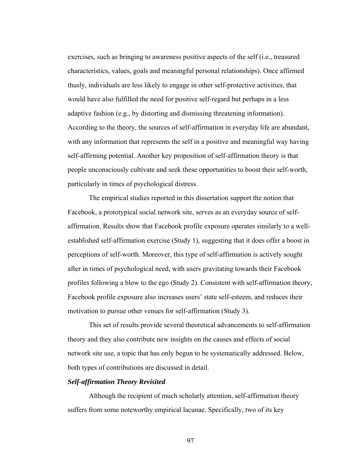exercises, such as bringing to awareness positive aspects of the self (i.e., treasured characteristics, values, goals and meaningful personal relationships). Once affirmed thusly, individuals are less likely to engage in other self-protective activities, that would have also fulfilled the need for positive self-regard but perhaps in a less adaptive fashion (e.g., by distorting and dismissing threatening information). According to the theory, the sources of self-affirmation in everyday life are abundant, with any information that represents the self in a positive and meaningful way having self-affirming potential. Another key proposition of self-affirmation theory is that people unconsciously cultivate and seek these opportunities to boost their self-worth, particularly in times of psychological distress.

 The empirical studies reported in this dissertation support the notion that Facebook, a prototypical social network site, serves as an everyday source of selfaffirmation. Results show that Facebook profile exposure operates similarly to a wellestablished self-affirmation exercise (Study 1), suggesting that it does offer a boost in perceptions of self-worth. Moreover, this type of self-affirmation is actively sought after in times of psychological need, with users gravitating towards their Facebook profiles following a blow to the ego (Study 2). Consistent with self-affirmation theory, Facebook profile exposure also increases users' state self-esteem, and reduces their motivation to pursue other venues for self-affirmation (Study 3).

 This set of results provide several theoretical advancements to self-affirmation theory and they also contribute new insights on the causes and effects of social network site use, a topic that has only begun to be systematically addressed. Below, both types of contributions are discussed in detail.

#### *Self-affirmation Theory Revisited*

 Although the recipient of much scholarly attention, self-affirmation theory suffers from some noteworthy empirical lacunae. Specifically, two of its key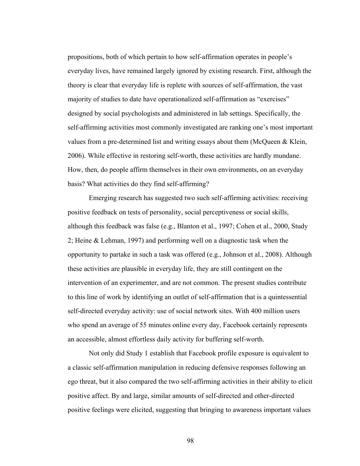propositions, both of which pertain to how self-affirmation operates in people's everyday lives, have remained largely ignored by existing research. First, although the theory is clear that everyday life is replete with sources of self-affirmation, the vast majority of studies to date have operationalized self-affirmation as "exercises" designed by social psychologists and administered in lab settings. Specifically, the self-affirming activities most commonly investigated are ranking one's most important values from a pre-determined list and writing essays about them (McQueen & Klein, 2006). While effective in restoring self-worth, these activities are hardly mundane. How, then, do people affirm themselves in their own environments, on an everyday basis? What activities do they find self-affirming?

Emerging research has suggested two such self-affirming activities: receiving positive feedback on tests of personality, social perceptiveness or social skills, although this feedback was false (e.g., Blanton et al., 1997; Cohen et al., 2000, Study 2; Heine & Lehman, 1997) and performing well on a diagnostic task when the opportunity to partake in such a task was offered (e.g., Johnson et al., 2008). Although these activities are plausible in everyday life, they are still contingent on the intervention of an experimenter, and are not common. The present studies contribute to this line of work by identifying an outlet of self-affirmation that is a quintessential self-directed everyday activity: use of social network sites. With 400 million users who spend an average of 55 minutes online every day, Facebook certainly represents an accessible, almost effortless daily activity for buffering self-worth.

Not only did Study 1 establish that Facebook profile exposure is equivalent to a classic self-affirmation manipulation in reducing defensive responses following an ego threat, but it also compared the two self-affirming activities in their ability to elicit positive affect. By and large, similar amounts of self-directed and other-directed positive feelings were elicited, suggesting that bringing to awareness important values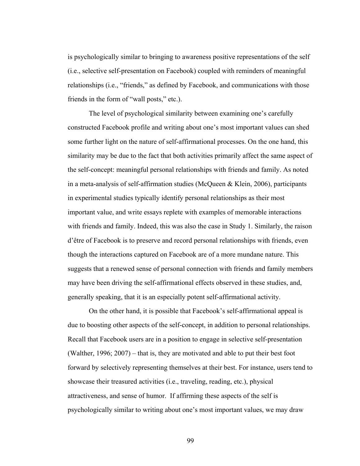is psychologically similar to bringing to awareness positive representations of the self (i.e., selective self-presentation on Facebook) coupled with reminders of meaningful relationships (i.e., "friends," as defined by Facebook, and communications with those friends in the form of "wall posts," etc.).

The level of psychological similarity between examining one's carefully constructed Facebook profile and writing about one's most important values can shed some further light on the nature of self-affirmational processes. On the one hand, this similarity may be due to the fact that both activities primarily affect the same aspect of the self-concept: meaningful personal relationships with friends and family. As noted in a meta-analysis of self-affirmation studies (McQueen & Klein, 2006), participants in experimental studies typically identify personal relationships as their most important value, and write essays replete with examples of memorable interactions with friends and family. Indeed, this was also the case in Study 1. Similarly, the raison d'être of Facebook is to preserve and record personal relationships with friends, even though the interactions captured on Facebook are of a more mundane nature. This suggests that a renewed sense of personal connection with friends and family members may have been driving the self-affirmational effects observed in these studies, and, generally speaking, that it is an especially potent self-affirmational activity.

On the other hand, it is possible that Facebook's self-affirmational appeal is due to boosting other aspects of the self-concept, in addition to personal relationships. Recall that Facebook users are in a position to engage in selective self-presentation (Walther, 1996; 2007) – that is, they are motivated and able to put their best foot forward by selectively representing themselves at their best. For instance, users tend to showcase their treasured activities (i.e., traveling, reading, etc.), physical attractiveness, and sense of humor. If affirming these aspects of the self is psychologically similar to writing about one's most important values, we may draw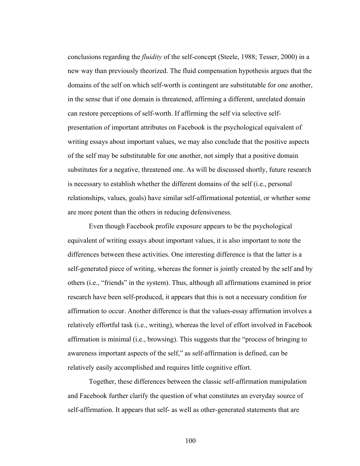conclusions regarding the *fluidity* of the self-concept (Steele, 1988; Tesser, 2000) in a new way than previously theorized. The fluid compensation hypothesis argues that the domains of the self on which self-worth is contingent are substitutable for one another, in the sense that if one domain is threatened, affirming a different, unrelated domain can restore perceptions of self-worth. If affirming the self via selective selfpresentation of important attributes on Facebook is the psychological equivalent of writing essays about important values, we may also conclude that the positive aspects of the self may be substitutable for one another, not simply that a positive domain substitutes for a negative, threatened one. As will be discussed shortly, future research is necessary to establish whether the different domains of the self (i.e., personal relationships, values, goals) have similar self-affirmational potential, or whether some are more potent than the others in reducing defensiveness.

Even though Facebook profile exposure appears to be the psychological equivalent of writing essays about important values, it is also important to note the differences between these activities. One interesting difference is that the latter is a self-generated piece of writing, whereas the former is jointly created by the self and by others (i.e., "friends" in the system). Thus, although all affirmations examined in prior research have been self-produced, it appears that this is not a necessary condition for affirmation to occur. Another difference is that the values-essay affirmation involves a relatively effortful task (i.e., writing), whereas the level of effort involved in Facebook affirmation is minimal (i.e., browsing). This suggests that the "process of bringing to awareness important aspects of the self," as self-affirmation is defined, can be relatively easily accomplished and requires little cognitive effort.

Together, these differences between the classic self-affirmation manipulation and Facebook further clarify the question of what constitutes an everyday source of self-affirmation. It appears that self- as well as other-generated statements that are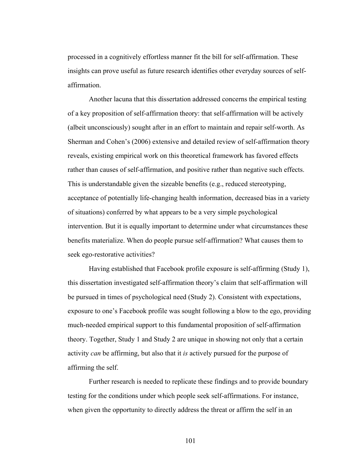processed in a cognitively effortless manner fit the bill for self-affirmation. These insights can prove useful as future research identifies other everyday sources of selfaffirmation.

Another lacuna that this dissertation addressed concerns the empirical testing of a key proposition of self-affirmation theory: that self-affirmation will be actively (albeit unconsciously) sought after in an effort to maintain and repair self-worth. As Sherman and Cohen's (2006) extensive and detailed review of self-affirmation theory reveals, existing empirical work on this theoretical framework has favored effects rather than causes of self-affirmation, and positive rather than negative such effects. This is understandable given the sizeable benefits (e.g., reduced stereotyping, acceptance of potentially life-changing health information, decreased bias in a variety of situations) conferred by what appears to be a very simple psychological intervention. But it is equally important to determine under what circumstances these benefits materialize. When do people pursue self-affirmation? What causes them to seek ego-restorative activities?

Having established that Facebook profile exposure is self-affirming (Study 1), this dissertation investigated self-affirmation theory's claim that self-affirmation will be pursued in times of psychological need (Study 2). Consistent with expectations, exposure to one's Facebook profile was sought following a blow to the ego, providing much-needed empirical support to this fundamental proposition of self-affirmation theory. Together, Study 1 and Study 2 are unique in showing not only that a certain activity *can* be affirming, but also that it *is* actively pursued for the purpose of affirming the self.

Further research is needed to replicate these findings and to provide boundary testing for the conditions under which people seek self-affirmations. For instance, when given the opportunity to directly address the threat or affirm the self in an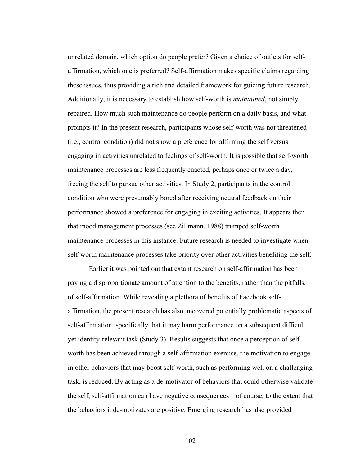unrelated domain, which option do people prefer? Given a choice of outlets for selfaffirmation, which one is preferred? Self-affirmation makes specific claims regarding these issues, thus providing a rich and detailed framework for guiding future research. Additionally, it is necessary to establish how self-worth is *maintained*, not simply repaired. How much such maintenance do people perform on a daily basis, and what prompts it? In the present research, participants whose self-worth was not threatened (i.e., control condition) did not show a preference for affirming the self versus engaging in activities unrelated to feelings of self-worth. It is possible that self-worth maintenance processes are less frequently enacted, perhaps once or twice a day, freeing the self to pursue other activities. In Study 2, participants in the control condition who were presumably bored after receiving neutral feedback on their performance showed a preference for engaging in exciting activities. It appears then that mood management processes (see Zillmann, 1988) trumped self-worth maintenance processes in this instance. Future research is needed to investigate when self-worth maintenance processes take priority over other activities benefiting the self.

Earlier it was pointed out that extant research on self-affirmation has been paying a disproportionate amount of attention to the benefits, rather than the pitfalls, of self-affirmation. While revealing a plethora of benefits of Facebook selfaffirmation, the present research has also uncovered potentially problematic aspects of self-affirmation: specifically that it may harm performance on a subsequent difficult yet identity-relevant task (Study 3). Results suggests that once a perception of selfworth has been achieved through a self-affirmation exercise, the motivation to engage in other behaviors that may boost self-worth, such as performing well on a challenging task, is reduced. By acting as a de-motivator of behaviors that could otherwise validate the self, self-affirmation can have negative consequences – of course, to the extent that the behaviors it de-motivates are positive. Emerging research has also provided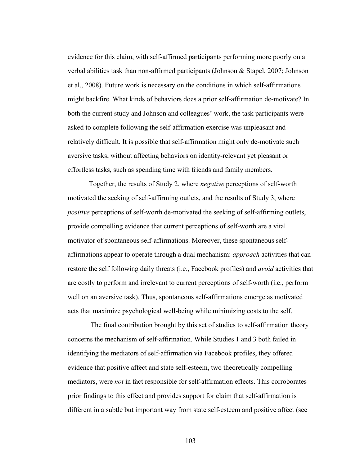evidence for this claim, with self-affirmed participants performing more poorly on a verbal abilities task than non-affirmed participants (Johnson & Stapel, 2007; Johnson et al., 2008). Future work is necessary on the conditions in which self-affirmations might backfire. What kinds of behaviors does a prior self-affirmation de-motivate? In both the current study and Johnson and colleagues' work, the task participants were asked to complete following the self-affirmation exercise was unpleasant and relatively difficult. It is possible that self-affirmation might only de-motivate such aversive tasks, without affecting behaviors on identity-relevant yet pleasant or effortless tasks, such as spending time with friends and family members.

Together, the results of Study 2, where *negative* perceptions of self-worth motivated the seeking of self-affirming outlets, and the results of Study 3, where *positive* perceptions of self-worth de-motivated the seeking of self-affirming outlets, provide compelling evidence that current perceptions of self-worth are a vital motivator of spontaneous self-affirmations. Moreover, these spontaneous selfaffirmations appear to operate through a dual mechanism: *approach* activities that can restore the self following daily threats (i.e., Facebook profiles) and *avoid* activities that are costly to perform and irrelevant to current perceptions of self-worth (i.e., perform well on an aversive task). Thus, spontaneous self-affirmations emerge as motivated acts that maximize psychological well-being while minimizing costs to the self.

 The final contribution brought by this set of studies to self-affirmation theory concerns the mechanism of self-affirmation. While Studies 1 and 3 both failed in identifying the mediators of self-affirmation via Facebook profiles, they offered evidence that positive affect and state self-esteem, two theoretically compelling mediators, were *not* in fact responsible for self-affirmation effects. This corroborates prior findings to this effect and provides support for claim that self-affirmation is different in a subtle but important way from state self-esteem and positive affect (see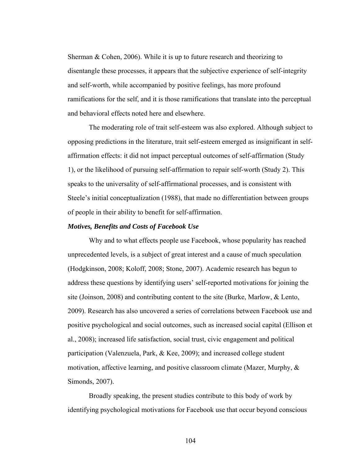Sherman  $& Cohen, 2006$ . While it is up to future research and theorizing to disentangle these processes, it appears that the subjective experience of self-integrity and self-worth, while accompanied by positive feelings, has more profound ramifications for the self, and it is those ramifications that translate into the perceptual and behavioral effects noted here and elsewhere.

The moderating role of trait self-esteem was also explored. Although subject to opposing predictions in the literature, trait self-esteem emerged as insignificant in selfaffirmation effects: it did not impact perceptual outcomes of self-affirmation (Study 1), or the likelihood of pursuing self-affirmation to repair self-worth (Study 2). This speaks to the universality of self-affirmational processes, and is consistent with Steele's initial conceptualization (1988), that made no differentiation between groups of people in their ability to benefit for self-affirmation.

#### *Motives, Benefits and Costs of Facebook Use*

 Why and to what effects people use Facebook, whose popularity has reached unprecedented levels, is a subject of great interest and a cause of much speculation (Hodgkinson, 2008; Koloff, 2008; Stone, 2007). Academic research has begun to address these questions by identifying users' self-reported motivations for joining the site (Joinson, 2008) and contributing content to the site (Burke, Marlow, & Lento, 2009). Research has also uncovered a series of correlations between Facebook use and positive psychological and social outcomes, such as increased social capital (Ellison et al., 2008); increased life satisfaction, social trust, civic engagement and political participation (Valenzuela, Park, & Kee, 2009); and increased college student motivation, affective learning, and positive classroom climate (Mazer, Murphy, & Simonds, 2007).

 Broadly speaking, the present studies contribute to this body of work by identifying psychological motivations for Facebook use that occur beyond conscious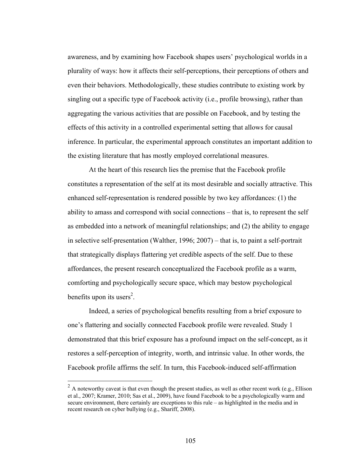awareness, and by examining how Facebook shapes users' psychological worlds in a plurality of ways: how it affects their self-perceptions, their perceptions of others and even their behaviors. Methodologically, these studies contribute to existing work by singling out a specific type of Facebook activity (i.e., profile browsing), rather than aggregating the various activities that are possible on Facebook, and by testing the effects of this activity in a controlled experimental setting that allows for causal inference. In particular, the experimental approach constitutes an important addition to the existing literature that has mostly employed correlational measures.

 At the heart of this research lies the premise that the Facebook profile constitutes a representation of the self at its most desirable and socially attractive. This enhanced self-representation is rendered possible by two key affordances: (1) the ability to amass and correspond with social connections – that is, to represent the self as embedded into a network of meaningful relationships; and (2) the ability to engage in selective self-presentation (Walther, 1996; 2007) – that is, to paint a self-portrait that strategically displays flattering yet credible aspects of the self. Due to these affordances, the present research conceptualized the Facebook profile as a warm, comforting and psychologically secure space, which may bestow psychological benefits upon its users<sup>2</sup>.

 Indeed, a series of psychological benefits resulting from a brief exposure to one's flattering and socially connected Facebook profile were revealed. Study 1 demonstrated that this brief exposure has a profound impact on the self-concept, as it restores a self-perception of integrity, worth, and intrinsic value. In other words, the Facebook profile affirms the self. In turn, this Facebook-induced self-affirmation

 $\overline{a}$ 

 $2 \text{ A}$  noteworthy caveat is that even though the present studies, as well as other recent work (e.g., Ellison et al., 2007; Kramer, 2010; Sas et al., 2009), have found Facebook to be a psychologically warm and secure environment, there certainly are exceptions to this rule – as highlighted in the media and in recent research on cyber bullying (e.g., Shariff, 2008).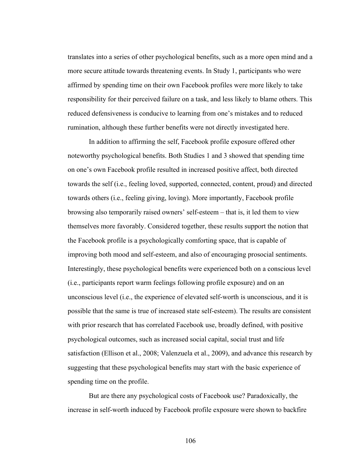translates into a series of other psychological benefits, such as a more open mind and a more secure attitude towards threatening events. In Study 1, participants who were affirmed by spending time on their own Facebook profiles were more likely to take responsibility for their perceived failure on a task, and less likely to blame others. This reduced defensiveness is conducive to learning from one's mistakes and to reduced rumination, although these further benefits were not directly investigated here.

 In addition to affirming the self, Facebook profile exposure offered other noteworthy psychological benefits. Both Studies 1 and 3 showed that spending time on one's own Facebook profile resulted in increased positive affect, both directed towards the self (i.e., feeling loved, supported, connected, content, proud) and directed towards others (i.e., feeling giving, loving). More importantly, Facebook profile browsing also temporarily raised owners' self-esteem – that is, it led them to view themselves more favorably. Considered together, these results support the notion that the Facebook profile is a psychologically comforting space, that is capable of improving both mood and self-esteem, and also of encouraging prosocial sentiments. Interestingly, these psychological benefits were experienced both on a conscious level (i.e., participants report warm feelings following profile exposure) and on an unconscious level (i.e., the experience of elevated self-worth is unconscious, and it is possible that the same is true of increased state self-esteem). The results are consistent with prior research that has correlated Facebook use, broadly defined, with positive psychological outcomes, such as increased social capital, social trust and life satisfaction (Ellison et al., 2008; Valenzuela et al., 2009), and advance this research by suggesting that these psychological benefits may start with the basic experience of spending time on the profile.

 But are there any psychological costs of Facebook use? Paradoxically, the increase in self-worth induced by Facebook profile exposure were shown to backfire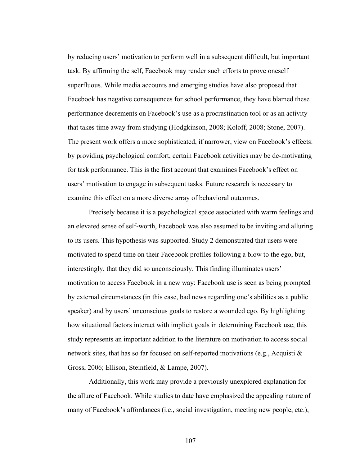by reducing users' motivation to perform well in a subsequent difficult, but important task. By affirming the self, Facebook may render such efforts to prove oneself superfluous. While media accounts and emerging studies have also proposed that Facebook has negative consequences for school performance, they have blamed these performance decrements on Facebook's use as a procrastination tool or as an activity that takes time away from studying (Hodgkinson, 2008; Koloff, 2008; Stone, 2007). The present work offers a more sophisticated, if narrower, view on Facebook's effects: by providing psychological comfort, certain Facebook activities may be de-motivating for task performance. This is the first account that examines Facebook's effect on users' motivation to engage in subsequent tasks. Future research is necessary to examine this effect on a more diverse array of behavioral outcomes.

 Precisely because it is a psychological space associated with warm feelings and an elevated sense of self-worth, Facebook was also assumed to be inviting and alluring to its users. This hypothesis was supported. Study 2 demonstrated that users were motivated to spend time on their Facebook profiles following a blow to the ego, but, interestingly, that they did so unconsciously. This finding illuminates users' motivation to access Facebook in a new way: Facebook use is seen as being prompted by external circumstances (in this case, bad news regarding one's abilities as a public speaker) and by users' unconscious goals to restore a wounded ego. By highlighting how situational factors interact with implicit goals in determining Facebook use, this study represents an important addition to the literature on motivation to access social network sites, that has so far focused on self-reported motivations (e.g., Acquisti & Gross, 2006; Ellison, Steinfield, & Lampe, 2007).

Additionally, this work may provide a previously unexplored explanation for the allure of Facebook. While studies to date have emphasized the appealing nature of many of Facebook's affordances (i.e., social investigation, meeting new people, etc.),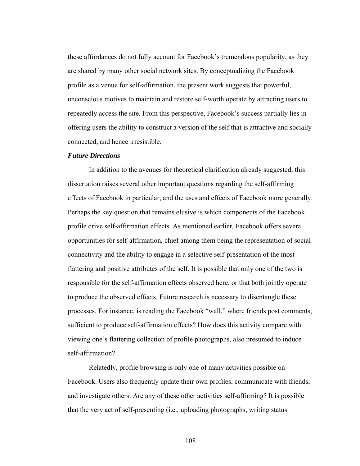these affordances do not fully account for Facebook's tremendous popularity, as they are shared by many other social network sites. By conceptualizing the Facebook profile as a venue for self-affirmation, the present work suggests that powerful, unconscious motives to maintain and restore self-worth operate by attracting users to repeatedly access the site. From this perspective, Facebook's success partially lies in offering users the ability to construct a version of the self that is attractive and socially connected, and hence irresistible.

#### *Future Directions*

In addition to the avenues for theoretical clarification already suggested, this dissertation raises several other important questions regarding the self-affirming effects of Facebook in particular, and the uses and effects of Facebook more generally. Perhaps the key question that remains elusive is which components of the Facebook profile drive self-affirmation effects. As mentioned earlier, Facebook offers several opportunities for self-affirmation, chief among them being the representation of social connectivity and the ability to engage in a selective self-presentation of the most flattering and positive attributes of the self. It is possible that only one of the two is responsible for the self-affirmation effects observed here, or that both jointly operate to produce the observed effects. Future research is necessary to disentangle these processes. For instance, is reading the Facebook "wall," where friends post comments, sufficient to produce self-affirmation effects? How does this activity compare with viewing one's flattering collection of profile photographs, also presumed to induce self-affirmation?

 Relatedly, profile browsing is only one of many activities possible on Facebook. Users also frequently update their own profiles, communicate with friends, and investigate others. Are any of these other activities self-affirming? It is possible that the very act of self-presenting (i.e., uploading photographs, writing status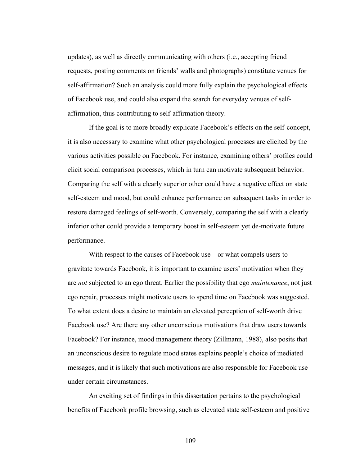updates), as well as directly communicating with others (i.e., accepting friend requests, posting comments on friends' walls and photographs) constitute venues for self-affirmation? Such an analysis could more fully explain the psychological effects of Facebook use, and could also expand the search for everyday venues of selfaffirmation, thus contributing to self-affirmation theory.

 If the goal is to more broadly explicate Facebook's effects on the self-concept, it is also necessary to examine what other psychological processes are elicited by the various activities possible on Facebook. For instance, examining others' profiles could elicit social comparison processes, which in turn can motivate subsequent behavior. Comparing the self with a clearly superior other could have a negative effect on state self-esteem and mood, but could enhance performance on subsequent tasks in order to restore damaged feelings of self-worth. Conversely, comparing the self with a clearly inferior other could provide a temporary boost in self-esteem yet de-motivate future performance.

With respect to the causes of Facebook use – or what compels users to gravitate towards Facebook, it is important to examine users' motivation when they are *not* subjected to an ego threat. Earlier the possibility that ego *maintenance*, not just ego repair, processes might motivate users to spend time on Facebook was suggested. To what extent does a desire to maintain an elevated perception of self-worth drive Facebook use? Are there any other unconscious motivations that draw users towards Facebook? For instance, mood management theory (Zillmann, 1988), also posits that an unconscious desire to regulate mood states explains people's choice of mediated messages, and it is likely that such motivations are also responsible for Facebook use under certain circumstances.

 An exciting set of findings in this dissertation pertains to the psychological benefits of Facebook profile browsing, such as elevated state self-esteem and positive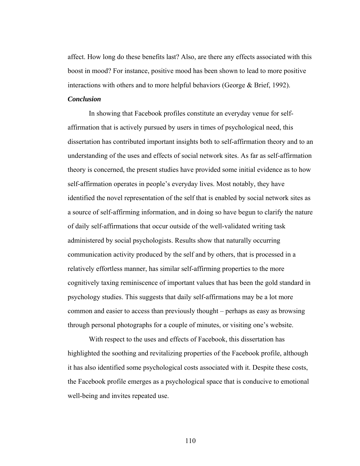affect. How long do these benefits last? Also, are there any effects associated with this boost in mood? For instance, positive mood has been shown to lead to more positive interactions with others and to more helpful behaviors (George & Brief, 1992).

#### *Conclusion*

 In showing that Facebook profiles constitute an everyday venue for selfaffirmation that is actively pursued by users in times of psychological need, this dissertation has contributed important insights both to self-affirmation theory and to an understanding of the uses and effects of social network sites. As far as self-affirmation theory is concerned, the present studies have provided some initial evidence as to how self-affirmation operates in people's everyday lives. Most notably, they have identified the novel representation of the self that is enabled by social network sites as a source of self-affirming information, and in doing so have begun to clarify the nature of daily self-affirmations that occur outside of the well-validated writing task administered by social psychologists. Results show that naturally occurring communication activity produced by the self and by others, that is processed in a relatively effortless manner, has similar self-affirming properties to the more cognitively taxing reminiscence of important values that has been the gold standard in psychology studies. This suggests that daily self-affirmations may be a lot more common and easier to access than previously thought – perhaps as easy as browsing through personal photographs for a couple of minutes, or visiting one's website.

 With respect to the uses and effects of Facebook, this dissertation has highlighted the soothing and revitalizing properties of the Facebook profile, although it has also identified some psychological costs associated with it. Despite these costs, the Facebook profile emerges as a psychological space that is conducive to emotional well-being and invites repeated use.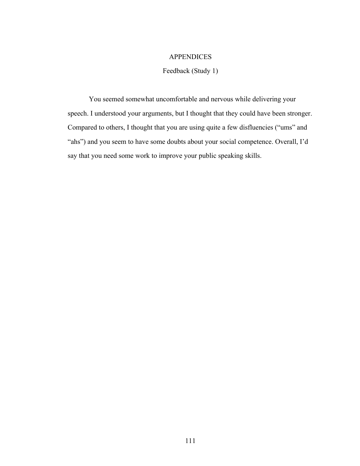## **APPENDICES**

# Feedback (Study 1)

You seemed somewhat uncomfortable and nervous while delivering your speech. I understood your arguments, but I thought that they could have been stronger. Compared to others, I thought that you are using quite a few disfluencies ("ums" and "ahs") and you seem to have some doubts about your social competence. Overall, I'd say that you need some work to improve your public speaking skills.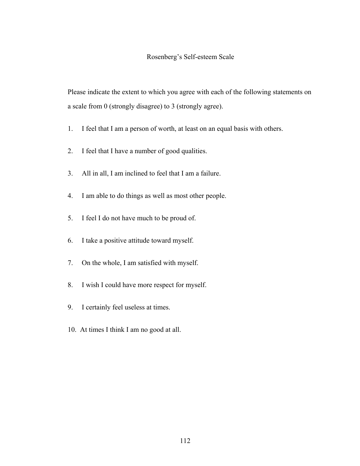## Rosenberg's Self-esteem Scale

Please indicate the extent to which you agree with each of the following statements on a scale from 0 (strongly disagree) to 3 (strongly agree).

- 1. I feel that I am a person of worth, at least on an equal basis with others.
- 2. I feel that I have a number of good qualities.
- 3. All in all, I am inclined to feel that I am a failure.
- 4. I am able to do things as well as most other people.
- 5. I feel I do not have much to be proud of.
- 6. I take a positive attitude toward myself.
- 7. On the whole, I am satisfied with myself.
- 8. I wish I could have more respect for myself.
- 9. I certainly feel useless at times.
- 10. At times I think I am no good at all.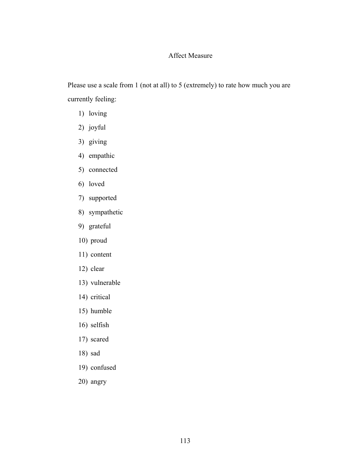# Affect Measure

Please use a scale from 1 (not at all) to 5 (extremely) to rate how much you are currently feeling:

- 1) loving
- 2) joyful
- 3) giving
- 4) empathic
- 5) connected
- 6) loved
- 7) supported
- 8) sympathetic
- 9) grateful
- 10) proud
- 11) content
- 12) clear
- 13) vulnerable
- 14) critical
- 15) humble
- 16) selfish
- 17) scared
- 18) sad
- 19) confused
- 20) angry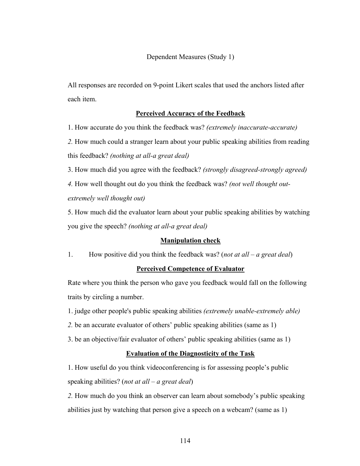All responses are recorded on 9-point Likert scales that used the anchors listed after each item.

## **Perceived Accuracy of the Feedback**

1. How accurate do you think the feedback was? *(extremely inaccurate-accurate)* 

*2.* How much could a stranger learn about your public speaking abilities from reading this feedback? *(nothing at all-a great deal)*

3. How much did you agree with the feedback? *(strongly disagreed-strongly agreed) 4.* How well thought out do you think the feedback was? *(not well thought outextremely well thought out)* 

5. How much did the evaluator learn about your public speaking abilities by watching you give the speech? *(nothing at all-a great deal)*

## **Manipulation check**

1. How positive did you think the feedback was? (*not at all – a great deal*)

#### **Perceived Competence of Evaluator**

Rate where you think the person who gave you feedback would fall on the following traits by circling a number.

1. judge other people's public speaking abilities *(extremely unable-extremely able)* 

- *2.* be an accurate evaluator of others' public speaking abilities (same as 1)
- 3. be an objective/fair evaluator of others' public speaking abilities (same as 1)

## **Evaluation of the Diagnosticity of the Task**

1. How useful do you think videoconferencing is for assessing people's public speaking abilities? (*not at all – a great deal*)

*2.* How much do you think an observer can learn about somebody's public speaking abilities just by watching that person give a speech on a webcam? (same as 1)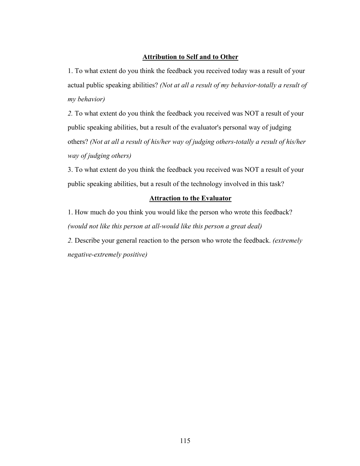## **Attribution to Self and to Other**

1. To what extent do you think the feedback you received today was a result of your actual public speaking abilities? *(Not at all a result of my behavior-totally a result of my behavior)*

*2.* To what extent do you think the feedback you received was NOT a result of your public speaking abilities, but a result of the evaluator's personal way of judging others? *(Not at all a result of his/her way of judging others-totally a result of his/her way of judging others)* 

3. To what extent do you think the feedback you received was NOT a result of your public speaking abilities, but a result of the technology involved in this task?

## **Attraction to the Evaluator**

1. How much do you think you would like the person who wrote this feedback? *(would not like this person at all-would like this person a great deal)*

*2.* Describe your general reaction to the person who wrote the feedback. *(extremely negative-extremely positive)*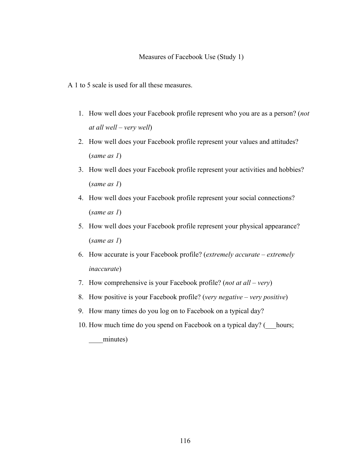A 1 to 5 scale is used for all these measures.

- 1. How well does your Facebook profile represent who you are as a person? (*not at all well – very well*)
- 2. How well does your Facebook profile represent your values and attitudes? (*same as 1*)
- 3. How well does your Facebook profile represent your activities and hobbies? (*same as 1*)
- 4. How well does your Facebook profile represent your social connections? (*same as 1*)
- 5. How well does your Facebook profile represent your physical appearance? (*same as 1*)
- 6. How accurate is your Facebook profile? (*extremely accurate extremely inaccurate*)
- 7. How comprehensive is your Facebook profile? (*not at all very*)
- 8. How positive is your Facebook profile? (*very negative very positive*)
- 9. How many times do you log on to Facebook on a typical day?
- 10. How much time do you spend on Facebook on a typical day? ( hours; minutes)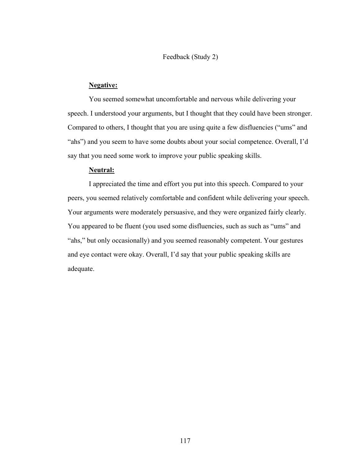#### Feedback (Study 2)

#### **Negative:**

You seemed somewhat uncomfortable and nervous while delivering your speech. I understood your arguments, but I thought that they could have been stronger. Compared to others, I thought that you are using quite a few disfluencies ("ums" and "ahs") and you seem to have some doubts about your social competence. Overall, I'd say that you need some work to improve your public speaking skills.

## **Neutral:**

I appreciated the time and effort you put into this speech. Compared to your peers, you seemed relatively comfortable and confident while delivering your speech. Your arguments were moderately persuasive, and they were organized fairly clearly. You appeared to be fluent (you used some disfluencies, such as such as "ums" and "ahs," but only occasionally) and you seemed reasonably competent. Your gestures and eye contact were okay. Overall, I'd say that your public speaking skills are adequate.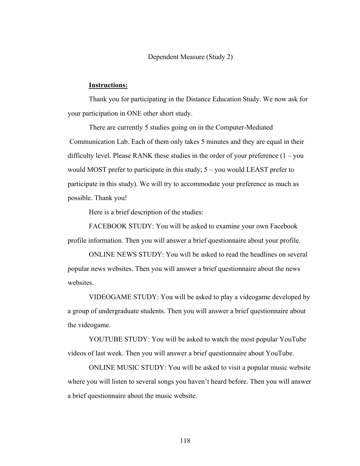Dependent Measure (Study 2)

#### **Instructions:**

Thank you for participating in the Distance Education Study. We now ask for your participation in ONE other short study.

There are currently 5 studies going on in the Computer-Mediated Communication Lab. Each of them only takes 5 minutes and they are equal in their difficulty level. Please RANK these studies in the order of your preference  $(1 - you)$ would MOST prefer to participate in this study; 5 – you would LEAST prefer to participate in this study). We will try to accommodate your preference as much as possible. Thank you!

Here is a brief description of the studies:

FACEBOOK STUDY: You will be asked to examine your own Facebook profile information. Then you will answer a brief questionnaire about your profile.

ONLINE NEWS STUDY: You will be asked to read the headlines on several popular news websites. Then you will answer a brief questionnaire about the news websites

VIDEOGAME STUDY: You will be asked to play a videogame developed by a group of undergraduate students. Then you will answer a brief questionnaire about the videogame.

YOUTUBE STUDY: You will be asked to watch the most popular YouTube videos of last week. Then you will answer a brief questionnaire about YouTube.

ONLINE MUSIC STUDY: You will be asked to visit a popular music website where you will listen to several songs you haven't heard before. Then you will answer a brief questionnaire about the music website.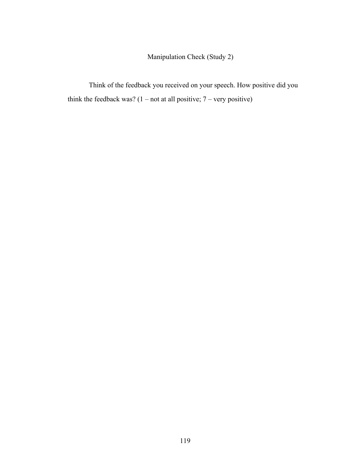Manipulation Check (Study 2)

Think of the feedback you received on your speech. How positive did you think the feedback was?  $(1 - not at all positive; 7 - very positive)$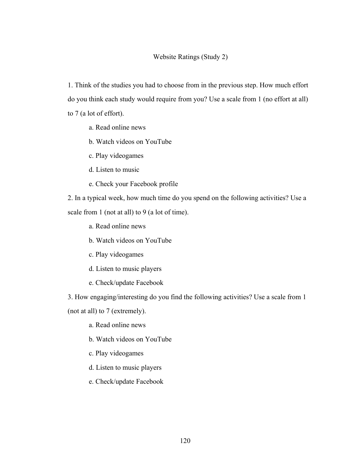### Website Ratings (Study 2)

1. Think of the studies you had to choose from in the previous step. How much effort do you think each study would require from you? Use a scale from 1 (no effort at all) to 7 (a lot of effort).

a. Read online news

b. Watch videos on YouTube

c. Play videogames 

d. Listen to music 

e. Check your Facebook profile

2. In a typical week, how much time do you spend on the following activities? Use a scale from 1 (not at all) to 9 (a lot of time).

a. Read online news 

b. Watch videos on YouTube

c. Play videogames

d. Listen to music players

e. Check/update Facebook

3. How engaging/interesting do you find the following activities? Use a scale from 1

(not at all) to 7 (extremely).

a. Read online news 

b. Watch videos on YouTube

c. Play videogames

d. Listen to music players

e. Check/update Facebook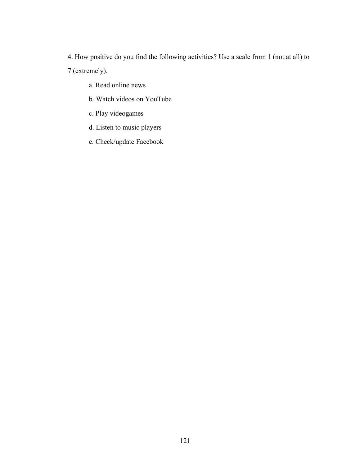4. How positive do you find the following activities? Use a scale from 1 (not at all) to 7 (extremely).

- a. Read online news
- b. Watch videos on YouTube
- c. Play videogames
- d. Listen to music players
- e. Check/update Facebook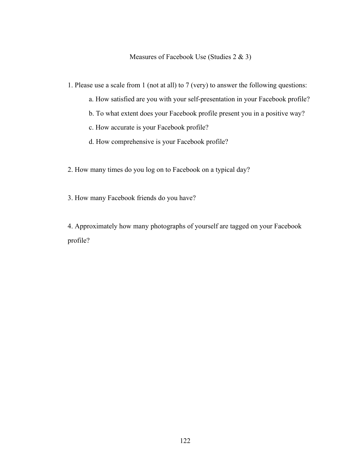Measures of Facebook Use (Studies 2 & 3)

1. Please use a scale from 1 (not at all) to 7 (very) to answer the following questions:

- a. How satisfied are you with your self-presentation in your Facebook profile?
- b. To what extent does your Facebook profile present you in a positive way?
- c. How accurate is your Facebook profile?
- d. How comprehensive is your Facebook profile?
- 2. How many times do you log on to Facebook on a typical day?
- 3. How many Facebook friends do you have?

4. Approximately how many photographs of yourself are tagged on your Facebook profile?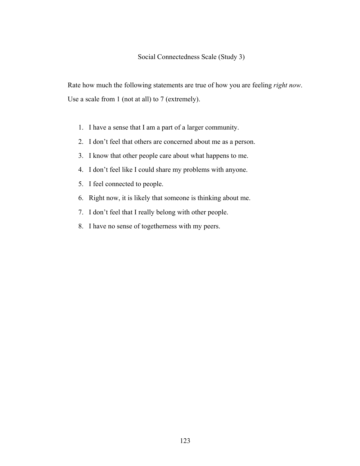Rate how much the following statements are true of how you are feeling *right now*. Use a scale from 1 (not at all) to 7 (extremely).

- 1. I have a sense that I am a part of a larger community.
- 2. I don't feel that others are concerned about me as a person.
- 3. I know that other people care about what happens to me.
- 4. I don't feel like I could share my problems with anyone.
- 5. I feel connected to people.
- 6. Right now, it is likely that someone is thinking about me.
- 7. I don't feel that I really belong with other people.
- 8. I have no sense of togetherness with my peers.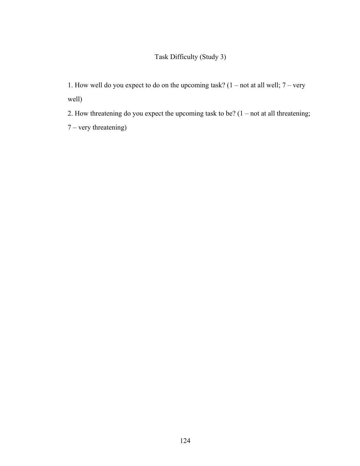# Task Difficulty (Study 3)

1. How well do you expect to do on the upcoming task? (1 – not at all well; 7 – very well)

2. How threatening do you expect the upcoming task to be?  $(1 - not at all the the$ 

7 – very threatening)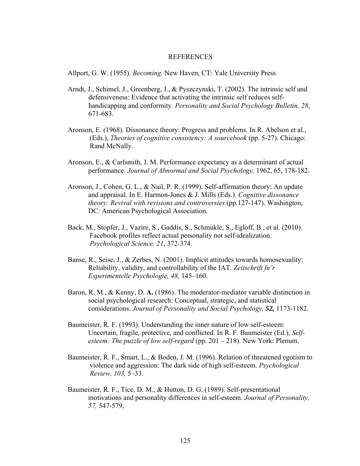#### REFERENCES

Allport, G. W. (1955). *Becoming.* New Haven, CT: Yale University Press.

- Arndt, J., Schimel, J., Greenberg, J., & Pyszczynski, T. (2002). The intrinsic self and defensiveness: Evidence that activating the intrinsic self reduces selfhandicapping and conformity. *Personality and Social Psychology Bulletin, 28*, 671-683.
- Aronson, E. (1968). Dissonance theory: Progress and problems. In R. Abelson et al., (Eds.), *Theories of cognitive consistency: A sourcebook* (pp. 5-27). Chicago: Rand McNally.
- Aronson, E., & Carlsmith, J. M. Performance expectancy as a determinant of actual performance. *Journal of Abnormal and Social Psychology,* 1962, 65, 178-182.
- Aronson, J., Cohen, G. L., & Nail, P. R. (1999). Self-affirmation theory: An update and appraisal. In E. Harmon-Jones & J. Mills (Eds.). *Cognitive dissonance theory: Revival with revisions and controversies* (pp.127-147). Washington, DC: American Psychological Association.
- Back, M., Stopfer, J., Vazire, S., Gaddis, S., Schmukle, S., Egloff, B., et al. (2010). Facebook profiles reflect actual personality not self-idealization. *Psychological Science, 21*, 372-374.
- Banse, R., Seise, J., & Zerbes, N. (2001). Implicit attitudes towards homosexuality: Reliability, validity, and controllability of the IAT. *Zeitschrift fu¨r Experimentelle Psychologie, 48,* 145–160.
- Baron, R. M., & Kenny, D. **A.** (1986). The moderator-mediator variable distinction in social psychological research: Conceptual, strategic, and statistical considerations. *Journal of Personality and Social Psychology, 52,* 1173-1182.
- Baumeister, R. F. (1993). Understanding the inner nature of low self-esteem: Uncertain, fragile, protective, and conflicted. In R. F. Baumeister (Ed.), *Selfesteem: The puzzle of low self-regard* (pp. 201 – 218). New York: Plenum.
- Baumeister, R. F., Smart, L., & Boden, J. M. (1996). Relation of threatened egotism to violence and aggression: The dark side of high self-esteem. *Psychological Review, 103,* 5–33.
- Baumeister, R. F., Tice, D. M., & Hutton, D. G. (1989). Self-presentational motivations and personality differences in self-esteem. *Journal of Personality, 57,* 547-579,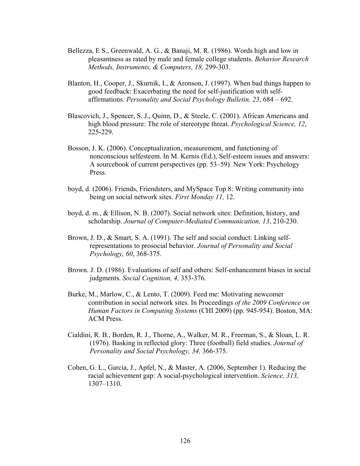- Bellezza, E S., Greenwald, A. G., & Banaji, M. R. (1986). Words high and low in pleasantness as rated by male and female college students. *Behavior Research Methods, Instruments, & Computers, 18,* 299-303.
- Blanton, H., Cooper, J., Skurnik, I., & Aronson, J. (1997). When bad things happen to good feedback: Exacerbating the need for self-justification with selfaffirmations. *Personality and Social Psychology Bulletin, 23*, 684 – 692.
- Blascovich, J., Spencer, S. J., Quinn, D., & Steele, C. (2001). African Americans and high blood pressure: The role of stereotype threat. *Psychological Science, 12*, 225-229.
- Bosson, J. K. (2006). Conceptualization, measurement, and functioning of nonconscious selfesteem. In M. Kernis (Ed.), Self-esteem issues and answers: A sourcebook of current perspectives (pp. 53–59). New York: Psychology Press.
- boyd, d. (2006). Friends, Friendsters, and MySpace Top 8: Writing community into being on social network sites. *First Monday 11,* 12.
- boyd, d. m., & Ellison, N. B. (2007). Social network sites: Definition, history, and scholarship. *Journal of Computer-Mediated Communication, 13*, 210-230.
- Brown, J. D., & Smart, S. A. (1991). The self and social conduct: Linking selfrepresentations to prosocial behavior. *Journal of Personality and Social Psychology, 60*, 368-375.
- Brown. J. D. (1986). Evaluations of self and others: Self-enhancement biases in social judgments. *Social Cognition, 4,* 353-376.
- Burke, M., Marlow, C., & Lento, T. (2009). Feed me: Motivating newcomer contribution in social network sites. In Proceedings *of the 2009 Conference on Human Factors in Computing Systems* (CHI 2009) (pp. 945-954). Boston, MA: ACM Press.
- Cialdini, R. B., Borden, R. J., Thorne, A., Walker, M. R., Freeman, S., & Sloan, L. R. (1976). Basking in reflected glory: Three (football) field studies. *Journal of Personality and Social Psychology, 34,* 366-375.
- Cohen, G. L., Garcia, J., Apfel, N., & Master, A. (2006, September 1). Reducing the racial achievement gap: A social-psychological intervention. *Science, 313,*  1307–1310.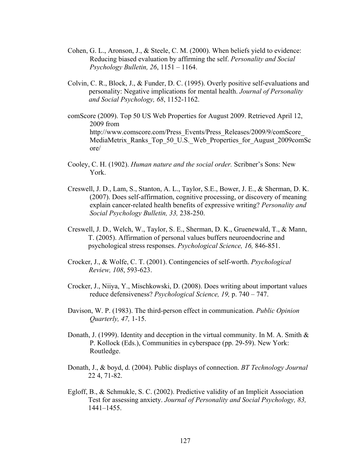- Cohen, G. L., Aronson, J., & Steele, C. M. (2000). When beliefs yield to evidence: Reducing biased evaluation by affirming the self. *Personality and Social Psychology Bulletin, 26*, 1151 – 1164.
- Colvin, C. R., Block, J., & Funder, D. C. (1995). Overly positive self-evaluations and personality: Negative implications for mental health. *Journal of Personality and Social Psychology, 68*, 1152-1162.
- comScore (2009). Top 50 US Web Properties for August 2009. Retrieved April 12, 2009 from http://www.comscore.com/Press\_Events/Press\_Releases/2009/9/comScore\_ MediaMetrix Ranks Top 50 U.S. Web Properties for August 2009comSc ore/
- Cooley, C. H. (1902). *Human nature and the social order.* Scribner's Sons: New York.
- Creswell, J. D., Lam, S., Stanton, A. L., Taylor, S.E., Bower, J. E., & Sherman, D. K. (2007). Does self-affirmation, cognitive processing, or discovery of meaning explain cancer-related health benefits of expressive writing? *Personality and Social Psychology Bulletin, 33,* 238-250.
- Creswell, J. D., Welch, W., Taylor, S. E., Sherman, D. K., Gruenewald, T., & Mann, T. (2005). Affirmation of personal values buffers neuroendocrine and psychological stress responses. *Psychological Science, 16,* 846-851.
- Crocker, J., & Wolfe, C. T. (2001). Contingencies of self-worth. *Psychological Review, 108*, 593-623.
- Crocker, J., Niiya, Y., Mischkowski, D. (2008). Does writing about important values reduce defensiveness? *Psychological Science, 19,* p. 740 – 747.
- Davison, W. P. (1983). The third-person effect in communication. *Public Opinion Quarterly, 47,* 1-15.
- Donath, J. (1999). Identity and deception in the virtual community. In M. A. Smith & P. Kollock (Eds.), Communities in cyberspace (pp. 29-59). New York: Routledge.
- Donath, J., & boyd, d. (2004). Public displays of connection. *BT Technology Journal*  22 4, 71-82.
- Egloff, B., & Schmukle, S. C. (2002). Predictive validity of an Implicit Association Test for assessing anxiety. *Journal of Personality and Social Psychology, 83,*  1441–1455.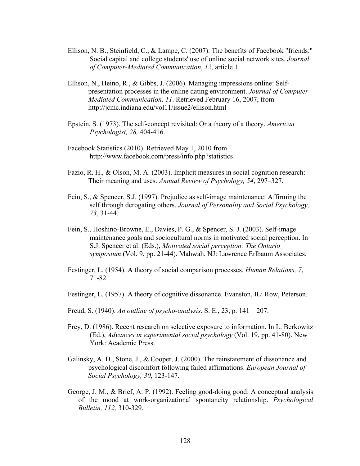- Ellison, N. B., Steinfield, C., & Lampe, C. (2007). The benefits of Facebook "friends:" Social capital and college students' use of online social network sites. *Journal of Computer-Mediated Communication*, *12*, article 1.
- Ellison, N., Heino, R., & Gibbs, J. (2006). Managing impressions online: Selfpresentation processes in the online dating environment. *Journal of Computer-Mediated Communication, 11*. Retrieved February 16, 2007, from http://jcmc.indiana.edu/vol11/issue2/ellison.html
- Epstein, S. (1973). The self-concept revisited: Or a theory of a theory. *American Psychologist, 28,* 404-416.
- Facebook Statistics (2010). Retrieved May 1, 2010 from http://www.facebook.com/press/info.php?statistics
- Fazio, R. H., & Olson, M. A. (2003). Implicit measures in social cognition research: Their meaning and uses. *Annual Review of Psychology, 54*, 297–327.
- Fein, S., & Spencer, S.J. (1997). Prejudice as self-image maintenance: Affirming the self through derogating others. *Journal of Personality and Social Psychology, 73*, 31-44.
- Fein, S., Hoshino-Browne, E., Davies, P. G., & Spencer, S. J. (2003). Self-image maintenance goals and sociocultural norms in motivated social perception. In S.J. Spencer et al. (Eds.), *Motivated social perception: The Ontario symposium* (Vol. 9, pp. 21-44). Mahwah, NJ: Lawrence Erlbaum Associates.
- Festinger, L. (1954). A theory of social comparison processes. *Human Relations, 7*, 71-82.
- Festinger, L. (1957). A theory of cognitive dissonance. Evanston, IL: Row, Peterson.
- Freud, S. (1940). *An outline of psycho-analysis*. S. E., 23, p. 141 207.
- Frey, D. (1986). Recent research on selective exposure to information. In L. Berkowitz (Ed.), *Advances in experimental social psychology* (Vol. 19, pp. 41-80). New York: Academic Press.
- Galinsky, A. D., Stone, J., & Cooper, J. (2000). The reinstatement of dissonance and psychological discomfort following failed affirmations. *European Journal of Social Psychology, 30*, 123-147.
- George, J. M., & Brief, A. P. (1992). Feeling good-doing good: A conceptual analysis of the mood at work-organizational spontaneity relationship. *Psychological Bulletin, 112,* 310-329.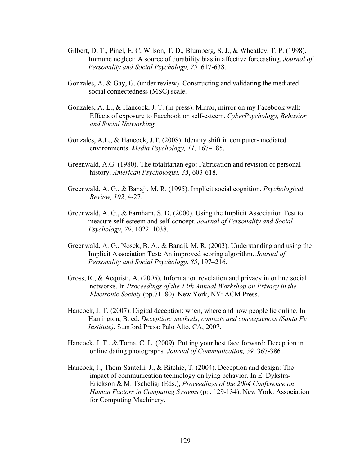- Gilbert, D. T., Pinel, E. C, Wilson, T. D., Blumberg, S. J., & Wheatley, T. P. (1998). Immune neglect: A source of durability bias in affective forecasting. *Journal of Personality and Social Psychology, 75,* 617-638.
- Gonzales, A. & Gay, G. (under review). Constructing and validating the mediated social connectedness (MSC) scale.
- Gonzales, A. L., & Hancock, J. T. (in press). Mirror, mirror on my Facebook wall: Effects of exposure to Facebook on self-esteem. *CyberPsychology, Behavior and Social Networking.*
- Gonzales, A.L., & Hancock, J.T. (2008). Identity shift in computer- mediated environments. *Media Psychology, 11,* 167–185.
- Greenwald, A.G. (1980). The totalitarian ego: Fabrication and revision of personal history. *American Psychologist, 35*, 603-618.
- Greenwald, A. G., & Banaji, M. R. (1995). Implicit social cognition. *Psychological Review, 102*, 4-27.
- Greenwald, A. G., & Farnham, S. D. (2000). Using the Implicit Association Test to measure self-esteem and self-concept. *Journal of Personality and Social Psychology*, *79*, 1022–1038.
- Greenwald, A. G., Nosek, B. A., & Banaji, M. R. (2003). Understanding and using the Implicit Association Test: An improved scoring algorithm. *Journal of Personality and Social Psychology*, *85*, 197–216.
- Gross, R., & Acquisti, A. (2005). Information revelation and privacy in online social networks. In *Proceedings of the 12th Annual Workshop on Privacy in the Electronic Society* (pp.71–80). New York, NY: ACM Press.
- Hancock, J. T. (2007). Digital deception: when, where and how people lie online. In Harrington, B. ed. *Deception: methods, contexts and consequences (Santa Fe Institute)*, Stanford Press: Palo Alto, CA, 2007.
- Hancock, J. T., & Toma, C. L. (2009). Putting your best face forward: Deception in online dating photographs. *Journal of Communication, 59,* 367-386*.*
- Hancock, J., Thom-Santelli, J., & Ritchie, T. (2004). Deception and design: The impact of communication technology on lying behavior. In E. Dykstra-Erickson & M. Tscheligi (Eds.), *Proceedings of the 2004 Conference on Human Factors in Computing Systems* (pp. 129-134). New York: Association for Computing Machinery.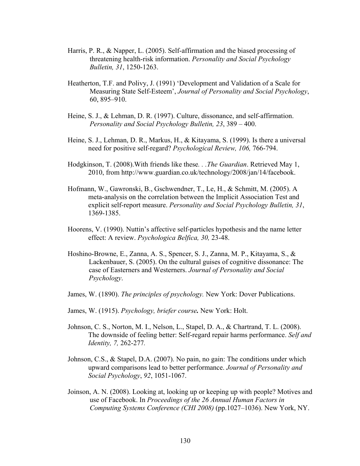- Harris, P. R., & Napper, L. (2005). Self-affirmation and the biased processing of threatening health-risk information. *Personality and Social Psychology Bulletin, 31*, 1250-1263.
- Heatherton, T.F. and Polivy, J. (1991) 'Development and Validation of a Scale for Measuring State Self-Esteem', *Journal of Personality and Social Psychology*, 60, 895–910.
- Heine, S. J., & Lehman, D. R. (1997). Culture, dissonance, and self-affirmation. *Personality and Social Psychology Bulletin, 23*, 389 – 400.
- Heine, S. J., Lehman, D. R., Markus, H., & Kitayama, S. (1999). Is there a universal need for positive self-regard? *Psychological Review, 106,* 766-794.
- Hodgkinson, T. (2008).With friends like these*. . .The Guardian*. Retrieved May 1, 2010, from http://www.guardian.co.uk/technology/2008/jan/14/facebook.
- Hofmann, W., Gawronski, B., Gschwendner, T., Le, H., & Schmitt, M. (2005). A meta-analysis on the correlation between the Implicit Association Test and explicit self-report measure. *Personality and Social Psychology Bulletin, 31*, 1369-1385.
- Hoorens, V. (1990). Nuttin's affective self-particles hypothesis and the name letter effect: A review. *Psychologica Belfica, 30,* 23-48.
- Hoshino-Browne, E., Zanna, A. S., Spencer, S. J., Zanna, M. P., Kitayama, S., & Lackenbauer, S. (2005). On the cultural guises of cognitive dissonance: The case of Easterners and Westerners. *Journal of Personality and Social Psychology*.
- James, W. (1890). *The principles of psychology.* New York: Dover Publications.
- James, W. (1915). *Psychology, briefer course.* New York: Holt.
- Johnson, C. S., Norton, M. I., Nelson, L., Stapel, D. A., & Chartrand, T. L. (2008). The downside of feeling better: Self-regard repair harms performance. *Self and Identity, 7,* 262-277*.*
- Johnson, C.S., & Stapel, D.A. (2007). No pain, no gain: The conditions under which upward comparisons lead to better performance. *Journal of Personality and Social Psychology*, *92*, 1051-1067.
- Joinson, A. N. (2008). Looking at, looking up or keeping up with people? Motives and use of Facebook. In *Proceedings of the 26 Annual Human Factors in Computing Systems Conference (CHI 2008)* (pp.1027–1036). New York, NY.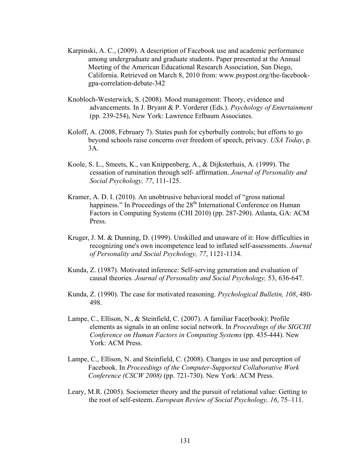- Karpinski, A. C., (2009). A description of Facebook use and academic performance among undergraduate and graduate students. Paper presented at the Annual Meeting of the American Educational Research Association, San Diego, California. Retrieved on March 8, 2010 from: www.psypost.org/the-facebookgpa-correlation-debate-342
- Knobloch-Westerwick, S. (2008). Mood management: Theory, evidence and advancements. In J. Bryant & P. Vorderer (Eds.). *Psychology of Entertainment* (pp. 239-254), New York: Lawrence Erlbaum Associates.
- Koloff, A. (2008, February 7). States push for cyberbully controls; but efforts to go beyond schools raise concerns over freedom of speech, privacy. *USA Today*, p. 3A.
- Koole, S. L., Smeets, K., van Knippenberg, A., & Dijksterhuis, A. (1999). The cessation of rumination through self- affirmation. *Journal of Personality and Social Psychology, 77*, 111-125.
- Kramer, A. D. I. (2010). An unobtrusive behavioral model of "gross national happiness." In Proceedings of the 28<sup>th</sup> International Conference on Human Factors in Computing Systems (CHI 2010) (pp. 287-290). Atlanta, GA: ACM Press.
- Kruger, J. M. & Dunning, D. (1999). Unskilled and unaware of it: How difficulties in recognizing one's own incompetence lead to inflated self-assessments. *Journal of Personality and Social Psychology, 77*, 1121-1134.
- Kunda, Z. (1987). Motivated inference: Self-serving generation and evaluation of causal theories*. Journal of Personality and Social Psychology,* 53, 636-647.
- Kunda, Z. (1990). The case for motivated reasoning. *Psychological Bulletin, 108*, 480- 498.
- Lampe, C., Ellison, N., & Steinfield, C. (2007). A familiar Face(book): Profile elements as signals in an online social network. In *Proceedings of the SIGCHI Conference on Human Factors in Computing Systems* (pp. 435-444). New York: ACM Press.
- Lampe, C., Ellison, N. and Steinfield, C. (2008). Changes in use and perception of Facebook. In *Proceedings of the Computer-Supported Collaborative Work Conference (CSCW 2008)* (pp. 721-730). New York: ACM Press.
- Leary, M.R. (2005). Sociometer theory and the pursuit of relational value: Getting to the root of self-esteem. *European Review of Social Psychology, 16*, 75–111.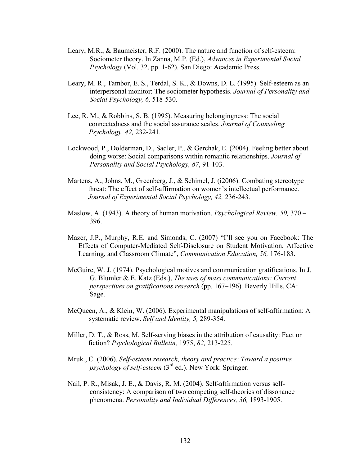- Leary, M.R., & Baumeister, R.F. (2000). The nature and function of self-esteem: Sociometer theory. In Zanna, M.P. (Ed.), *Advances in Experimental Social Psychology* (Vol. 32, pp. 1-62). San Diego: Academic Press.
- Leary, M. R., Tambor, E. S., Terdal, S. K., & Downs, D. L. (1995). Self-esteem as an interpersonal monitor: The sociometer hypothesis. *Journal of Personality and Social Psychology, 6,* 518-530.
- Lee, R. M., & Robbins, S. B. (1995). Measuring belongingness: The social connectedness and the social assurance scales. *Journal of Counseling Psychology, 42,* 232-241.
- Lockwood, P., Dolderman, D., Sadler, P., & Gerchak, E. (2004). Feeling better about doing worse: Social comparisons within romantic relationships. *Journal of Personality and Social Psychology, 87*, 91-103.
- Martens, A., Johns, M., Greenberg, J., & Schimel, J. (i2006). Combating stereotype threat: The effect of self-affirmation on women's intellectual performance. *Journal of Experimental Social Psychology, 42,* 236-243.
- Maslow, A. (1943). A theory of human motivation. *Psychological Review, 50,* 370 396.
- Mazer, J.P., Murphy, R.E. and Simonds, C. (2007) "I'll see you on Facebook: The Effects of Computer-Mediated Self-Disclosure on Student Motivation, Affective Learning, and Classroom Climate", *Communication Education, 56,* 176-183.
- McGuire, W. J. (1974). Psychological motives and communication gratifications. In J. G. Blumler & E. Katz (Eds.), *The uses of mass communications: Current perspectives on gratifications research* (pp. 167–196). Beverly Hills, CA: Sage.
- McQueen, A., & Klein, W. (2006). Experimental manipulations of self-affirmation: A systematic review. *Self and Identity, 5,* 289-354.
- Miller, D. T., & Ross, M. Self-serving biases in the attribution of causality: Fact or fiction? *Psychological Bulletin,* 1975, *82,* 213-225.
- Mruk., C. (2006). *Self-esteem research, theory and practice: Toward a positive psychology of self-esteem* (3<sup>rd</sup> ed.). New York: Springer.
- Nail, P. R., Misak, J. E., & Davis, R. M. (2004). Self-affirmation versus selfconsistency: A comparison of two competing self-theories of dissonance phenomena. *Personality and Individual Differences, 36,* 1893-1905.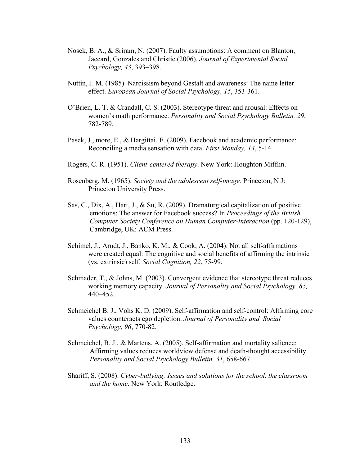- Nosek, B. A., & Sriram, N. (2007). Faulty assumptions: A comment on Blanton, Jaccard, Gonzales and Christie (2006). *Journal of Experimental Social Psychology, 43*, 393–398.
- Nuttin, J. M. (1985). Narcissism beyond Gestalt and awareness: The name letter effect. *European Journal of Social Psychology, 15*, 353-361.
- O'Brien, L. T. & Crandall, C. S. (2003). Stereotype threat and arousal: Effects on women's math performance. *Personality and Social Psychology Bulletin, 29*, 782-789.
- Pasek, J., more, E., & Hargittai, E. (2009). Facebook and academic performance: Reconciling a media sensation with data. *First Monday, 14*, 5-14.
- Rogers, C. R. (1951). *Client-centered therapy*. New York: Houghton Mifflin.
- Rosenberg, M. (1965). *Society and the adolescent self-image.* Princeton, N J: Princeton University Press.
- Sas, C., Dix, A., Hart, J., & Su, R. (2009). Dramaturgical capitalization of positive emotions: The answer for Facebook success? In *Proceedings of the British Computer Society Conference on Human Computer-Interaction* (pp. 120-129), Cambridge, UK: ACM Press.
- Schimel, J., Arndt, J., Banko, K. M., & Cook, A. (2004). Not all self-affirmations were created equal: The cognitive and social benefits of affirming the intrinsic (vs. extrinsic) self. *Social Cognition, 22*, 75-99.
- Schmader, T., & Johns, M. (2003). Convergent evidence that stereotype threat reduces working memory capacity. *Journal of Personality and Social Psychology, 85,*  440–452.
- Schmeichel B. J., Vohs K. D. (2009). Self-affirmation and self-control: Affirming core values counteracts ego depletion. *Journal of Personality and Social Psychology, 96*, 770-82.
- Schmeichel, B. J., & Martens, A. (2005). Self-affirmation and mortality salience: Affirming values reduces worldview defense and death-thought accessibility. *Personality and Social Psychology Bulletin, 31*, 658-667.
- Shariff, S. (2008). *Cyber-bullying: Issues and solutions for the school, the classroom and the home*. New York: Routledge.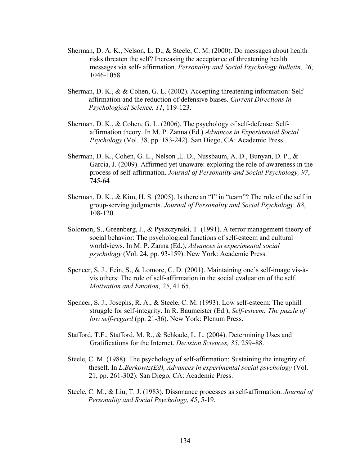- Sherman, D. A. K., Nelson, L. D., & Steele, C. M. (2000). Do messages about health risks threaten the self? Increasing the acceptance of threatening health messages via self- affirmation. *Personality and Social Psychology Bulletin, 26*, 1046-1058.
- Sherman, D. K., & & Cohen, G. L. (2002). Accepting threatening information: Selfaffirmation and the reduction of defensive biases. *Current Directions in Psychological Science, 11*, 119-123.
- Sherman, D. K., & Cohen, G. L. (2006). The psychology of self-defense: Selfaffirmation theory. In M. P. Zanna (Ed.) *Advances in Experimental Social Psychology* (Vol. 38, pp. 183-242). San Diego, CA: Academic Press.
- Sherman, D. K., Cohen, G. L., Nelson ,L. D., Nussbaum, A. D., Bunyan, D. P., & Garcia, J. (2009). Affirmed yet unaware: exploring the role of awareness in the process of self-affirmation. *Journal of Personality and Social Psychology, 97*, 745-64
- Sherman, D. K.,  $\&$  Kim, H. S. (2005). Is there an "I" in "team"? The role of the self in group-serving judgments. *Journal of Personality and Social Psychology, 88*, 108-120.
- Solomon, S., Greenberg, J., & Pyszczynski, T. (1991). A terror management theory of social behavior: The psychological functions of self-esteem and cultural worldviews. In M. P. Zanna (Ed.), *Advances in experimental social psychology* (Vol. 24, pp. 93-159). New York: Academic Press.
- Spencer, S. J., Fein, S., & Lomore, C. D. (2001). Maintaining one's self-image vis-àvis others: The role of self-affirmation in the social evaluation of the self. *Motivation and Emotion, 25*, 41 65.
- Spencer, S. J., Josephs, R. A., & Steele, C. M. (1993). Low self-esteem: The uphill struggle for self-integrity. In R. Baumeister (Ed.), *Self-esteem: The puzzle of low self-regard* (pp. 21-36). New York: Plenum Press.
- Stafford, T.F., Stafford, M. R., & Schkade, L. L. (2004). Determining Uses and Gratifications for the Internet. *Decision Sciences, 35*, 259–88.
- Steele, C. M. (1988). The psychology of self-affirmation: Sustaining the integrity of theself. In *L.Berkowtz(Ed), Advances in experimental social psychology* (Vol. 21, pp. 261-302). San Diego, CA: Academic Press.
- Steele, C. M., & Liu, T. J. (1983). Dissonance processes as self-affirmation. *Journal of Personality and Social Psychology, 45*, 5-19.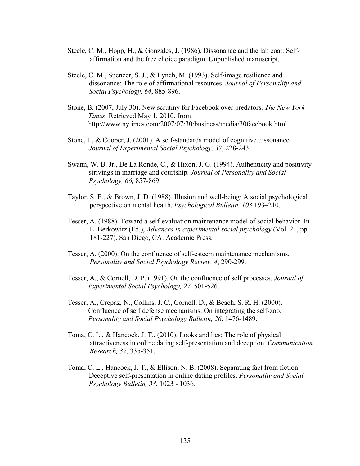- Steele, C. M., Hopp, H., & Gonzales, J. (1986). Dissonance and the lab coat: Selfaffirmation and the free choice paradigm. Unpublished manuscript.
- Steele, C. M., Spencer, S. J., & Lynch, M. (1993). Self-image resilience and dissonance: The role of affirmational resources. *Journal of Personality and Social Psychology, 64*, 885-896.
- Stone, B. (2007, July 30). New scrutiny for Facebook over predators. *The New York Times*. Retrieved May 1, 2010, from http://www.nytimes.com/2007/07/30/business/media/30facebook.html.
- Stone, J., & Cooper, J. (2001). A self-standards model of cognitive dissonance. *Journal of Experimental Social Psychology, 37*, 228-243.
- Swann, W. B. Jr., De La Ronde, C., & Hixon, J. G. (1994). Authenticity and positivity strivings in marriage and courtship. *Journal of Personality and Social Psychology, 66,* 857-869.
- Taylor, S. E., & Brown, J. D. (1988). Illusion and well-being: A social psychological perspective on mental health. *Psychological Bulletin, 103,*193–210.
- Tesser, A. (1988). Toward a self-evaluation maintenance model of social behavior. In L. Berkowitz (Ed.), *Advances in experimental social psychology* (Vol. 21, pp. 181-227). San Diego, CA: Academic Press.
- Tesser, A. (2000). On the confluence of self-esteem maintenance mechanisms. *Personality and Social Psychology Review, 4*, 290-299.
- Tesser, A., & Cornell, D. P. (1991). On the confluence of self processes. *Journal of Experimental Social Psychology, 27,* 501-526.
- Tesser, A., Crepaz, N., Collins, J. C., Cornell, D., & Beach, S. R. H. (2000). Confluence of self defense mechanisms: On integrating the self-zoo. *Personality and Social Psychology Bulletin, 26*, 1476-1489.
- Toma, C. L., & Hancock, J. T., (2010). Looks and lies: The role of physical attractiveness in online dating self-presentation and deception. *Communication Research, 37,* 335-351.
- Toma, C. L., Hancock, J. T., & Ellison, N. B. (2008). Separating fact from fiction: Deceptive self-presentation in online dating profiles. *Personality and Social Psychology Bulletin, 38,* 1023 - 1036*.*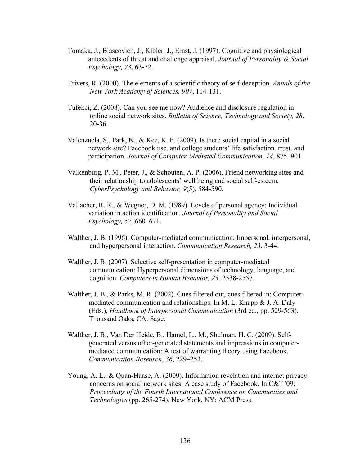- Tomaka, J., Blascovich, J., Kibler, J., Ernst, J. (1997). Cognitive and physiological antecedents of threat and challenge appraisal. *Journal of Personality & Social Psychology, 73*, 63-72.
- Trivers, R. (2000). The elements of a scientific theory of self-deception. *Annals of the New York Academy of Sciences, 907*, 114-131.
- Tufekci, Z. (2008). Can you see me now? Audience and disclosure regulation in online social network sites. *Bulletin of Science, Technology and Society, 28*, 20-36.
- Valenzuela, S., Park, N., & Kee, K. F. (2009). Is there social capital in a social network site? Facebook use, and college students' life satisfaction, trust, and participation. *Journal of Computer-Mediated Communication, 14*, 875–901.
- Valkenburg, P. M., Peter, J., & Schouten, A. P. (2006). Friend networking sites and their relationship to adolescents' well being and social self-esteem. *CyberPsychology and Behavior, 9*(5), 584-590.
- Vallacher, R. R., & Wegner, D. M. (1989). Levels of personal agency: Individual variation in action identification. *Journal of Personality and Social Psychology, 57,* 660–671.
- Walther, J. B. (1996). Computer-mediated communication: Impersonal, interpersonal, and hyperpersonal interaction. *Communication Research, 23*, 3-44.
- Walther, J. B. (2007). Selective self-presentation in computer-mediated communication: Hyperpersonal dimensions of technology, language, and cognition. *Computers in Human Behavior, 23,* 2538-2557.
- Walther, J. B., & Parks, M. R. (2002). Cues filtered out, cues filtered in: Computermediated communication and relationships. In M. L. Knapp & J. A. Daly (Eds.), *Handbook of Interpersonal Communication* (3rd ed., pp. 529-563). Thousand Oaks, CA: Sage.
- Walther, J. B., Van Der Heide, B., Hamel, L., M., Shulman, H. C. (2009). Selfgenerated versus other-generated statements and impressions in computermediated communication: A test of warranting theory using Facebook. *Communication Research*, *36*, 229–253.
- Young, A. L., & Quan-Haase, A. (2009). Information revelation and internet privacy concerns on social network sites: A case study of Facebook. In C&T '09: *Proceedings of the Fourth International Conference on Communities and Technologies* (pp. 265-274), New York, NY: ACM Press.